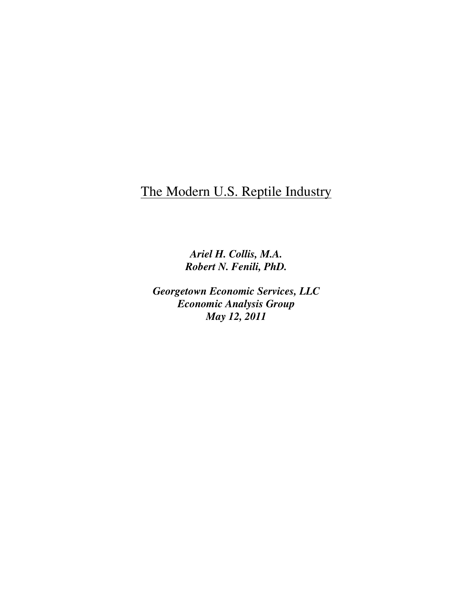# The Modern U.S. Reptile Industry

*Ariel H. Collis, M.A. Robert N. Fenili, PhD.* 

*Georgetown Economic Services, LLC Economic Analysis Group May 12, 2011*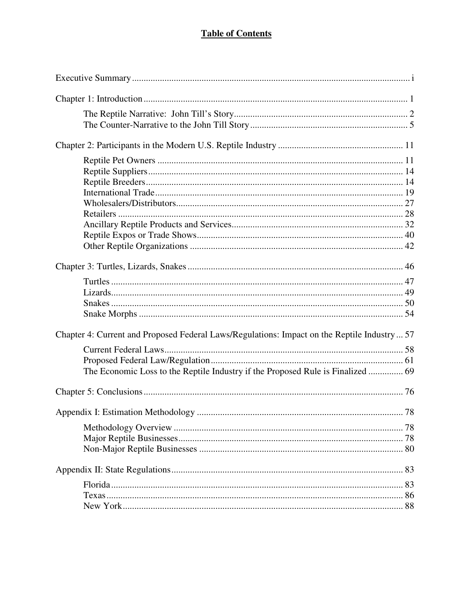# **Table of Contents**

| Chapter 4: Current and Proposed Federal Laws/Regulations: Impact on the Reptile Industry  57 |  |
|----------------------------------------------------------------------------------------------|--|
|                                                                                              |  |
|                                                                                              |  |
|                                                                                              |  |
|                                                                                              |  |
|                                                                                              |  |
|                                                                                              |  |
|                                                                                              |  |
|                                                                                              |  |
|                                                                                              |  |
|                                                                                              |  |
|                                                                                              |  |
|                                                                                              |  |
|                                                                                              |  |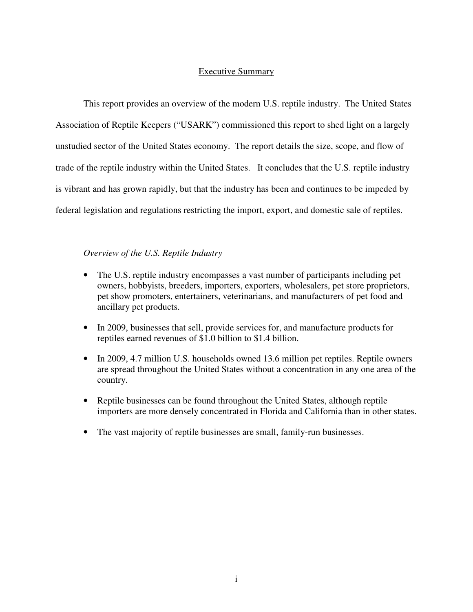# Executive Summary

This report provides an overview of the modern U.S. reptile industry. The United States Association of Reptile Keepers ("USARK") commissioned this report to shed light on a largely unstudied sector of the United States economy. The report details the size, scope, and flow of trade of the reptile industry within the United States. It concludes that the U.S. reptile industry is vibrant and has grown rapidly, but that the industry has been and continues to be impeded by federal legislation and regulations restricting the import, export, and domestic sale of reptiles.

# *Overview of the U.S. Reptile Industry*

- The U.S. reptile industry encompasses a vast number of participants including pet owners, hobbyists, breeders, importers, exporters, wholesalers, pet store proprietors, pet show promoters, entertainers, veterinarians, and manufacturers of pet food and ancillary pet products.
- In 2009, businesses that sell, provide services for, and manufacture products for reptiles earned revenues of \$1.0 billion to \$1.4 billion.
- In 2009, 4.7 million U.S. households owned 13.6 million pet reptiles. Reptile owners are spread throughout the United States without a concentration in any one area of the country.
- Reptile businesses can be found throughout the United States, although reptile importers are more densely concentrated in Florida and California than in other states.
- The vast majority of reptile businesses are small, family-run businesses.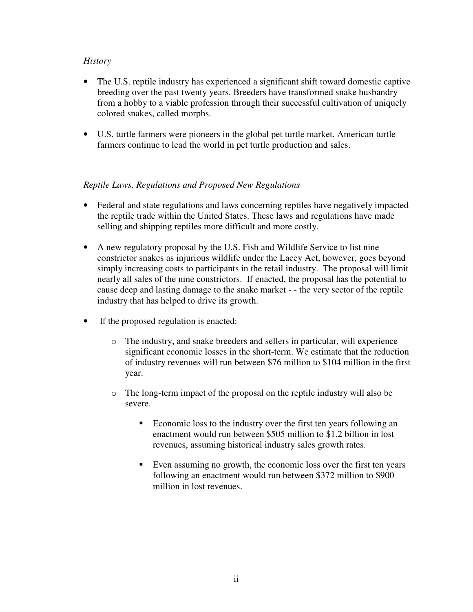# *History*

- The U.S. reptile industry has experienced a significant shift toward domestic captive breeding over the past twenty years. Breeders have transformed snake husbandry from a hobby to a viable profession through their successful cultivation of uniquely colored snakes, called morphs.
- U.S. turtle farmers were pioneers in the global pet turtle market. American turtle farmers continue to lead the world in pet turtle production and sales.

# *Reptile Laws, Regulations and Proposed New Regulations*

- Federal and state regulations and laws concerning reptiles have negatively impacted the reptile trade within the United States. These laws and regulations have made selling and shipping reptiles more difficult and more costly.
- A new regulatory proposal by the U.S. Fish and Wildlife Service to list nine constrictor snakes as injurious wildlife under the Lacey Act, however, goes beyond simply increasing costs to participants in the retail industry. The proposal will limit nearly all sales of the nine constrictors. If enacted, the proposal has the potential to cause deep and lasting damage to the snake market - - the very sector of the reptile industry that has helped to drive its growth.
- If the proposed regulation is enacted:
	- o The industry, and snake breeders and sellers in particular, will experience significant economic losses in the short-term. We estimate that the reduction of industry revenues will run between \$76 million to \$104 million in the first year.
	- o The long-term impact of the proposal on the reptile industry will also be severe.
		- **Exercise** Economic loss to the industry over the first ten years following an enactment would run between \$505 million to \$1.2 billion in lost revenues, assuming historical industry sales growth rates.
		- Even assuming no growth, the economic loss over the first ten years following an enactment would run between \$372 million to \$900 million in lost revenues.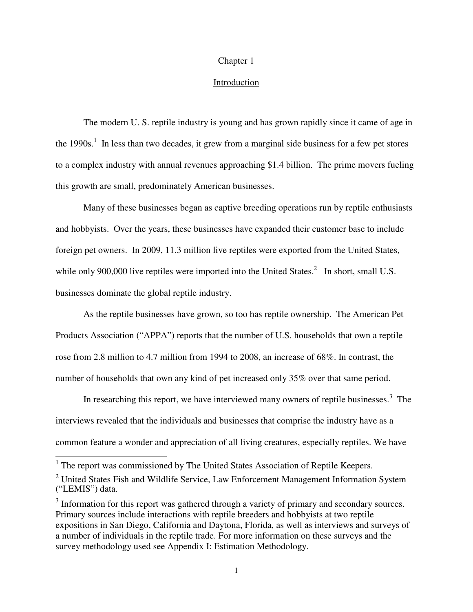#### Chapter 1

## Introduction

 The modern U. S. reptile industry is young and has grown rapidly since it came of age in the  $1990s<sup>1</sup>$ . In less than two decades, it grew from a marginal side business for a few pet stores to a complex industry with annual revenues approaching \$1.4 billion. The prime movers fueling this growth are small, predominately American businesses.

 Many of these businesses began as captive breeding operations run by reptile enthusiasts and hobbyists. Over the years, these businesses have expanded their customer base to include foreign pet owners. In 2009, 11.3 million live reptiles were exported from the United States, while only 900,000 live reptiles were imported into the United States. $^2$  In short, small U.S. businesses dominate the global reptile industry.

 As the reptile businesses have grown, so too has reptile ownership. The American Pet Products Association ("APPA") reports that the number of U.S. households that own a reptile rose from 2.8 million to 4.7 million from 1994 to 2008, an increase of 68%. In contrast, the number of households that own any kind of pet increased only 35% over that same period.

In researching this report, we have interviewed many owners of reptile businesses. $3$  The interviews revealed that the individuals and businesses that comprise the industry have as a common feature a wonder and appreciation of all living creatures, especially reptiles. We have

<sup>&</sup>lt;sup>1</sup> The report was commissioned by The United States Association of Reptile Keepers.

 $2$  United States Fish and Wildlife Service, Law Enforcement Management Information System ("LEMIS") data.

 $3$  Information for this report was gathered through a variety of primary and secondary sources. Primary sources include interactions with reptile breeders and hobbyists at two reptile expositions in San Diego, California and Daytona, Florida, as well as interviews and surveys of a number of individuals in the reptile trade. For more information on these surveys and the survey methodology used see Appendix I: Estimation Methodology.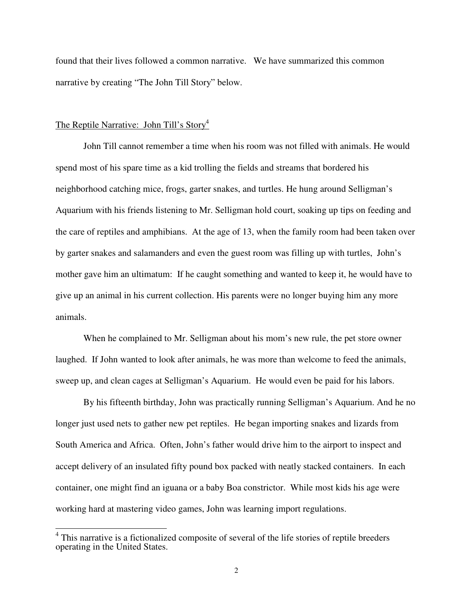found that their lives followed a common narrative. We have summarized this common narrative by creating "The John Till Story" below.

# The Reptile Narrative: John Till's Story<sup>4</sup>

 $\overline{a}$ 

 John Till cannot remember a time when his room was not filled with animals. He would spend most of his spare time as a kid trolling the fields and streams that bordered his neighborhood catching mice, frogs, garter snakes, and turtles. He hung around Selligman's Aquarium with his friends listening to Mr. Selligman hold court, soaking up tips on feeding and the care of reptiles and amphibians. At the age of 13, when the family room had been taken over by garter snakes and salamanders and even the guest room was filling up with turtles, John's mother gave him an ultimatum: If he caught something and wanted to keep it, he would have to give up an animal in his current collection. His parents were no longer buying him any more animals.

When he complained to Mr. Selligman about his mom's new rule, the pet store owner laughed. If John wanted to look after animals, he was more than welcome to feed the animals, sweep up, and clean cages at Selligman's Aquarium. He would even be paid for his labors.

By his fifteenth birthday, John was practically running Selligman's Aquarium. And he no longer just used nets to gather new pet reptiles. He began importing snakes and lizards from South America and Africa. Often, John's father would drive him to the airport to inspect and accept delivery of an insulated fifty pound box packed with neatly stacked containers. In each container, one might find an iguana or a baby Boa constrictor. While most kids his age were working hard at mastering video games, John was learning import regulations.

<sup>4</sup> This narrative is a fictionalized composite of several of the life stories of reptile breeders operating in the United States.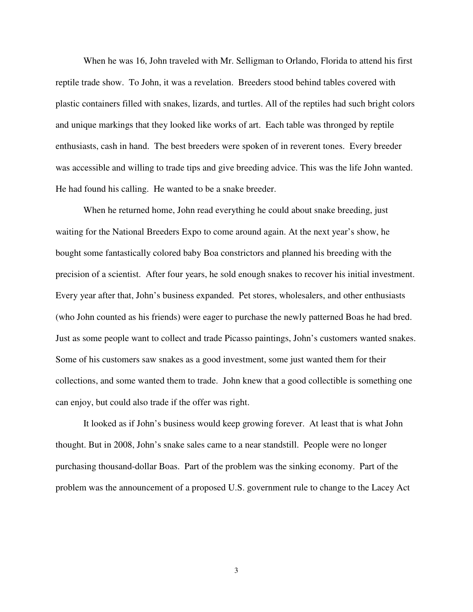When he was 16, John traveled with Mr. Selligman to Orlando, Florida to attend his first reptile trade show. To John, it was a revelation. Breeders stood behind tables covered with plastic containers filled with snakes, lizards, and turtles. All of the reptiles had such bright colors and unique markings that they looked like works of art. Each table was thronged by reptile enthusiasts, cash in hand. The best breeders were spoken of in reverent tones. Every breeder was accessible and willing to trade tips and give breeding advice. This was the life John wanted. He had found his calling. He wanted to be a snake breeder.

When he returned home, John read everything he could about snake breeding, just waiting for the National Breeders Expo to come around again. At the next year's show, he bought some fantastically colored baby Boa constrictors and planned his breeding with the precision of a scientist. After four years, he sold enough snakes to recover his initial investment. Every year after that, John's business expanded. Pet stores, wholesalers, and other enthusiasts (who John counted as his friends) were eager to purchase the newly patterned Boas he had bred. Just as some people want to collect and trade Picasso paintings, John's customers wanted snakes. Some of his customers saw snakes as a good investment, some just wanted them for their collections, and some wanted them to trade. John knew that a good collectible is something one can enjoy, but could also trade if the offer was right.

It looked as if John's business would keep growing forever. At least that is what John thought. But in 2008, John's snake sales came to a near standstill. People were no longer purchasing thousand-dollar Boas. Part of the problem was the sinking economy. Part of the problem was the announcement of a proposed U.S. government rule to change to the Lacey Act

3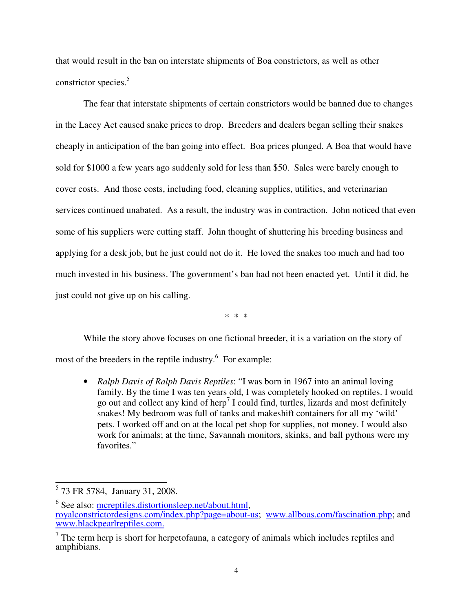that would result in the ban on interstate shipments of Boa constrictors, as well as other constrictor species.<sup>5</sup>

The fear that interstate shipments of certain constrictors would be banned due to changes in the Lacey Act caused snake prices to drop. Breeders and dealers began selling their snakes cheaply in anticipation of the ban going into effect. Boa prices plunged. A Boa that would have sold for \$1000 a few years ago suddenly sold for less than \$50. Sales were barely enough to cover costs. And those costs, including food, cleaning supplies, utilities, and veterinarian services continued unabated. As a result, the industry was in contraction. John noticed that even some of his suppliers were cutting staff. John thought of shuttering his breeding business and applying for a desk job, but he just could not do it. He loved the snakes too much and had too much invested in his business. The government's ban had not been enacted yet. Until it did, he just could not give up on his calling.

\* \* \*

While the story above focuses on one fictional breeder, it is a variation on the story of most of the breeders in the reptile industry.<sup>6</sup> For example:

• *Ralph Davis of Ralph Davis Reptiles*: "I was born in 1967 into an animal loving family. By the time I was ten years old, I was completely hooked on reptiles. I would go out and collect any kind of herp<sup>7</sup> I could find, turtles, lizards and most definitely snakes! My bedroom was full of tanks and makeshift containers for all my 'wild' pets. I worked off and on at the local pet shop for supplies, not money. I would also work for animals; at the time, Savannah monitors, skinks, and ball pythons were my favorites."

<sup>5&</sup>lt;br>
<sup>5</sup> 73 FR 5784, January 31, 2008.

<sup>&</sup>lt;sup>6</sup> See also: mcreptiles.distortionsleep.net/about.html, royalconstrictordesigns.com/index.php?page=about-us; www.allboas.com/fascination.php; and www.blackpearlreptiles.com.

 $<sup>7</sup>$  The term herp is short for herpetofauna, a category of animals which includes reptiles and</sup> amphibians.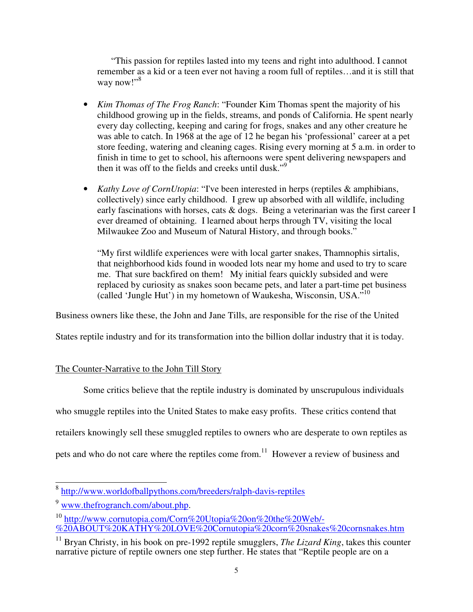"This passion for reptiles lasted into my teens and right into adulthood. I cannot remember as a kid or a teen ever not having a room full of reptiles…and it is still that way now!"<sup>8</sup>

- *Kim Thomas of The Frog Ranch*: "Founder Kim Thomas spent the majority of his childhood growing up in the fields, streams, and ponds of California. He spent nearly every day collecting, keeping and caring for frogs, snakes and any other creature he was able to catch. In 1968 at the age of 12 he began his 'professional' career at a pet store feeding, watering and cleaning cages. Rising every morning at 5 a.m. in order to finish in time to get to school, his afternoons were spent delivering newspapers and then it was off to the fields and creeks until dusk." $\frac{1}{9}$
- *Kathy Love of CornUtopia*: "I've been interested in herps (reptiles & amphibians, collectively) since early childhood. I grew up absorbed with all wildlife, including early fascinations with horses, cats & dogs. Being a veterinarian was the first career I ever dreamed of obtaining. I learned about herps through TV, visiting the local Milwaukee Zoo and Museum of Natural History, and through books."

"My first wildlife experiences were with local garter snakes, Thamnophis sirtalis, that neighborhood kids found in wooded lots near my home and used to try to scare me. That sure backfired on them! My initial fears quickly subsided and were replaced by curiosity as snakes soon became pets, and later a part-time pet business (called 'Jungle Hut') in my hometown of Waukesha, Wisconsin, USA."<sup>10</sup>

Business owners like these, the John and Jane Tills, are responsible for the rise of the United

States reptile industry and for its transformation into the billion dollar industry that it is today.

# The Counter-Narrative to the John Till Story

Some critics believe that the reptile industry is dominated by unscrupulous individuals

who smuggle reptiles into the United States to make easy profits. These critics contend that

retailers knowingly sell these smuggled reptiles to owners who are desperate to own reptiles as

pets and who do not care where the reptiles come from.<sup>11</sup> However a review of business and

 $\overline{\phantom{0}}$ 8 http://www.worldofballpythons.com/breeders/ralph-davis-reptiles

<sup>9</sup> www.thefrogranch.com/about.php.

<sup>10</sup> http://www.cornutopia.com/Corn%20Utopia%20on%20the%20Web/- %20ABOUT%20KATHY%20LOVE%20Cornutopia%20corn%20snakes%20cornsnakes.htm

<sup>&</sup>lt;sup>11</sup> Bryan Christy, in his book on pre-1992 reptile smugglers, *The Lizard King*, takes this counter narrative picture of reptile owners one step further. He states that "Reptile people are on a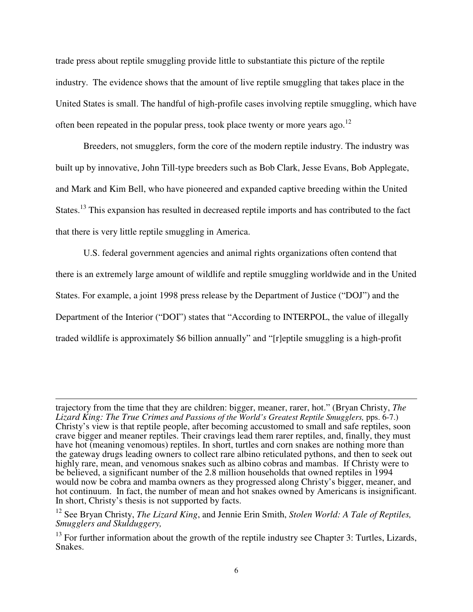trade press about reptile smuggling provide little to substantiate this picture of the reptile industry. The evidence shows that the amount of live reptile smuggling that takes place in the United States is small. The handful of high-profile cases involving reptile smuggling, which have often been repeated in the popular press, took place twenty or more years ago.<sup>12</sup>

 Breeders, not smugglers, form the core of the modern reptile industry. The industry was built up by innovative, John Till-type breeders such as Bob Clark, Jesse Evans, Bob Applegate, and Mark and Kim Bell, who have pioneered and expanded captive breeding within the United States.<sup>13</sup> This expansion has resulted in decreased reptile imports and has contributed to the fact that there is very little reptile smuggling in America.

 U.S. federal government agencies and animal rights organizations often contend that there is an extremely large amount of wildlife and reptile smuggling worldwide and in the United States. For example, a joint 1998 press release by the Department of Justice ("DOJ") and the Department of the Interior ("DOI") states that "According to INTERPOL, the value of illegally traded wildlife is approximately \$6 billion annually" and "[r]eptile smuggling is a high-profit

 $\overline{a}$ 

trajectory from the time that they are children: bigger, meaner, rarer, hot." (Bryan Christy, *The Lizard King: The True Crimes and Passions of the World's Greatest Reptile Smugglers,* pps. 6-7.) Christy's view is that reptile people, after becoming accustomed to small and safe reptiles, soon crave bigger and meaner reptiles. Their cravings lead them rarer reptiles, and, finally, they must have hot (meaning venomous) reptiles. In short, turtles and corn snakes are nothing more than the gateway drugs leading owners to collect rare albino reticulated pythons, and then to seek out highly rare, mean, and venomous snakes such as albino cobras and mambas. If Christy were to be believed, a significant number of the 2.8 million households that owned reptiles in 1994 would now be cobra and mamba owners as they progressed along Christy's bigger, meaner, and hot continuum. In fact, the number of mean and hot snakes owned by Americans is insignificant. In short, Christy's thesis is not supported by facts.

<sup>12</sup> See Bryan Christy, *The Lizard King*, and Jennie Erin Smith, *Stolen World: A Tale of Reptiles, Smugglers and Skulduggery,* 

 $13$  For further information about the growth of the reptile industry see Chapter 3: Turtles, Lizards, Snakes.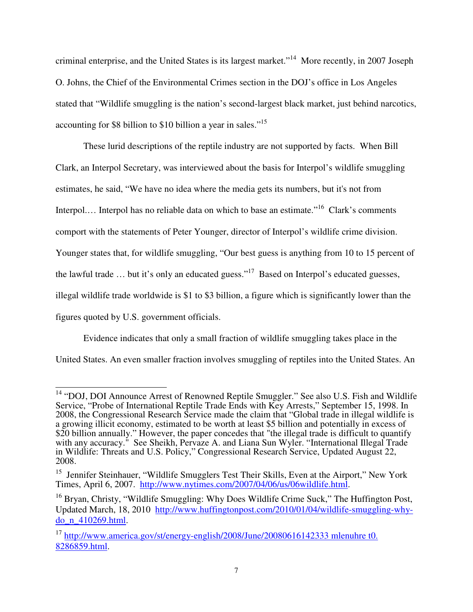criminal enterprise, and the United States is its largest market."<sup>14</sup> More recently, in 2007 Joseph O. Johns, the Chief of the Environmental Crimes section in the DOJ's office in Los Angeles stated that "Wildlife smuggling is the nation's second-largest black market, just behind narcotics, accounting for \$8 billion to \$10 billion a year in sales."<sup>15</sup>

These lurid descriptions of the reptile industry are not supported by facts. When Bill Clark, an Interpol Secretary, was interviewed about the basis for Interpol's wildlife smuggling estimates, he said, "We have no idea where the media gets its numbers, but it's not from Interpol.... Interpol has no reliable data on which to base an estimate."<sup>16</sup> Clark's comments comport with the statements of Peter Younger, director of Interpol's wildlife crime division. Younger states that, for wildlife smuggling, "Our best guess is anything from 10 to 15 percent of the lawful trade  $\ldots$  but it's only an educated guess."<sup>17</sup> Based on Interpol's educated guesses, illegal wildlife trade worldwide is \$1 to \$3 billion, a figure which is significantly lower than the figures quoted by U.S. government officials.

Evidence indicates that only a small fraction of wildlife smuggling takes place in the United States. An even smaller fraction involves smuggling of reptiles into the United States. An

 $\overline{\phantom{a}}$ <sup>14</sup> "DOJ, DOI Announce Arrest of Renowned Reptile Smuggler." See also U.S. Fish and Wildlife Service, "Probe of International Reptile Trade Ends with Key Arrests," September 15, 1998. In 2008, the Congressional Research Service made the claim that "Global trade in illegal wildlife is a growing illicit economy, estimated to be worth at least \$5 billion and potentially in excess of \$20 billion annually." However, the paper concedes that "the illegal trade is difficult to quantify with any accuracy." See Sheikh, Pervaze A. and Liana Sun Wyler. "International Illegal Trade in Wildlife: Threats and U.S. Policy," Congressional Research Service, Updated August 22, 2008.

<sup>&</sup>lt;sup>15</sup> Jennifer Steinhauer, "Wildlife Smugglers Test Their Skills, Even at the Airport," New York Times, April 6, 2007. http://www.nytimes.com/2007/04/06/us/06wildlife.html.

 $16$  Bryan, Christy, "Wildlife Smuggling: Why Does Wildlife Crime Suck," The Huffington Post, Updated March, 18, 2010 http://www.huffingtonpost.com/2010/01/04/wildlife-smuggling-whydo\_n\_410269.html.

<sup>&</sup>lt;sup>17</sup> http://www.america.gov/st/energy-english/2008/June/20080616142333 mlenuhre t0. 8286859.html.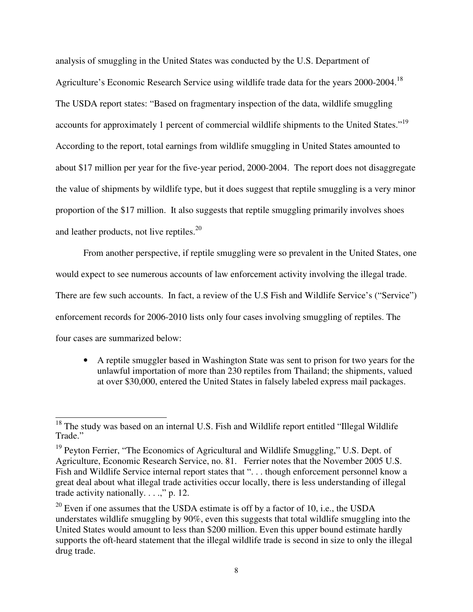analysis of smuggling in the United States was conducted by the U.S. Department of Agriculture's Economic Research Service using wildlife trade data for the years 2000-2004.<sup>18</sup> The USDA report states: "Based on fragmentary inspection of the data, wildlife smuggling accounts for approximately 1 percent of commercial wildlife shipments to the United States."<sup>19</sup> According to the report, total earnings from wildlife smuggling in United States amounted to about \$17 million per year for the five-year period, 2000-2004. The report does not disaggregate the value of shipments by wildlife type, but it does suggest that reptile smuggling is a very minor proportion of the \$17 million. It also suggests that reptile smuggling primarily involves shoes and leather products, not live reptiles. $20$ 

From another perspective, if reptile smuggling were so prevalent in the United States, one would expect to see numerous accounts of law enforcement activity involving the illegal trade. There are few such accounts. In fact, a review of the U.S Fish and Wildlife Service's ("Service") enforcement records for 2006-2010 lists only four cases involving smuggling of reptiles. The four cases are summarized below:

• A reptile smuggler based in Washington State was sent to prison for two years for the unlawful importation of more than 230 reptiles from Thailand; the shipments, valued at over \$30,000, entered the United States in falsely labeled express mail packages.

  $18$  The study was based on an internal U.S. Fish and Wildlife report entitled "Illegal Wildlife" Trade."

<sup>&</sup>lt;sup>19</sup> Peyton Ferrier, "The Economics of Agricultural and Wildlife Smuggling," U.S. Dept. of Agriculture, Economic Research Service, no. 81. Ferrier notes that the November 2005 U.S. Fish and Wildlife Service internal report states that "... though enforcement personnel know a great deal about what illegal trade activities occur locally, there is less understanding of illegal trade activity nationally. . . .," p. 12.

 $20$  Even if one assumes that the USDA estimate is off by a factor of 10, i.e., the USDA understates wildlife smuggling by 90%, even this suggests that total wildlife smuggling into the United States would amount to less than \$200 million. Even this upper bound estimate hardly supports the oft-heard statement that the illegal wildlife trade is second in size to only the illegal drug trade.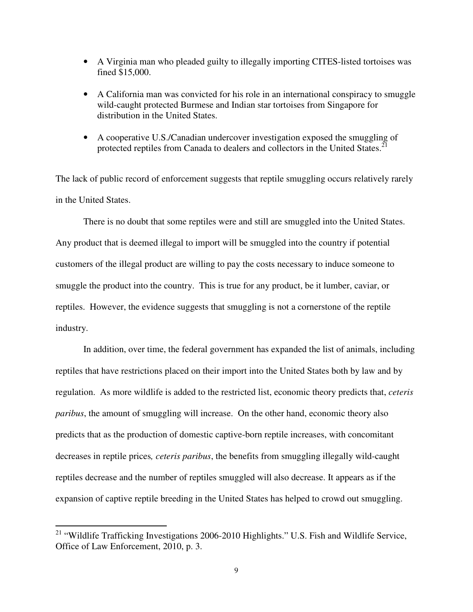- A Virginia man who pleaded guilty to illegally importing CITES-listed tortoises was fined \$15,000.
- A California man was convicted for his role in an international conspiracy to smuggle wild-caught protected Burmese and Indian star tortoises from Singapore for distribution in the United States.
- A cooperative U.S./Canadian undercover investigation exposed the smuggling of protected reptiles from Canada to dealers and collectors in the United States.<sup>21</sup>

The lack of public record of enforcement suggests that reptile smuggling occurs relatively rarely in the United States.

 There is no doubt that some reptiles were and still are smuggled into the United States. Any product that is deemed illegal to import will be smuggled into the country if potential customers of the illegal product are willing to pay the costs necessary to induce someone to smuggle the product into the country. This is true for any product, be it lumber, caviar, or reptiles. However, the evidence suggests that smuggling is not a cornerstone of the reptile industry.

In addition, over time, the federal government has expanded the list of animals, including reptiles that have restrictions placed on their import into the United States both by law and by regulation. As more wildlife is added to the restricted list, economic theory predicts that, *ceteris paribus*, the amount of smuggling will increase. On the other hand, economic theory also predicts that as the production of domestic captive-born reptile increases, with concomitant decreases in reptile prices*, ceteris paribus*, the benefits from smuggling illegally wild-caught reptiles decrease and the number of reptiles smuggled will also decrease. It appears as if the expansion of captive reptile breeding in the United States has helped to crowd out smuggling.

 $\overline{a}$ 

<sup>&</sup>lt;sup>21</sup> "Wildlife Trafficking Investigations 2006-2010 Highlights." U.S. Fish and Wildlife Service, Office of Law Enforcement, 2010, p. 3.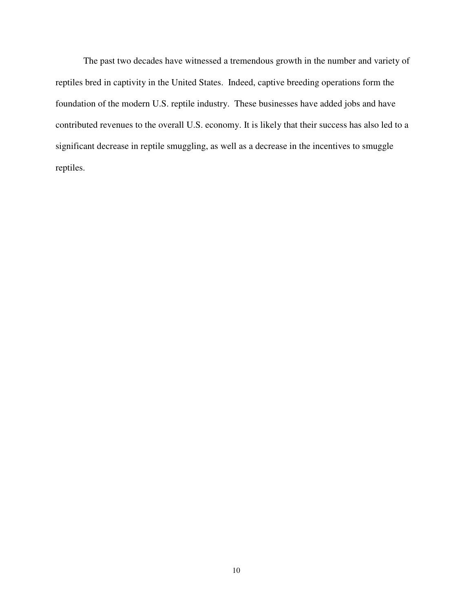The past two decades have witnessed a tremendous growth in the number and variety of reptiles bred in captivity in the United States. Indeed, captive breeding operations form the foundation of the modern U.S. reptile industry. These businesses have added jobs and have contributed revenues to the overall U.S. economy. It is likely that their success has also led to a significant decrease in reptile smuggling, as well as a decrease in the incentives to smuggle reptiles.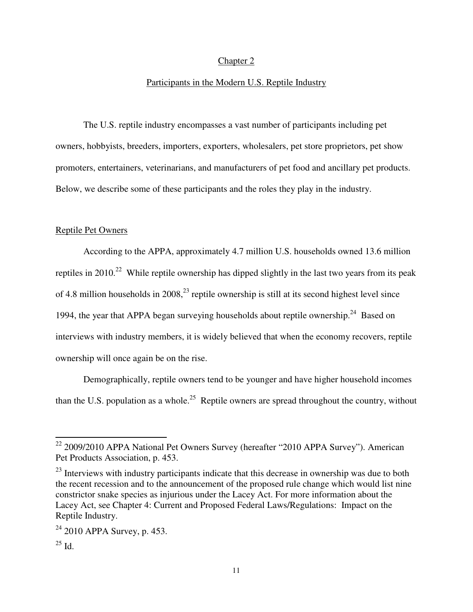# Chapter 2

#### Participants in the Modern U.S. Reptile Industry

 The U.S. reptile industry encompasses a vast number of participants including pet owners, hobbyists, breeders, importers, exporters, wholesalers, pet store proprietors, pet show promoters, entertainers, veterinarians, and manufacturers of pet food and ancillary pet products. Below, we describe some of these participants and the roles they play in the industry.

# Reptile Pet Owners

According to the APPA, approximately 4.7 million U.S. households owned 13.6 million reptiles in 2010.<sup>22</sup> While reptile ownership has dipped slightly in the last two years from its peak of 4.8 million households in  $2008<sup>23</sup>$  reptile ownership is still at its second highest level since 1994, the year that APPA began surveying households about reptile ownership.<sup>24</sup> Based on interviews with industry members, it is widely believed that when the economy recovers, reptile ownership will once again be on the rise.

Demographically, reptile owners tend to be younger and have higher household incomes than the U.S. population as a whole.<sup>25</sup> Reptile owners are spread throughout the country, without

-

 $22$  2009/2010 APPA National Pet Owners Survey (hereafter "2010 APPA Survey"). American Pet Products Association, p. 453.

<sup>&</sup>lt;sup>23</sup> Interviews with industry participants indicate that this decrease in ownership was due to both the recent recession and to the announcement of the proposed rule change which would list nine constrictor snake species as injurious under the Lacey Act. For more information about the Lacey Act, see Chapter 4: Current and Proposed Federal Laws/Regulations: Impact on the Reptile Industry.

<sup>24</sup> 2010 APPA Survey, p. 453.

 $^{25}$  Id.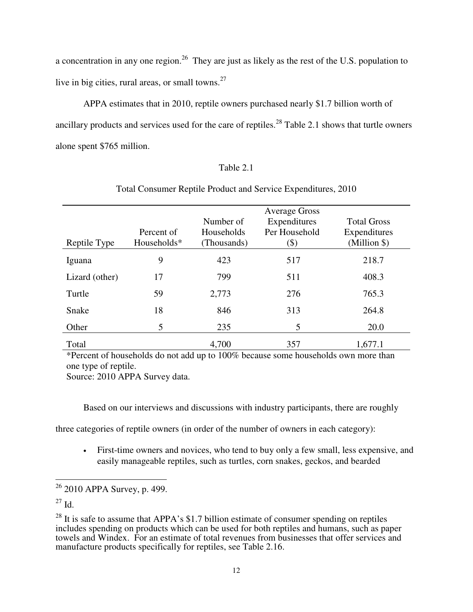a concentration in any one region.<sup>26</sup> They are just as likely as the rest of the U.S. population to live in big cities, rural areas, or small towns. $27$ 

APPA estimates that in 2010, reptile owners purchased nearly \$1.7 billion worth of ancillary products and services used for the care of reptiles.<sup>28</sup> Table 2.1 shows that turtle owners alone spent \$765 million.

# Table 2.1

| Reptile Type   | Percent of<br>Households* | Number of<br>Households<br>(Thousands) | <b>Average Gross</b><br>Expenditures<br>Per Household<br>$(\$)$ | <b>Total Gross</b><br>Expenditures<br>$(Million \$ |
|----------------|---------------------------|----------------------------------------|-----------------------------------------------------------------|----------------------------------------------------|
| Iguana         | 9                         | 423                                    | 517                                                             | 218.7                                              |
| Lizard (other) | 17                        | 799                                    | 511                                                             | 408.3                                              |
| Turtle         | 59                        | 2,773                                  | 276                                                             | 765.3                                              |
| Snake          | 18                        | 846                                    | 313                                                             | 264.8                                              |
| Other          | 5                         | 235                                    | 5                                                               | 20.0                                               |
| Total          |                           | 4,700                                  | 357                                                             | 1,677.1                                            |

# Total Consumer Reptile Product and Service Expenditures, 2010

\*Percent of households do not add up to 100% because some households own more than one type of reptile.

Source: 2010 APPA Survey data.

Based on our interviews and discussions with industry participants, there are roughly

three categories of reptile owners (in order of the number of owners in each category):

• First-time owners and novices, who tend to buy only a few small, less expensive, and easily manageable reptiles, such as turtles, corn snakes, geckos, and bearded

<sup>27</sup> Id.

 $\overline{a}$  $26$  2010 APPA Survey, p. 499.

 $^{28}$  It is safe to assume that APPA's \$1.7 billion estimate of consumer spending on reptiles includes spending on products which can be used for both reptiles and humans, such as paper towels and Windex. For an estimate of total revenues from businesses that offer services and manufacture products specifically for reptiles, see Table 2.16.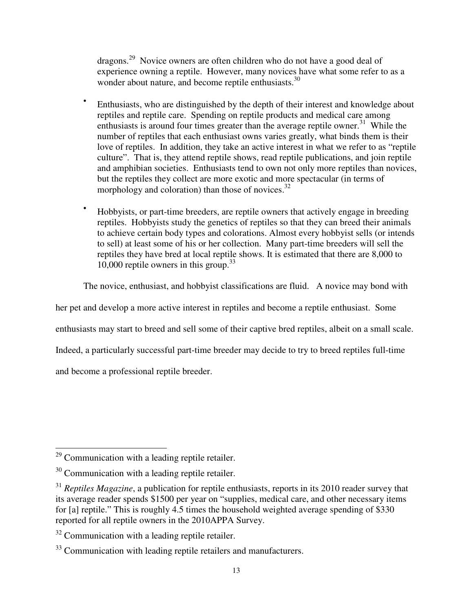dragons.<sup>29</sup> Novice owners are often children who do not have a good deal of experience owning a reptile. However, many novices have what some refer to as a wonder about nature, and become reptile enthusiasts. 30

- Enthusiasts, who are distinguished by the depth of their interest and knowledge about reptiles and reptile care. Spending on reptile products and medical care among enthusiasts is around four times greater than the average reptile owner.<sup>31</sup> While the number of reptiles that each enthusiast owns varies greatly, what binds them is their love of reptiles. In addition, they take an active interest in what we refer to as "reptile culture". That is, they attend reptile shows, read reptile publications, and join reptile and amphibian societies. Enthusiasts tend to own not only more reptiles than novices, but the reptiles they collect are more exotic and more spectacular (in terms of morphology and coloration) than those of novices. $32$
- Hobbyists, or part-time breeders, are reptile owners that actively engage in breeding reptiles. Hobbyists study the genetics of reptiles so that they can breed their animals to achieve certain body types and colorations. Almost every hobbyist sells (or intends to sell) at least some of his or her collection. Many part-time breeders will sell the reptiles they have bred at local reptile shows. It is estimated that there are 8,000 to 10,000 reptile owners in this group. $33$

The novice, enthusiast, and hobbyist classifications are fluid. A novice may bond with

her pet and develop a more active interest in reptiles and become a reptile enthusiast. Some

enthusiasts may start to breed and sell some of their captive bred reptiles, albeit on a small scale.

Indeed, a particularly successful part-time breeder may decide to try to breed reptiles full-time

and become a professional reptile breeder.

<sup>32</sup> Communication with a leading reptile retailer.

<sup>-</sup> $29$  Communication with a leading reptile retailer.

<sup>&</sup>lt;sup>30</sup> Communication with a leading reptile retailer.

<sup>&</sup>lt;sup>31</sup> *Reptiles Magazine*, a publication for reptile enthusiasts, reports in its 2010 reader survey that its average reader spends \$1500 per year on "supplies, medical care, and other necessary items for [a] reptile." This is roughly 4.5 times the household weighted average spending of \$330 reported for all reptile owners in the 2010APPA Survey.

<sup>&</sup>lt;sup>33</sup> Communication with leading reptile retailers and manufacturers.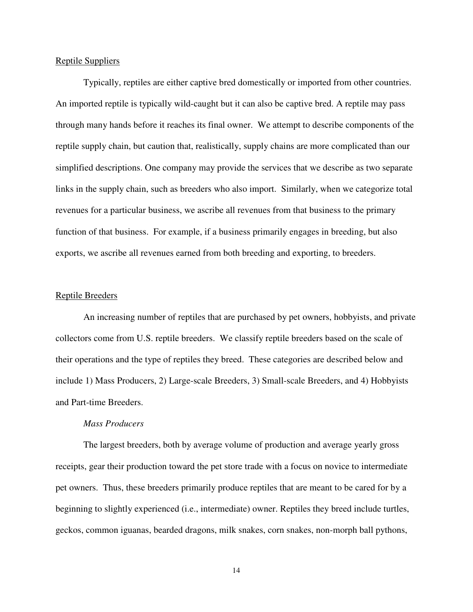# Reptile Suppliers

Typically, reptiles are either captive bred domestically or imported from other countries. An imported reptile is typically wild-caught but it can also be captive bred. A reptile may pass through many hands before it reaches its final owner. We attempt to describe components of the reptile supply chain, but caution that, realistically, supply chains are more complicated than our simplified descriptions. One company may provide the services that we describe as two separate links in the supply chain, such as breeders who also import. Similarly, when we categorize total revenues for a particular business, we ascribe all revenues from that business to the primary function of that business. For example, if a business primarily engages in breeding, but also exports, we ascribe all revenues earned from both breeding and exporting, to breeders.

#### Reptile Breeders

An increasing number of reptiles that are purchased by pet owners, hobbyists, and private collectors come from U.S. reptile breeders. We classify reptile breeders based on the scale of their operations and the type of reptiles they breed. These categories are described below and include 1) Mass Producers, 2) Large-scale Breeders, 3) Small-scale Breeders, and 4) Hobbyists and Part-time Breeders.

#### *Mass Producers*

The largest breeders, both by average volume of production and average yearly gross receipts, gear their production toward the pet store trade with a focus on novice to intermediate pet owners. Thus, these breeders primarily produce reptiles that are meant to be cared for by a beginning to slightly experienced (i.e., intermediate) owner. Reptiles they breed include turtles, geckos, common iguanas, bearded dragons, milk snakes, corn snakes, non-morph ball pythons,

14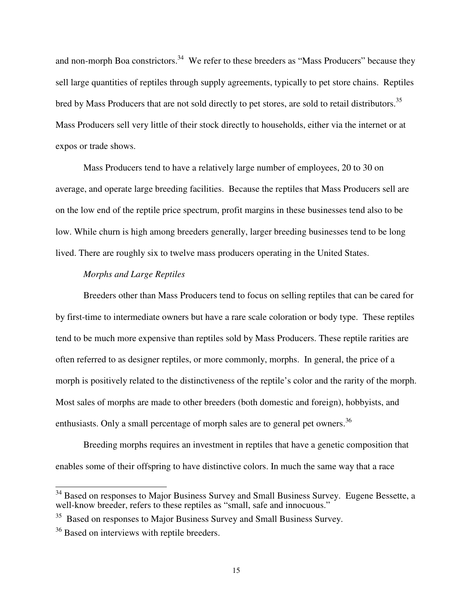and non-morph Boa constrictors.<sup>34</sup> We refer to these breeders as "Mass Producers" because they sell large quantities of reptiles through supply agreements, typically to pet store chains. Reptiles bred by Mass Producers that are not sold directly to pet stores, are sold to retail distributors.<sup>35</sup> Mass Producers sell very little of their stock directly to households, either via the internet or at expos or trade shows.

Mass Producers tend to have a relatively large number of employees, 20 to 30 on average, and operate large breeding facilities. Because the reptiles that Mass Producers sell are on the low end of the reptile price spectrum, profit margins in these businesses tend also to be low. While churn is high among breeders generally, larger breeding businesses tend to be long lived. There are roughly six to twelve mass producers operating in the United States.

# *Morphs and Large Reptiles*

Breeders other than Mass Producers tend to focus on selling reptiles that can be cared for by first-time to intermediate owners but have a rare scale coloration or body type. These reptiles tend to be much more expensive than reptiles sold by Mass Producers. These reptile rarities are often referred to as designer reptiles, or more commonly, morphs. In general, the price of a morph is positively related to the distinctiveness of the reptile's color and the rarity of the morph. Most sales of morphs are made to other breeders (both domestic and foreign), hobbyists, and enthusiasts. Only a small percentage of morph sales are to general pet owners.<sup>36</sup>

 Breeding morphs requires an investment in reptiles that have a genetic composition that enables some of their offspring to have distinctive colors. In much the same way that a race

 $\frac{1}{2}$ 

<sup>&</sup>lt;sup>34</sup> Based on responses to Major Business Survey and Small Business Survey. Eugene Bessette, a well-know breeder, refers to these reptiles as "small, safe and innocuous."

<sup>&</sup>lt;sup>35</sup> Based on responses to Major Business Survey and Small Business Survey.

<sup>&</sup>lt;sup>36</sup> Based on interviews with reptile breeders.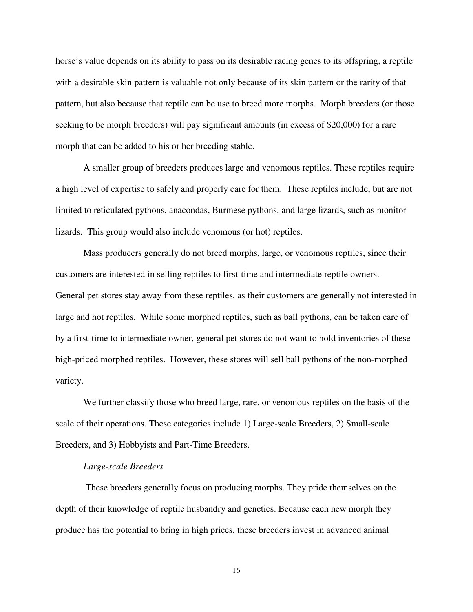horse's value depends on its ability to pass on its desirable racing genes to its offspring, a reptile with a desirable skin pattern is valuable not only because of its skin pattern or the rarity of that pattern, but also because that reptile can be use to breed more morphs. Morph breeders (or those seeking to be morph breeders) will pay significant amounts (in excess of \$20,000) for a rare morph that can be added to his or her breeding stable.

 A smaller group of breeders produces large and venomous reptiles. These reptiles require a high level of expertise to safely and properly care for them. These reptiles include, but are not limited to reticulated pythons, anacondas, Burmese pythons, and large lizards, such as monitor lizards. This group would also include venomous (or hot) reptiles.

 Mass producers generally do not breed morphs, large, or venomous reptiles, since their customers are interested in selling reptiles to first-time and intermediate reptile owners. General pet stores stay away from these reptiles, as their customers are generally not interested in large and hot reptiles. While some morphed reptiles, such as ball pythons, can be taken care of by a first-time to intermediate owner, general pet stores do not want to hold inventories of these high-priced morphed reptiles. However, these stores will sell ball pythons of the non-morphed variety.

 We further classify those who breed large, rare, or venomous reptiles on the basis of the scale of their operations. These categories include 1) Large-scale Breeders, 2) Small-scale Breeders, and 3) Hobbyists and Part-Time Breeders.

#### *Large-scale Breeders*

These breeders generally focus on producing morphs. They pride themselves on the depth of their knowledge of reptile husbandry and genetics. Because each new morph they produce has the potential to bring in high prices, these breeders invest in advanced animal

16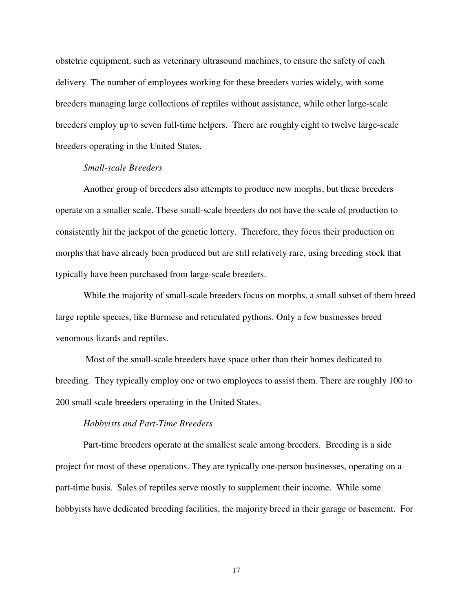obstetric equipment, such as veterinary ultrasound machines, to ensure the safety of each delivery. The number of employees working for these breeders varies widely, with some breeders managing large collections of reptiles without assistance, while other large-scale breeders employ up to seven full-time helpers. There are roughly eight to twelve large-scale breeders operating in the United States.

# *Small-scale Breeders*

 Another group of breeders also attempts to produce new morphs, but these breeders operate on a smaller scale. These small-scale breeders do not have the scale of production to consistently hit the jackpot of the genetic lottery. Therefore, they focus their production on morphs that have already been produced but are still relatively rare, using breeding stock that typically have been purchased from large-scale breeders.

 While the majority of small-scale breeders focus on morphs, a small subset of them breed large reptile species, like Burmese and reticulated pythons. Only a few businesses breed venomous lizards and reptiles.

 Most of the small-scale breeders have space other than their homes dedicated to breeding. They typically employ one or two employees to assist them. There are roughly 100 to 200 small scale breeders operating in the United States.

## *Hobbyists and Part-Time Breeders*

Part-time breeders operate at the smallest scale among breeders. Breeding is a side project for most of these operations. They are typically one-person businesses, operating on a part-time basis. Sales of reptiles serve mostly to supplement their income. While some hobbyists have dedicated breeding facilities, the majority breed in their garage or basement. For

17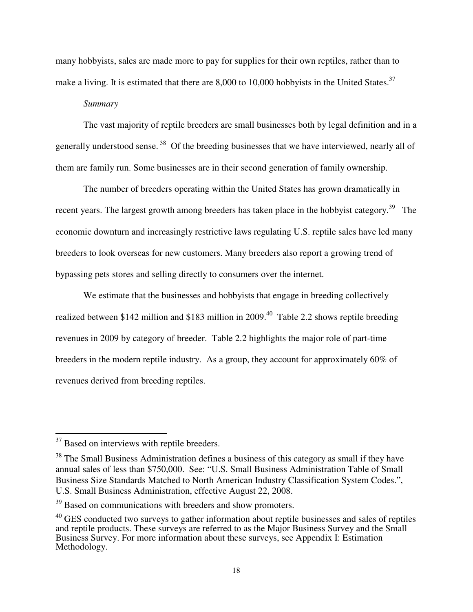many hobbyists, sales are made more to pay for supplies for their own reptiles, rather than to make a living. It is estimated that there are 8,000 to 10,000 hobbyists in the United States.<sup>37</sup>

## *Summary*

The vast majority of reptile breeders are small businesses both by legal definition and in a generally understood sense.<sup>38</sup> Of the breeding businesses that we have interviewed, nearly all of them are family run. Some businesses are in their second generation of family ownership.

The number of breeders operating within the United States has grown dramatically in recent years. The largest growth among breeders has taken place in the hobbyist category.<sup>39</sup> The economic downturn and increasingly restrictive laws regulating U.S. reptile sales have led many breeders to look overseas for new customers. Many breeders also report a growing trend of bypassing pets stores and selling directly to consumers over the internet.

We estimate that the businesses and hobbyists that engage in breeding collectively realized between \$142 million and \$183 million in 2009.<sup>40</sup> Table 2.2 shows reptile breeding revenues in 2009 by category of breeder. Table 2.2 highlights the major role of part-time breeders in the modern reptile industry. As a group, they account for approximately 60% of revenues derived from breeding reptiles.

-

 $37$  Based on interviews with reptile breeders.

<sup>&</sup>lt;sup>38</sup> The Small Business Administration defines a business of this category as small if they have annual sales of less than \$750,000. See: "U.S. Small Business Administration Table of Small Business Size Standards Matched to North American Industry Classification System Codes.", U.S. Small Business Administration, effective August 22, 2008.

<sup>&</sup>lt;sup>39</sup> Based on communications with breeders and show promoters.

 $40$  GES conducted two surveys to gather information about reptile businesses and sales of reptiles and reptile products. These surveys are referred to as the Major Business Survey and the Small Business Survey. For more information about these surveys, see Appendix I: Estimation Methodology.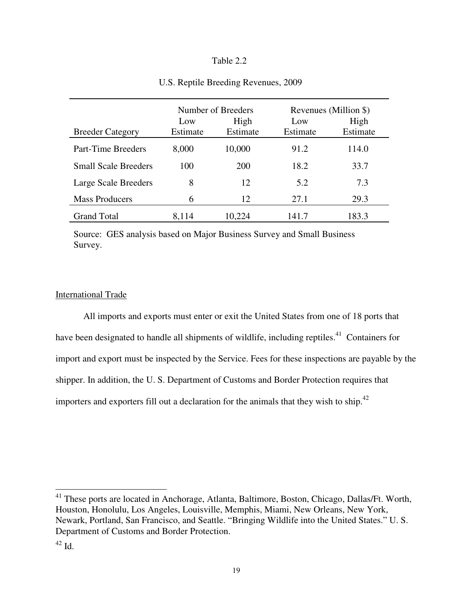# Table 2.2

|                             | Number of Breeders |                  | Revenues (Million \$) |                  |
|-----------------------------|--------------------|------------------|-----------------------|------------------|
| <b>Breeder Category</b>     | Low<br>Estimate    | High<br>Estimate | Low<br>Estimate       | High<br>Estimate |
| Part-Time Breeders          | 8,000              | 10,000           | 91.2                  | 114.0            |
| <b>Small Scale Breeders</b> | 100                | 200              | 18.2                  | 33.7             |
| Large Scale Breeders        | 8                  | 12               | 5.2                   | 7.3              |
| <b>Mass Producers</b>       | 6                  | 12               | 27.1                  | 29.3             |
| <b>Grand Total</b>          | 8,114              | 10,224           | 141.7                 | 183.3            |

# U.S. Reptile Breeding Revenues, 2009

Source: GES analysis based on Major Business Survey and Small Business Survey.

# International Trade

 All imports and exports must enter or exit the United States from one of 18 ports that have been designated to handle all shipments of wildlife, including reptiles.<sup>41</sup> Containers for import and export must be inspected by the Service. Fees for these inspections are payable by the shipper. In addition, the U. S. Department of Customs and Border Protection requires that importers and exporters fill out a declaration for the animals that they wish to ship.<sup>42</sup>

<sup>41</sup> These ports are located in Anchorage, Atlanta, Baltimore, Boston, Chicago, Dallas/Ft. Worth, Houston, Honolulu, Los Angeles, Louisville, Memphis, Miami, New Orleans, New York, Newark, Portland, San Francisco, and Seattle. "Bringing Wildlife into the United States." U. S. Department of Customs and Border Protection.

 $\overline{a}$ 

 $42$  Id.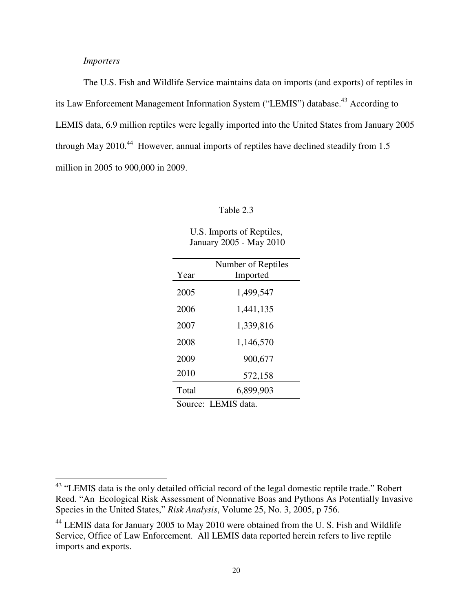# *Importers*

<u>.</u>

The U.S. Fish and Wildlife Service maintains data on imports (and exports) of reptiles in its Law Enforcement Management Information System ("LEMIS") database.<sup>43</sup> According to LEMIS data, 6.9 million reptiles were legally imported into the United States from January 2005 through May 2010.<sup>44</sup> However, annual imports of reptiles have declined steadily from 1.5 million in 2005 to 900,000 in 2009.

#### Table 2.3

U.S. Imports of Reptiles, January 2005 - May 2010

|                     | Number of Reptiles |  |
|---------------------|--------------------|--|
| Year                | Imported           |  |
|                     |                    |  |
| 2005                | 1,499,547          |  |
|                     |                    |  |
| 2006                | 1,441,135          |  |
| 2007                | 1,339,816          |  |
|                     |                    |  |
| 2008                | 1,146,570          |  |
|                     |                    |  |
| 2009                | 900,677            |  |
|                     |                    |  |
| 2010                | 572,158            |  |
| Total               | 6,899,903          |  |
|                     |                    |  |
| Source: LEMIS data. |                    |  |

<sup>&</sup>lt;sup>43</sup> "LEMIS data is the only detailed official record of the legal domestic reptile trade." Robert Reed. "An Ecological Risk Assessment of Nonnative Boas and Pythons As Potentially Invasive Species in the United States," *Risk Analysis*, Volume 25, No. 3, 2005, p 756.

<sup>&</sup>lt;sup>44</sup> LEMIS data for January 2005 to May 2010 were obtained from the U.S. Fish and Wildlife Service, Office of Law Enforcement. All LEMIS data reported herein refers to live reptile imports and exports.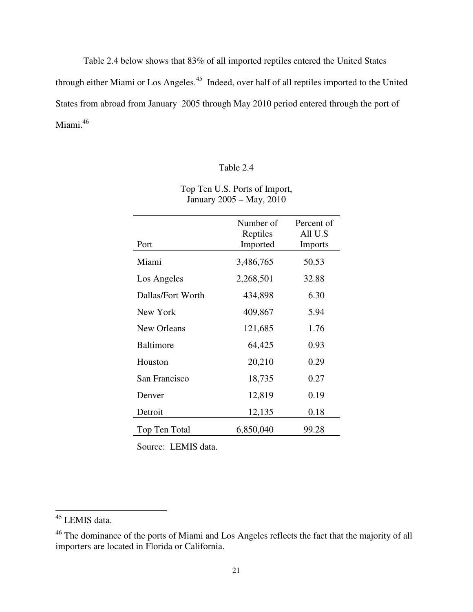Table 2.4 below shows that 83% of all imported reptiles entered the United States through either Miami or Los Angeles.<sup>45</sup> Indeed, over half of all reptiles imported to the United States from abroad from January 2005 through May 2010 period entered through the port of Miami.<sup>46</sup>

# Table 2.4

| Top Ten U.S. Ports of Import, |
|-------------------------------|
| January 2005 – May, 2010      |

| Port              | Number of<br>Reptiles<br>Imported | Percent of<br>All U.S<br><b>Imports</b> |
|-------------------|-----------------------------------|-----------------------------------------|
| Miami             | 3,486,765                         | 50.53                                   |
| Los Angeles       | 2,268,501                         | 32.88                                   |
| Dallas/Fort Worth | 434,898                           | 6.30                                    |
| New York          | 409,867                           | 5.94                                    |
| New Orleans       | 121,685                           | 1.76                                    |
| <b>Baltimore</b>  | 64,425                            | 0.93                                    |
| Houston           | 20,210                            | 0.29                                    |
| San Francisco     | 18,735                            | 0.27                                    |
| Denver            | 12,819                            | 0.19                                    |
| Detroit           | 12,135                            | 0.18                                    |
| Top Ten Total     | 6,850,040                         | 99.28                                   |

Source: LEMIS data.

-

<sup>&</sup>lt;sup>45</sup> LEMIS data.

<sup>&</sup>lt;sup>46</sup> The dominance of the ports of Miami and Los Angeles reflects the fact that the majority of all importers are located in Florida or California.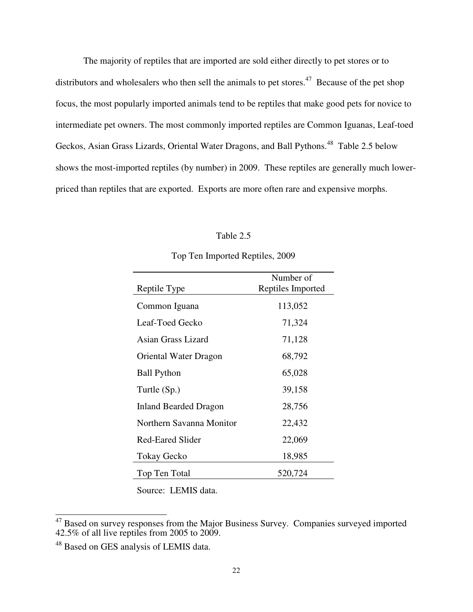The majority of reptiles that are imported are sold either directly to pet stores or to distributors and wholesalers who then sell the animals to pet stores.<sup>47</sup> Because of the pet shop focus, the most popularly imported animals tend to be reptiles that make good pets for novice to intermediate pet owners. The most commonly imported reptiles are Common Iguanas, Leaf-toed Geckos, Asian Grass Lizards, Oriental Water Dragons, and Ball Pythons.<sup>48</sup> Table 2.5 below shows the most-imported reptiles (by number) in 2009. These reptiles are generally much lowerpriced than reptiles that are exported. Exports are more often rare and expensive morphs.

## Table 2.5

| Reptile Type             | Number of<br>Reptiles Imported |
|--------------------------|--------------------------------|
| Common Iguana            | 113,052                        |
| Leaf-Toed Gecko          | 71,324                         |
| Asian Grass Lizard       | 71,128                         |
| Oriental Water Dragon    | 68,792                         |
| <b>Ball Python</b>       | 65,028                         |
| Turtle (Sp.)             | 39,158                         |
| Inland Bearded Dragon    | 28,756                         |
| Northern Savanna Monitor | 22,432                         |
| <b>Red-Eared Slider</b>  | 22,069                         |
| Tokay Gecko              | 18,985                         |
| Top Ten Total            | 520,724                        |

Top Ten Imported Reptiles, 2009

Source: LEMIS data.

 $\overline{a}$ 

 $47$  Based on survey responses from the Major Business Survey. Companies surveyed imported 42.5% of all live reptiles from 2005 to 2009.

<sup>48</sup> Based on GES analysis of LEMIS data.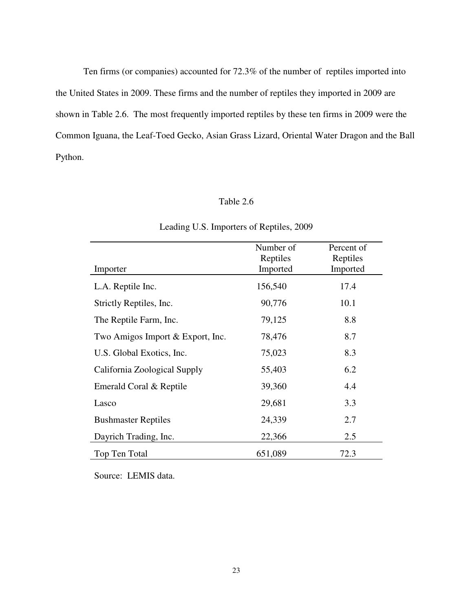Ten firms (or companies) accounted for 72.3% of the number of reptiles imported into the United States in 2009. These firms and the number of reptiles they imported in 2009 are shown in Table 2.6. The most frequently imported reptiles by these ten firms in 2009 were the Common Iguana, the Leaf-Toed Gecko, Asian Grass Lizard, Oriental Water Dragon and the Ball Python.

# Table 2.6

| Importer                         | Number of<br>Reptiles<br>Imported | Percent of<br>Reptiles<br>Imported |
|----------------------------------|-----------------------------------|------------------------------------|
| L.A. Reptile Inc.                | 156,540                           | 17.4                               |
| Strictly Reptiles, Inc.          | 90,776                            | 10.1                               |
| The Reptile Farm, Inc.           | 79,125                            | 8.8                                |
| Two Amigos Import & Export, Inc. | 78,476                            | 8.7                                |
| U.S. Global Exotics, Inc.        | 75,023                            | 8.3                                |
| California Zoological Supply     | 55,403                            | 6.2                                |
| Emerald Coral & Reptile          | 39,360                            | 4.4                                |
| Lasco                            | 29,681                            | 3.3                                |
| <b>Bushmaster Reptiles</b>       | 24,339                            | 2.7                                |
| Dayrich Trading, Inc.            | 22,366                            | 2.5                                |
| Top Ten Total                    | 651,089                           | 72.3                               |

# Leading U.S. Importers of Reptiles, 2009

Source: LEMIS data.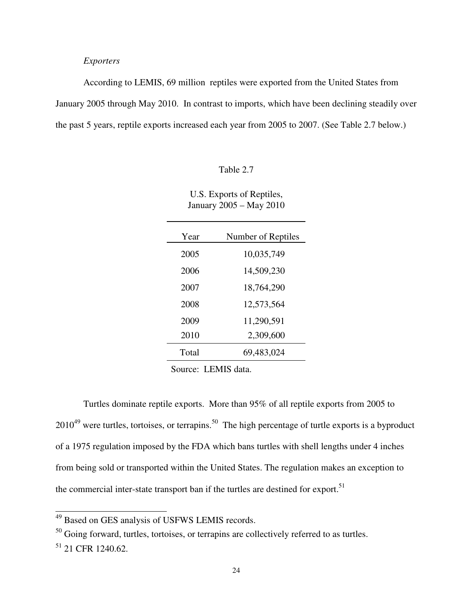# *Exporters*

 According to LEMIS, 69 million reptiles were exported from the United States from January 2005 through May 2010. In contrast to imports, which have been declining steadily over the past 5 years, reptile exports increased each year from 2005 to 2007. (See Table 2.7 below.)

## Table 2.7

|                              | U.S. Exports of Reptiles,<br>January 2005 - May 2010 |
|------------------------------|------------------------------------------------------|
| $\mathbf{V}_{\mathbf{P}}$ ar | Number of Rentil                                     |

| Year  | Number of Reptiles |
|-------|--------------------|
| 2005  | 10,035,749         |
| 2006  | 14,509,230         |
| 2007  | 18,764,290         |
| 2008  | 12,573,564         |
| 2009  | 11,290,591         |
| 2010  | 2,309,600          |
| Total | 69,483,024         |

Source: LEMIS data.

 Turtles dominate reptile exports. More than 95% of all reptile exports from 2005 to  $2010^{49}$  were turtles, tortoises, or terrapins.<sup>50</sup> The high percentage of turtle exports is a byproduct of a 1975 regulation imposed by the FDA which bans turtles with shell lengths under 4 inches from being sold or transported within the United States. The regulation makes an exception to the commercial inter-state transport ban if the turtles are destined for export.<sup>51</sup>

 $\overline{\phantom{a}}$ 

<sup>&</sup>lt;sup>49</sup> Based on GES analysis of USFWS LEMIS records.

<sup>&</sup>lt;sup>50</sup> Going forward, turtles, tortoises, or terrapins are collectively referred to as turtles.

 $51$  21 CFR 1240.62.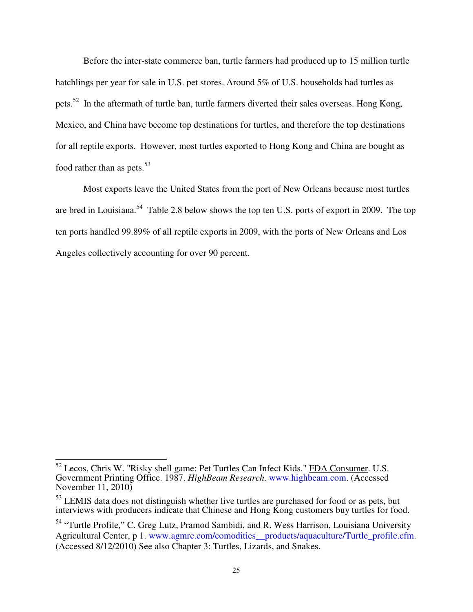Before the inter-state commerce ban, turtle farmers had produced up to 15 million turtle hatchlings per year for sale in U.S. pet stores. Around 5% of U.S. households had turtles as pets.<sup>52</sup> In the aftermath of turtle ban, turtle farmers diverted their sales overseas. Hong Kong, Mexico, and China have become top destinations for turtles, and therefore the top destinations for all reptile exports. However, most turtles exported to Hong Kong and China are bought as food rather than as pets.<sup>53</sup>

 Most exports leave the United States from the port of New Orleans because most turtles are bred in Louisiana.<sup>54</sup> Table 2.8 below shows the top ten U.S. ports of export in 2009. The top ten ports handled 99.89% of all reptile exports in 2009, with the ports of New Orleans and Los Angeles collectively accounting for over 90 percent.

 $\overline{\phantom{a}}$ 

 $52$  Lecos, Chris W. "Risky shell game: Pet Turtles Can Infect Kids." FDA Consumer. U.S. Government Printing Office. 1987. *HighBeam Research*. www.highbeam.com. (Accessed November 11, 2010)

<sup>&</sup>lt;sup>53</sup> LEMIS data does not distinguish whether live turtles are purchased for food or as pets, but interviews with producers indicate that Chinese and Hong Kong customers buy turtles for food.

<sup>&</sup>lt;sup>54</sup> "Turtle Profile," C. Greg Lutz, Pramod Sambidi, and R. Wess Harrison, Louisiana University Agricultural Center, p 1. www.agmrc.com/comodities\_\_products/aquaculture/Turtle\_profile.cfm. (Accessed 8/12/2010) See also Chapter 3: Turtles, Lizards, and Snakes.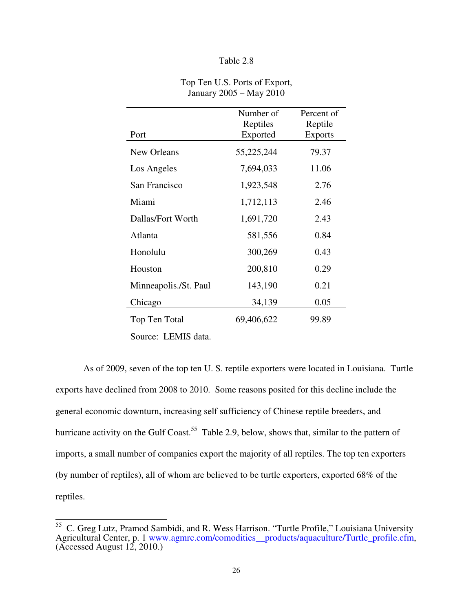| Table 2.8 |  |
|-----------|--|
|-----------|--|

|                       | Number of<br>Reptiles | Percent of                |
|-----------------------|-----------------------|---------------------------|
| Port                  | Exported              | Reptile<br><b>Exports</b> |
| New Orleans           | 55,225,244            | 79.37                     |
| Los Angeles           | 7,694,033             | 11.06                     |
| San Francisco         | 1,923,548             | 2.76                      |
| Miami                 | 1,712,113             | 2.46                      |
| Dallas/Fort Worth     | 1,691,720             | 2.43                      |
| Atlanta               | 581,556               | 0.84                      |
| Honolulu              | 300,269               | 0.43                      |
| Houston               | 200,810               | 0.29                      |
| Minneapolis./St. Paul | 143,190               | 0.21                      |
| Chicago               | 34,139                | 0.05                      |
| Top Ten Total         | 69,406,622            | 99.89                     |

Top Ten U.S. Ports of Export, January 2005 – May 2010

Source: LEMIS data.

 $\overline{\phantom{a}}$ 

 As of 2009, seven of the top ten U. S. reptile exporters were located in Louisiana. Turtle exports have declined from 2008 to 2010. Some reasons posited for this decline include the general economic downturn, increasing self sufficiency of Chinese reptile breeders, and hurricane activity on the Gulf Coast.<sup>55</sup> Table 2.9, below, shows that, similar to the pattern of imports, a small number of companies export the majority of all reptiles. The top ten exporters (by number of reptiles), all of whom are believed to be turtle exporters, exported 68% of the reptiles.

<sup>&</sup>lt;sup>55</sup> C. Greg Lutz, Pramod Sambidi, and R. Wess Harrison. "Turtle Profile," Louisiana University Agricultural Center, p. 1 www.agmrc.com/comodities products/aquaculture/Turtle profile.cfm, (Accessed August  $12, 20\overline{10.}$ )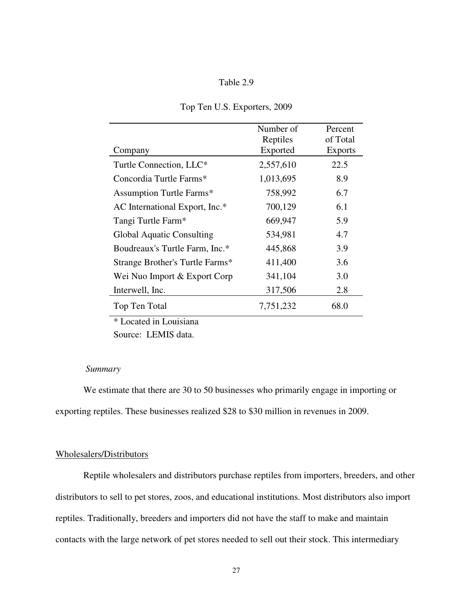|  | Table 2.9 |
|--|-----------|
|  |           |

|                                  | Number of | Percent        |
|----------------------------------|-----------|----------------|
|                                  | Reptiles  | of Total       |
| Company                          | Exported  | <b>Exports</b> |
| Turtle Connection, LLC*          | 2,557,610 | 22.5           |
| Concordia Turtle Farms*          | 1,013,695 | 8.9            |
| <b>Assumption Turtle Farms*</b>  | 758,992   | 6.7            |
| AC International Export, Inc.*   | 700,129   | 6.1            |
| Tangi Turtle Farm*               | 669,947   | 5.9            |
| <b>Global Aquatic Consulting</b> | 534,981   | 4.7            |
| Boudreaux's Turtle Farm, Inc.*   | 445,868   | 3.9            |
| Strange Brother's Turtle Farms*  | 411,400   | 3.6            |
| Wei Nuo Import & Export Corp     | 341,104   | 3.0            |
| Interwell, Inc.                  | 317,506   | 2.8            |
| Top Ten Total                    | 7,751,232 | 68.0           |

# Top Ten U.S. Exporters, 2009

\* Located in Louisiana

Source: LEMIS data.

#### *Summary*

We estimate that there are 30 to 50 businesses who primarily engage in importing or exporting reptiles. These businesses realized \$28 to \$30 million in revenues in 2009.

# Wholesalers/Distributors

Reptile wholesalers and distributors purchase reptiles from importers, breeders, and other distributors to sell to pet stores, zoos, and educational institutions. Most distributors also import reptiles. Traditionally, breeders and importers did not have the staff to make and maintain contacts with the large network of pet stores needed to sell out their stock. This intermediary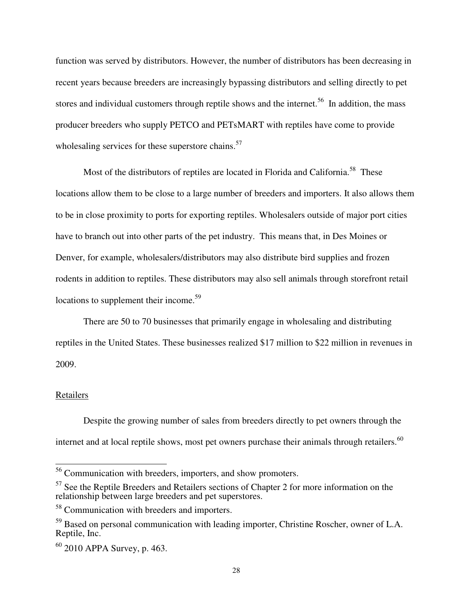function was served by distributors. However, the number of distributors has been decreasing in recent years because breeders are increasingly bypassing distributors and selling directly to pet stores and individual customers through reptile shows and the internet.<sup>56</sup> In addition, the mass producer breeders who supply PETCO and PETsMART with reptiles have come to provide wholesaling services for these superstore chains. $57$ 

Most of the distributors of reptiles are located in Florida and California.<sup>58</sup> These locations allow them to be close to a large number of breeders and importers. It also allows them to be in close proximity to ports for exporting reptiles. Wholesalers outside of major port cities have to branch out into other parts of the pet industry. This means that, in Des Moines or Denver, for example, wholesalers/distributors may also distribute bird supplies and frozen rodents in addition to reptiles. These distributors may also sell animals through storefront retail locations to supplement their income.<sup>59</sup>

 There are 50 to 70 businesses that primarily engage in wholesaling and distributing reptiles in the United States. These businesses realized \$17 million to \$22 million in revenues in 2009.

# Retailers

 $\overline{\phantom{a}}$ 

Despite the growing number of sales from breeders directly to pet owners through the internet and at local reptile shows, most pet owners purchase their animals through retailers.<sup>60</sup>

<sup>&</sup>lt;sup>56</sup> Communication with breeders, importers, and show promoters.

<sup>&</sup>lt;sup>57</sup> See the Reptile Breeders and Retailers sections of Chapter 2 for more information on the relationship between large breeders and pet superstores.

<sup>58</sup> Communication with breeders and importers.

<sup>&</sup>lt;sup>59</sup> Based on personal communication with leading importer, Christine Roscher, owner of L.A. Reptile, Inc.

 $60$  2010 APPA Survey, p. 463.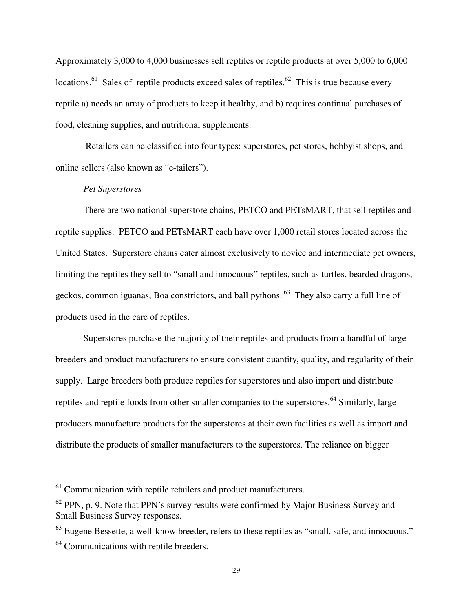Approximately 3,000 to 4,000 businesses sell reptiles or reptile products at over 5,000 to 6,000 locations.<sup>61</sup> Sales of reptile products exceed sales of reptiles.<sup>62</sup> This is true because every reptile a) needs an array of products to keep it healthy, and b) requires continual purchases of food, cleaning supplies, and nutritional supplements.

 Retailers can be classified into four types: superstores, pet stores, hobbyist shops, and online sellers (also known as "e-tailers").

# *Pet Superstores*

There are two national superstore chains, PETCO and PETsMART, that sell reptiles and reptile supplies. PETCO and PETsMART each have over 1,000 retail stores located across the United States. Superstore chains cater almost exclusively to novice and intermediate pet owners, limiting the reptiles they sell to "small and innocuous" reptiles, such as turtles, bearded dragons, geckos, common iguanas, Boa constrictors, and ball pythons.<sup>63</sup> They also carry a full line of products used in the care of reptiles.

Superstores purchase the majority of their reptiles and products from a handful of large breeders and product manufacturers to ensure consistent quantity, quality, and regularity of their supply. Large breeders both produce reptiles for superstores and also import and distribute reptiles and reptile foods from other smaller companies to the superstores.<sup>64</sup> Similarly, large producers manufacture products for the superstores at their own facilities as well as import and distribute the products of smaller manufacturers to the superstores. The reliance on bigger

-

 $61$  Communication with reptile retailers and product manufacturers.

 $62$  PPN, p. 9. Note that PPN's survey results were confirmed by Major Business Survey and Small Business Survey responses.

<sup>&</sup>lt;sup>63</sup> Eugene Bessette, a well-know breeder, refers to these reptiles as "small, safe, and innocuous."

<sup>&</sup>lt;sup>64</sup> Communications with reptile breeders.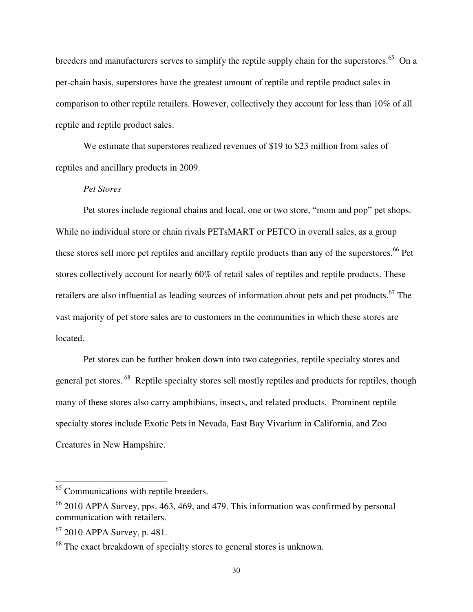breeders and manufacturers serves to simplify the reptile supply chain for the superstores.<sup>65</sup> On a per-chain basis, superstores have the greatest amount of reptile and reptile product sales in comparison to other reptile retailers. However, collectively they account for less than 10% of all reptile and reptile product sales.

We estimate that superstores realized revenues of \$19 to \$23 million from sales of reptiles and ancillary products in 2009.

# *Pet Stores*

Pet stores include regional chains and local, one or two store, "mom and pop" pet shops. While no individual store or chain rivals PETsMART or PETCO in overall sales, as a group these stores sell more pet reptiles and ancillary reptile products than any of the superstores.<sup>66</sup> Pet stores collectively account for nearly 60% of retail sales of reptiles and reptile products. These retailers are also influential as leading sources of information about pets and pet products.<sup>67</sup> The vast majority of pet store sales are to customers in the communities in which these stores are located.

Pet stores can be further broken down into two categories, reptile specialty stores and general pet stores.<sup>68</sup> Reptile specialty stores sell mostly reptiles and products for reptiles, though many of these stores also carry amphibians, insects, and related products. Prominent reptile specialty stores include Exotic Pets in Nevada, East Bay Vivarium in California, and Zoo Creatures in New Hampshire.

 $\overline{a}$ 

<sup>&</sup>lt;sup>65</sup> Communications with reptile breeders.

 $66$  2010 APPA Survey, pps. 463, 469, and 479. This information was confirmed by personal communication with retailers.

 $67$  2010 APPA Survey, p. 481.

<sup>&</sup>lt;sup>68</sup> The exact breakdown of specialty stores to general stores is unknown.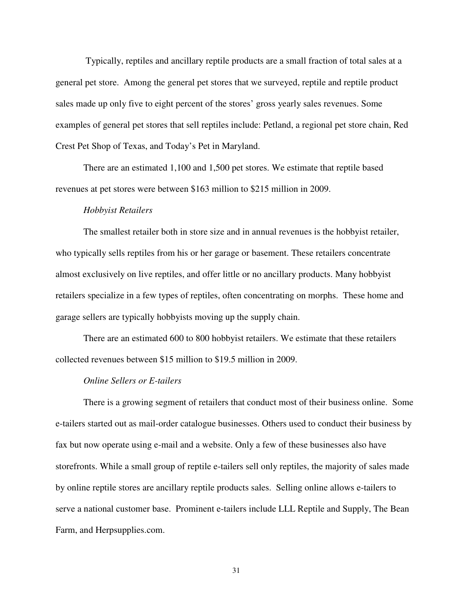Typically, reptiles and ancillary reptile products are a small fraction of total sales at a general pet store. Among the general pet stores that we surveyed, reptile and reptile product sales made up only five to eight percent of the stores' gross yearly sales revenues. Some examples of general pet stores that sell reptiles include: Petland, a regional pet store chain, Red Crest Pet Shop of Texas, and Today's Pet in Maryland.

There are an estimated 1,100 and 1,500 pet stores. We estimate that reptile based revenues at pet stores were between \$163 million to \$215 million in 2009.

#### *Hobbyist Retailers*

The smallest retailer both in store size and in annual revenues is the hobbyist retailer, who typically sells reptiles from his or her garage or basement. These retailers concentrate almost exclusively on live reptiles, and offer little or no ancillary products. Many hobbyist retailers specialize in a few types of reptiles, often concentrating on morphs. These home and garage sellers are typically hobbyists moving up the supply chain.

There are an estimated 600 to 800 hobbyist retailers. We estimate that these retailers collected revenues between \$15 million to \$19.5 million in 2009.

#### *Online Sellers or E-tailers*

There is a growing segment of retailers that conduct most of their business online. Some e-tailers started out as mail-order catalogue businesses. Others used to conduct their business by fax but now operate using e-mail and a website. Only a few of these businesses also have storefronts. While a small group of reptile e-tailers sell only reptiles, the majority of sales made by online reptile stores are ancillary reptile products sales. Selling online allows e-tailers to serve a national customer base. Prominent e-tailers include LLL Reptile and Supply, The Bean Farm, and Herpsupplies.com.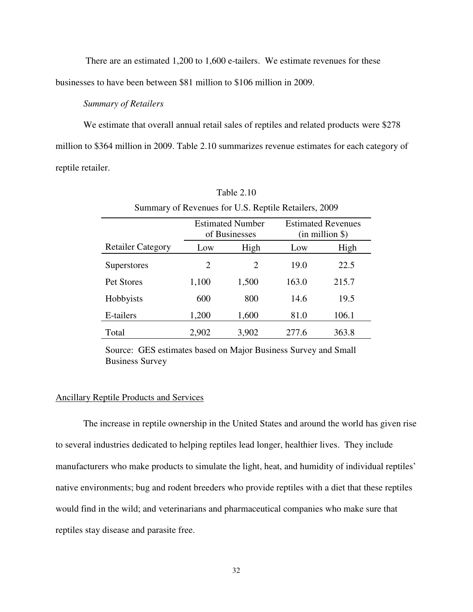There are an estimated 1,200 to 1,600 e-tailers. We estimate revenues for these businesses to have been between \$81 million to \$106 million in 2009.

## *Summary of Retailers*

We estimate that overall annual retail sales of reptiles and related products were \$278 million to \$364 million in 2009. Table 2.10 summarizes revenue estimates for each category of reptile retailer.

| Summary of Revenues for U.S. Reptile Retailers, 2009 |                                          |       |                                                  |       |  |  |  |
|------------------------------------------------------|------------------------------------------|-------|--------------------------------------------------|-------|--|--|--|
|                                                      | <b>Estimated Number</b><br>of Businesses |       | <b>Estimated Revenues</b><br>$(in$ million $\})$ |       |  |  |  |
| <b>Retailer Category</b>                             | Low                                      | High  | Low                                              | High  |  |  |  |
| <b>Superstores</b>                                   | 2                                        | 2     | 19.0                                             | 22.5  |  |  |  |
| Pet Stores                                           | 1,100                                    | 1,500 | 163.0                                            | 215.7 |  |  |  |
| Hobbyists                                            | 600                                      | 800   | 14.6                                             | 19.5  |  |  |  |
| E-tailers                                            | 1,200                                    | 1,600 | 81.0                                             | 106.1 |  |  |  |
| Total                                                | 2,902                                    | 3,902 | 277.6                                            | 363.8 |  |  |  |

Table 2.10

Source: GES estimates based on Major Business Survey and Small Business Survey

# Ancillary Reptile Products and Services

 The increase in reptile ownership in the United States and around the world has given rise to several industries dedicated to helping reptiles lead longer, healthier lives. They include manufacturers who make products to simulate the light, heat, and humidity of individual reptiles' native environments; bug and rodent breeders who provide reptiles with a diet that these reptiles would find in the wild; and veterinarians and pharmaceutical companies who make sure that reptiles stay disease and parasite free.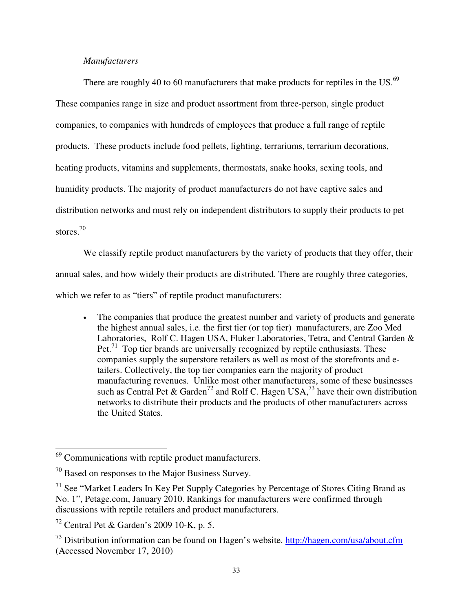## *Manufacturers*

There are roughly 40 to 60 manufacturers that make products for reptiles in the US.<sup>69</sup> These companies range in size and product assortment from three-person, single product companies, to companies with hundreds of employees that produce a full range of reptile products. These products include food pellets, lighting, terrariums, terrarium decorations, heating products, vitamins and supplements, thermostats, snake hooks, sexing tools, and humidity products. The majority of product manufacturers do not have captive sales and distribution networks and must rely on independent distributors to supply their products to pet stores.<sup>70</sup>

 We classify reptile product manufacturers by the variety of products that they offer, their annual sales, and how widely their products are distributed. There are roughly three categories, which we refer to as "tiers" of reptile product manufacturers:

• The companies that produce the greatest number and variety of products and generate the highest annual sales, i.e. the first tier (or top tier) manufacturers, are Zoo Med Laboratories, Rolf C. Hagen USA, Fluker Laboratories, Tetra, and Central Garden & Pet.<sup>71</sup> Top tier brands are universally recognized by reptile enthusiasts. These companies supply the superstore retailers as well as most of the storefronts and etailers. Collectively, the top tier companies earn the majority of product manufacturing revenues. Unlike most other manufacturers, some of these businesses such as Central Pet & Garden<sup>72</sup> and Rolf C. Hagen USA,<sup>73</sup> have their own distribution networks to distribute their products and the products of other manufacturers across the United States.

-

<sup>&</sup>lt;sup>69</sup> Communications with reptile product manufacturers.

<sup>70</sup> Based on responses to the Major Business Survey.

 $71$  See "Market Leaders In Key Pet Supply Categories by Percentage of Stores Citing Brand as No. 1", Petage.com, January 2010. Rankings for manufacturers were confirmed through discussions with reptile retailers and product manufacturers.

 $72$  Central Pet & Garden's 2009 10-K, p. 5.

 $^{73}$  Distribution information can be found on Hagen's website. http://hagen.com/usa/about.cfm (Accessed November 17, 2010)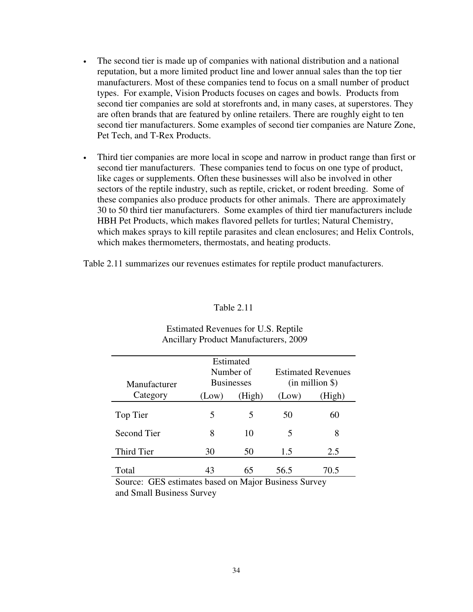- The second tier is made up of companies with national distribution and a national reputation, but a more limited product line and lower annual sales than the top tier manufacturers. Most of these companies tend to focus on a small number of product types. For example, Vision Products focuses on cages and bowls. Products from second tier companies are sold at storefronts and, in many cases, at superstores. They are often brands that are featured by online retailers. There are roughly eight to ten second tier manufacturers. Some examples of second tier companies are Nature Zone, Pet Tech, and T-Rex Products.
- Third tier companies are more local in scope and narrow in product range than first or second tier manufacturers. These companies tend to focus on one type of product, like cages or supplements. Often these businesses will also be involved in other sectors of the reptile industry, such as reptile, cricket, or rodent breeding. Some of these companies also produce products for other animals. There are approximately 30 to 50 third tier manufacturers. Some examples of third tier manufacturers include HBH Pet Products, which makes flavored pellets for turtles; Natural Chemistry, which makes sprays to kill reptile parasites and clean enclosures; and Helix Controls, which makes thermometers, thermostats, and heating products.

Table 2.11 summarizes our revenues estimates for reptile product manufacturers.

## Table 2.11

|              |       | Estimated         |                     |                           |
|--------------|-------|-------------------|---------------------|---------------------------|
|              |       | Number of         |                     | <b>Estimated Revenues</b> |
| Manufacturer |       | <b>Businesses</b> | $(in$ million $\})$ |                           |
| Category     | (Low) | (High)            | (Low)               | (High)                    |
| Top Tier     | 5     | 5                 | 50                  | 60                        |
| Second Tier  | 8     | 10                | 5                   | 8                         |
| Third Tier   | 30    | 50                | 1.5                 | 2.5                       |
| Total        | 43    | 65                | 56.5                | 70.5                      |

## Estimated Revenues for U.S. Reptile Ancillary Product Manufacturers, 2009

Source: GES estimates based on Major Business Survey and Small Business Survey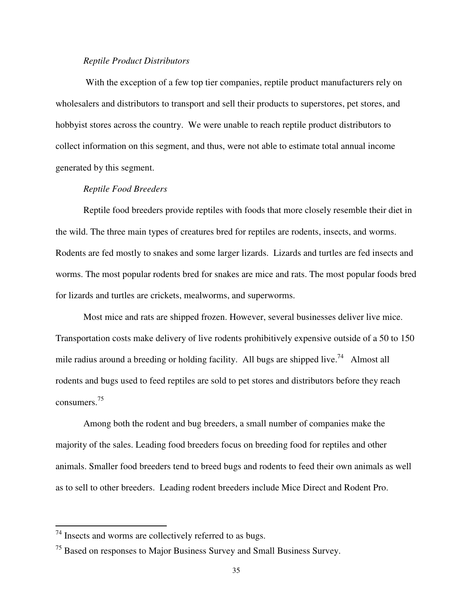#### *Reptile Product Distributors*

With the exception of a few top tier companies, reptile product manufacturers rely on wholesalers and distributors to transport and sell their products to superstores, pet stores, and hobbyist stores across the country. We were unable to reach reptile product distributors to collect information on this segment, and thus, were not able to estimate total annual income generated by this segment.

### *Reptile Food Breeders*

Reptile food breeders provide reptiles with foods that more closely resemble their diet in the wild. The three main types of creatures bred for reptiles are rodents, insects, and worms. Rodents are fed mostly to snakes and some larger lizards. Lizards and turtles are fed insects and worms. The most popular rodents bred for snakes are mice and rats. The most popular foods bred for lizards and turtles are crickets, mealworms, and superworms.

 Most mice and rats are shipped frozen. However, several businesses deliver live mice. Transportation costs make delivery of live rodents prohibitively expensive outside of a 50 to 150 mile radius around a breeding or holding facility. All bugs are shipped live.<sup>74</sup> Almost all rodents and bugs used to feed reptiles are sold to pet stores and distributors before they reach consumers. 75

 Among both the rodent and bug breeders, a small number of companies make the majority of the sales. Leading food breeders focus on breeding food for reptiles and other animals. Smaller food breeders tend to breed bugs and rodents to feed their own animals as well as to sell to other breeders. Leading rodent breeders include Mice Direct and Rodent Pro.

 $\overline{a}$ 

 $74$  Insects and worms are collectively referred to as bugs.

<sup>&</sup>lt;sup>75</sup> Based on responses to Major Business Survey and Small Business Survey.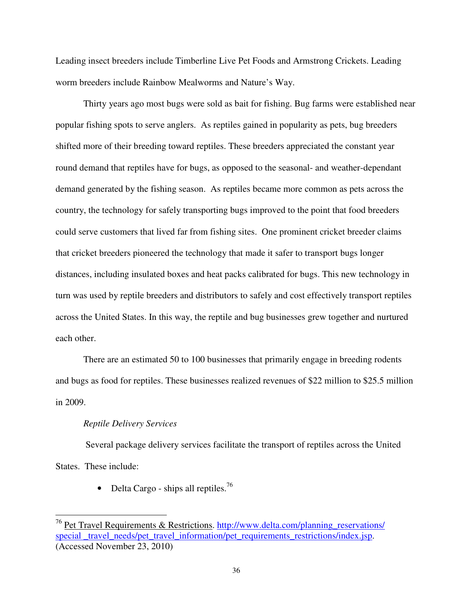Leading insect breeders include Timberline Live Pet Foods and Armstrong Crickets. Leading worm breeders include Rainbow Mealworms and Nature's Way.

 Thirty years ago most bugs were sold as bait for fishing. Bug farms were established near popular fishing spots to serve anglers. As reptiles gained in popularity as pets, bug breeders shifted more of their breeding toward reptiles. These breeders appreciated the constant year round demand that reptiles have for bugs, as opposed to the seasonal- and weather-dependant demand generated by the fishing season. As reptiles became more common as pets across the country, the technology for safely transporting bugs improved to the point that food breeders could serve customers that lived far from fishing sites. One prominent cricket breeder claims that cricket breeders pioneered the technology that made it safer to transport bugs longer distances, including insulated boxes and heat packs calibrated for bugs. This new technology in turn was used by reptile breeders and distributors to safely and cost effectively transport reptiles across the United States. In this way, the reptile and bug businesses grew together and nurtured each other.

There are an estimated 50 to 100 businesses that primarily engage in breeding rodents and bugs as food for reptiles. These businesses realized revenues of \$22 million to \$25.5 million in 2009.

#### *Reptile Delivery Services*

l

Several package delivery services facilitate the transport of reptiles across the United States. These include:

• Delta Cargo - ships all reptiles.<sup>76</sup>

<sup>&</sup>lt;sup>76</sup> Pet Travel Requirements & Restrictions. http://www.delta.com/planning\_reservations/ special \_travel\_needs/pet\_travel\_information/pet\_requirements\_restrictions/index.jsp. (Accessed November 23, 2010)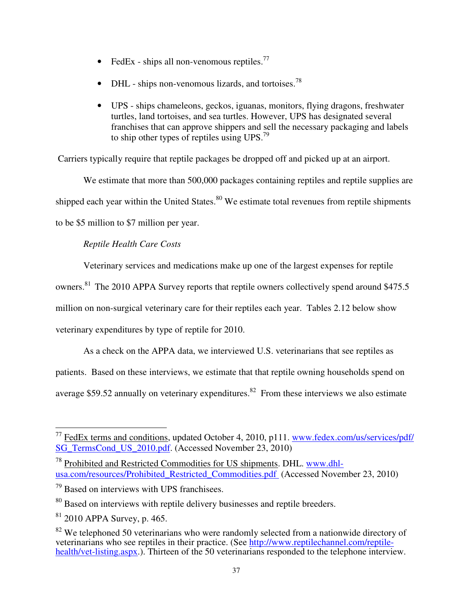- FedEx ships all non-venomous reptiles.<sup>77</sup>
- DHL ships non-venomous lizards, and tortoises.<sup>78</sup>
- UPS ships chameleons, geckos, iguanas, monitors, flying dragons, freshwater turtles, land tortoises, and sea turtles. However, UPS has designated several franchises that can approve shippers and sell the necessary packaging and labels to ship other types of reptiles using UPS.<sup>79</sup>

Carriers typically require that reptile packages be dropped off and picked up at an airport.

We estimate that more than 500,000 packages containing reptiles and reptile supplies are shipped each year within the United States. $80$  We estimate total revenues from reptile shipments to be \$5 million to \$7 million per year.

# *Reptile Health Care Costs*

Veterinary services and medications make up one of the largest expenses for reptile

owners.<sup>81</sup> The 2010 APPA Survey reports that reptile owners collectively spend around \$475.5

million on non-surgical veterinary care for their reptiles each year. Tables 2.12 below show

veterinary expenditures by type of reptile for 2010.

As a check on the APPA data, we interviewed U.S. veterinarians that see reptiles as

patients. Based on these interviews, we estimate that that reptile owning households spend on

average \$59.52 annually on veterinary expenditures. $82$  From these interviews we also estimate

<u>.</u>

<sup>&</sup>lt;sup>77</sup> FedEx terms and conditions, updated October 4, 2010, p111. www.fedex.com/us/services/pdf/ SG\_TermsCond\_US\_2010.pdf. (Accessed November 23, 2010)<sup></sup>

<sup>78</sup> Prohibited and Restricted Commodities for US shipments. DHL. www.dhlusa.com/resources/Prohibited Restricted Commodities.pdf (Accessed November 23, 2010)

<sup>79</sup> Based on interviews with UPS franchisees.

<sup>&</sup>lt;sup>80</sup> Based on interviews with reptile delivery businesses and reptile breeders.

 $81$  2010 APPA Survey, p. 465.

<sup>&</sup>lt;sup>82</sup> We telephoned 50 veterinarians who were randomly selected from a nationwide directory of veterinarians who see reptiles in their practice. (See http://www.reptilechannel.com/reptilehealth/vet-listing.aspx.). Thirteen of the 50 veterinarians responded to the telephone interview.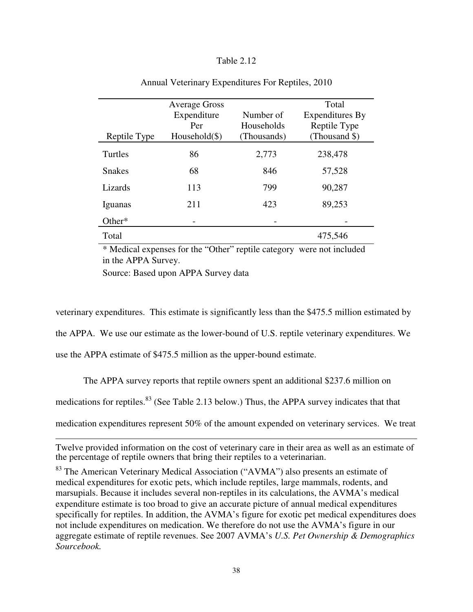## Table 2.12

|                | <b>Average Gross</b> |             | Total           |
|----------------|----------------------|-------------|-----------------|
|                | Expenditure          | Number of   | Expenditures By |
|                | Per                  | Households  | Reptile Type    |
| Reptile Type   | $Household(\$)$      | (Thousands) | (Thousand \$)   |
| <b>Turtles</b> | 86                   | 2,773       | 238,478         |
| <b>Snakes</b>  | 68                   | 846         | 57,528          |
| Lizards        | 113                  | 799         | 90,287          |
| Iguanas        | 211                  | 423         | 89,253          |
| Other $*$      |                      |             |                 |
| Total          |                      |             | 475,546         |

#### Annual Veterinary Expenditures For Reptiles, 2010

\* Medical expenses for the "Other" reptile category were not included in the APPA Survey.

Source: Based upon APPA Survey data

veterinary expenditures. This estimate is significantly less than the \$475.5 million estimated by

the APPA. We use our estimate as the lower-bound of U.S. reptile veterinary expenditures. We

use the APPA estimate of \$475.5 million as the upper-bound estimate.

l

The APPA survey reports that reptile owners spent an additional \$237.6 million on

medications for reptiles.<sup>83</sup> (See Table 2.13 below.) Thus, the APPA survey indicates that that

medication expenditures represent 50% of the amount expended on veterinary services. We treat

Twelve provided information on the cost of veterinary care in their area as well as an estimate of the percentage of reptile owners that bring their reptiles to a veterinarian.

<sup>&</sup>lt;sup>83</sup> The American Veterinary Medical Association ("AVMA") also presents an estimate of medical expenditures for exotic pets, which include reptiles, large mammals, rodents, and marsupials. Because it includes several non-reptiles in its calculations, the AVMA's medical expenditure estimate is too broad to give an accurate picture of annual medical expenditures specifically for reptiles. In addition, the AVMA's figure for exotic pet medical expenditures does not include expenditures on medication. We therefore do not use the AVMA's figure in our aggregate estimate of reptile revenues. See 2007 AVMA's *U.S. Pet Ownership & Demographics Sourcebook.*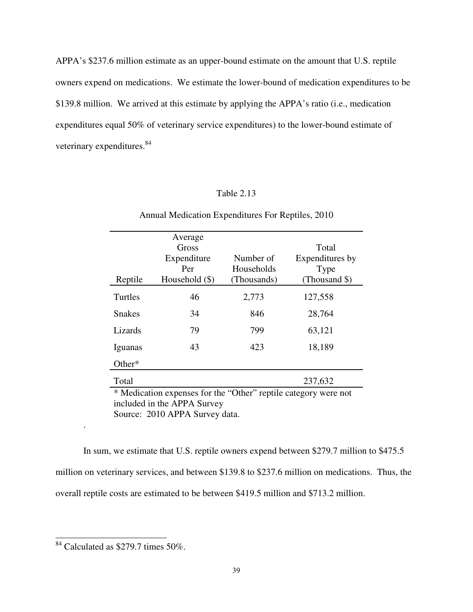APPA's \$237.6 million estimate as an upper-bound estimate on the amount that U.S. reptile owners expend on medications. We estimate the lower-bound of medication expenditures to be \$139.8 million. We arrived at this estimate by applying the APPA's ratio (i.e., medication expenditures equal 50% of veterinary service expenditures) to the lower-bound estimate of veterinary expenditures.<sup>84</sup>

## Table 2.13

| Reptile                                                                                                                                                                                                                                                                                                                                                                                                                                                                                                                                                       | Average<br>Gross<br>Expenditure<br>Per<br>Household (\$) | Number of<br>Households<br>(Thousands) | Total<br>Expenditures by<br>Type<br>(Thousand \$) |
|---------------------------------------------------------------------------------------------------------------------------------------------------------------------------------------------------------------------------------------------------------------------------------------------------------------------------------------------------------------------------------------------------------------------------------------------------------------------------------------------------------------------------------------------------------------|----------------------------------------------------------|----------------------------------------|---------------------------------------------------|
| Turtles                                                                                                                                                                                                                                                                                                                                                                                                                                                                                                                                                       | 46                                                       | 2,773                                  | 127,558                                           |
| <b>Snakes</b>                                                                                                                                                                                                                                                                                                                                                                                                                                                                                                                                                 | 34                                                       | 846                                    | 28,764                                            |
| Lizards                                                                                                                                                                                                                                                                                                                                                                                                                                                                                                                                                       | 79                                                       | 799                                    | 63,121                                            |
| Iguanas                                                                                                                                                                                                                                                                                                                                                                                                                                                                                                                                                       | 43                                                       | 423                                    | 18,189                                            |
| Other*                                                                                                                                                                                                                                                                                                                                                                                                                                                                                                                                                        |                                                          |                                        |                                                   |
| Total                                                                                                                                                                                                                                                                                                                                                                                                                                                                                                                                                         |                                                          |                                        | 237,632                                           |
| * Medication expenses for the "Other" reptile category were not<br>$\blacksquare$ $\blacksquare$ $\blacksquare$ $\blacksquare$ $\blacksquare$ $\blacksquare$ $\blacksquare$ $\blacksquare$ $\blacksquare$ $\blacksquare$ $\blacksquare$ $\blacksquare$ $\blacksquare$ $\blacksquare$ $\blacksquare$ $\blacksquare$ $\blacksquare$ $\blacksquare$ $\blacksquare$ $\blacksquare$ $\blacksquare$ $\blacksquare$ $\blacksquare$ $\blacksquare$ $\blacksquare$ $\blacksquare$ $\blacksquare$ $\blacksquare$ $\blacksquare$ $\blacksquare$ $\blacksquare$ $\blacks$ |                                                          |                                        |                                                   |

Annual Medication Expenditures For Reptiles, 2010

included in the APPA Survey Source: 2010 APPA Survey data.

 In sum, we estimate that U.S. reptile owners expend between \$279.7 million to \$475.5 million on veterinary services, and between \$139.8 to \$237.6 million on medications. Thus, the overall reptile costs are estimated to be between \$419.5 million and \$713.2 million.

.

 $\frac{1}{2}$  $84$  Calculated as \$279.7 times 50%.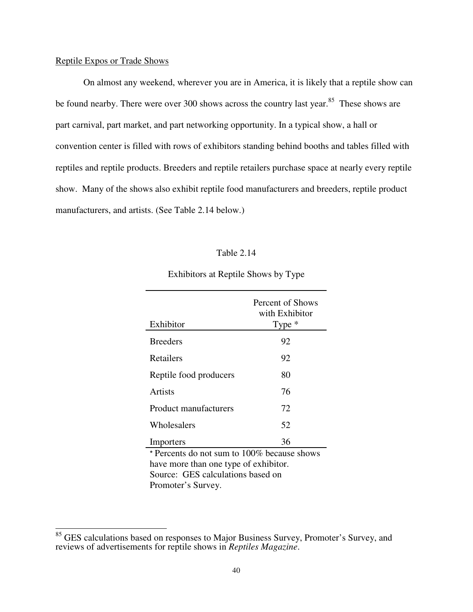## Reptile Expos or Trade Shows

On almost any weekend, wherever you are in America, it is likely that a reptile show can be found nearby. There were over 300 shows across the country last year.<sup>85</sup> These shows are part carnival, part market, and part networking opportunity. In a typical show, a hall or convention center is filled with rows of exhibitors standing behind booths and tables filled with reptiles and reptile products. Breeders and reptile retailers purchase space at nearly every reptile show. Many of the shows also exhibit reptile food manufacturers and breeders, reptile product manufacturers, and artists. (See Table 2.14 below.)

## Table 2.14

| Exhibitor                                   | Percent of Shows<br>with Exhibitor<br>Type $*$ |  |
|---------------------------------------------|------------------------------------------------|--|
| <b>Breeders</b>                             | 92                                             |  |
| Retailers                                   | 92                                             |  |
| Reptile food producers                      | 80                                             |  |
| <b>Artists</b>                              | 76                                             |  |
| <b>Product manufacturers</b>                | 72                                             |  |
| Wholesalers                                 | 52                                             |  |
| Importers                                   | 36                                             |  |
| * Percents do not sum to 100% because shows |                                                |  |
| have more than one type of exhibitor.       |                                                |  |
| Source: GES calculations based on           |                                                |  |

Exhibitors at Reptile Shows by Type

Promoter's Survey.

 $\frac{1}{2}$ 

<sup>&</sup>lt;sup>85</sup> GES calculations based on responses to Major Business Survey, Promoter's Survey, and reviews of advertisements for reptile shows in *Reptiles Magazine*.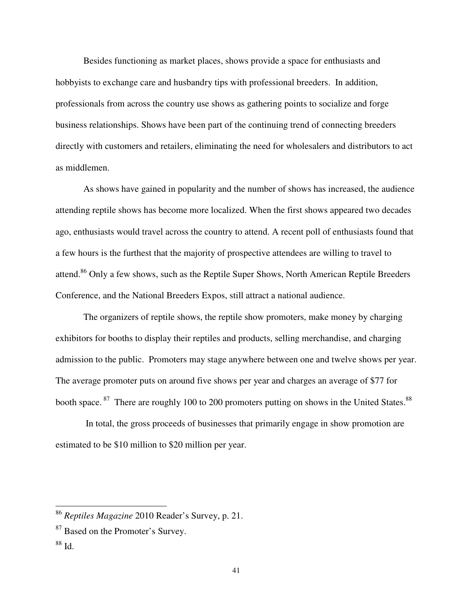Besides functioning as market places, shows provide a space for enthusiasts and hobbyists to exchange care and husbandry tips with professional breeders. In addition, professionals from across the country use shows as gathering points to socialize and forge business relationships. Shows have been part of the continuing trend of connecting breeders directly with customers and retailers, eliminating the need for wholesalers and distributors to act as middlemen.

 As shows have gained in popularity and the number of shows has increased, the audience attending reptile shows has become more localized. When the first shows appeared two decades ago, enthusiasts would travel across the country to attend. A recent poll of enthusiasts found that a few hours is the furthest that the majority of prospective attendees are willing to travel to attend.<sup>86</sup> Only a few shows, such as the Reptile Super Shows, North American Reptile Breeders Conference, and the National Breeders Expos, still attract a national audience.

The organizers of reptile shows, the reptile show promoters, make money by charging exhibitors for booths to display their reptiles and products, selling merchandise, and charging admission to the public. Promoters may stage anywhere between one and twelve shows per year. The average promoter puts on around five shows per year and charges an average of \$77 for booth space.<sup>87</sup> There are roughly 100 to 200 promoters putting on shows in the United States.<sup>88</sup>

 In total, the gross proceeds of businesses that primarily engage in show promotion are estimated to be \$10 million to \$20 million per year.

l

<sup>86</sup> *Reptiles Magazine* 2010 Reader's Survey, p. 21.

<sup>&</sup>lt;sup>87</sup> Based on the Promoter's Survey.

<sup>88</sup> Id.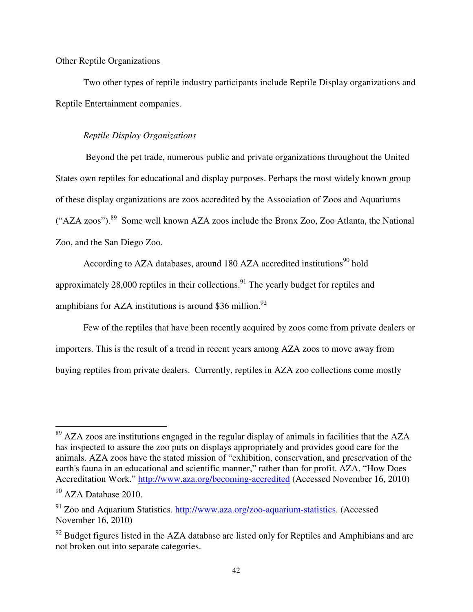## Other Reptile Organizations

Two other types of reptile industry participants include Reptile Display organizations and Reptile Entertainment companies.

## *Reptile Display Organizations*

 Beyond the pet trade, numerous public and private organizations throughout the United States own reptiles for educational and display purposes. Perhaps the most widely known group of these display organizations are zoos accredited by the Association of Zoos and Aquariums ("AZA zoos").<sup>89</sup> Some well known AZA zoos include the Bronx Zoo, Zoo Atlanta, the National Zoo, and the San Diego Zoo.

According to AZA databases, around 180 AZA accredited institutions<sup>90</sup> hold approximately 28,000 reptiles in their collections.<sup>91</sup> The yearly budget for reptiles and amphibians for AZA institutions is around \$36 million. $92$ 

 Few of the reptiles that have been recently acquired by zoos come from private dealers or importers. This is the result of a trend in recent years among AZA zoos to move away from buying reptiles from private dealers. Currently, reptiles in AZA zoo collections come mostly

 $\overline{a}$ 

 $89$  AZA zoos are institutions engaged in the regular display of animals in facilities that the AZA has inspected to assure the zoo puts on displays appropriately and provides good care for the animals. AZA zoos have the stated mission of "exhibition, conservation, and preservation of the earth's fauna in an educational and scientific manner," rather than for profit. AZA. "How Does Accreditation Work." http://www.aza.org/becoming-accredited (Accessed November 16, 2010)

<sup>&</sup>lt;sup>90</sup> AZA Database 2010.

<sup>91</sup> Zoo and Aquarium Statistics. http://www.aza.org/zoo-aquarium-statistics. (Accessed November 16, 2010)

 $92$  Budget figures listed in the AZA database are listed only for Reptiles and Amphibians and are not broken out into separate categories.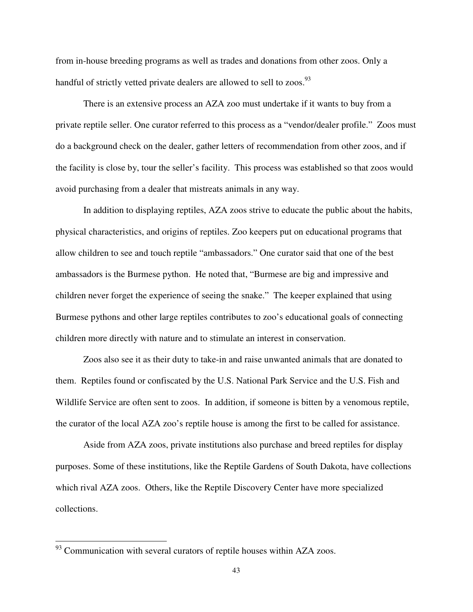from in-house breeding programs as well as trades and donations from other zoos. Only a handful of strictly vetted private dealers are allowed to sell to zoos.<sup>93</sup>

There is an extensive process an AZA zoo must undertake if it wants to buy from a private reptile seller. One curator referred to this process as a "vendor/dealer profile." Zoos must do a background check on the dealer, gather letters of recommendation from other zoos, and if the facility is close by, tour the seller's facility. This process was established so that zoos would avoid purchasing from a dealer that mistreats animals in any way.

In addition to displaying reptiles, AZA zoos strive to educate the public about the habits, physical characteristics, and origins of reptiles. Zoo keepers put on educational programs that allow children to see and touch reptile "ambassadors." One curator said that one of the best ambassadors is the Burmese python. He noted that, "Burmese are big and impressive and children never forget the experience of seeing the snake." The keeper explained that using Burmese pythons and other large reptiles contributes to zoo's educational goals of connecting children more directly with nature and to stimulate an interest in conservation.

Zoos also see it as their duty to take-in and raise unwanted animals that are donated to them. Reptiles found or confiscated by the U.S. National Park Service and the U.S. Fish and Wildlife Service are often sent to zoos. In addition, if someone is bitten by a venomous reptile, the curator of the local AZA zoo's reptile house is among the first to be called for assistance.

Aside from AZA zoos, private institutions also purchase and breed reptiles for display purposes. Some of these institutions, like the Reptile Gardens of South Dakota, have collections which rival AZA zoos. Others, like the Reptile Discovery Center have more specialized collections.

<u>.</u>

 $93$  Communication with several curators of reptile houses within AZA zoos.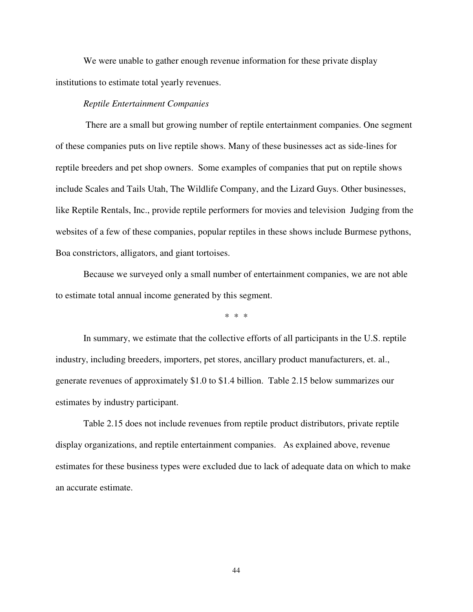We were unable to gather enough revenue information for these private display institutions to estimate total yearly revenues.

#### *Reptile Entertainment Companies*

There are a small but growing number of reptile entertainment companies. One segment of these companies puts on live reptile shows. Many of these businesses act as side-lines for reptile breeders and pet shop owners. Some examples of companies that put on reptile shows include Scales and Tails Utah, The Wildlife Company, and the Lizard Guys. Other businesses, like Reptile Rentals, Inc., provide reptile performers for movies and television Judging from the websites of a few of these companies, popular reptiles in these shows include Burmese pythons, Boa constrictors, alligators, and giant tortoises.

Because we surveyed only a small number of entertainment companies, we are not able to estimate total annual income generated by this segment.

\* \* \*

 In summary, we estimate that the collective efforts of all participants in the U.S. reptile industry, including breeders, importers, pet stores, ancillary product manufacturers, et. al., generate revenues of approximately \$1.0 to \$1.4 billion. Table 2.15 below summarizes our estimates by industry participant.

 Table 2.15 does not include revenues from reptile product distributors, private reptile display organizations, and reptile entertainment companies. As explained above, revenue estimates for these business types were excluded due to lack of adequate data on which to make an accurate estimate.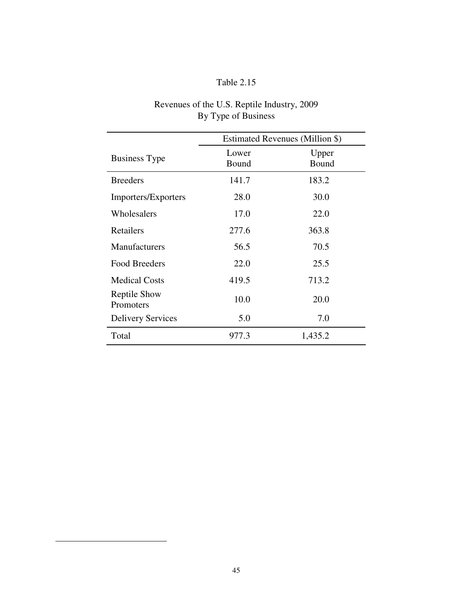# Table 2.15

|                                  | Estimated Revenues (Million \$) |                |  |
|----------------------------------|---------------------------------|----------------|--|
| <b>Business Type</b>             | Lower<br>Bound                  | Upper<br>Bound |  |
| <b>Breeders</b>                  | 141.7                           | 183.2          |  |
| Importers/Exporters              | 28.0                            | 30.0           |  |
| Wholesalers                      | 17.0                            | 22.0           |  |
| Retailers                        | 277.6                           | 363.8          |  |
| <b>Manufacturers</b>             | 56.5                            | 70.5           |  |
| <b>Food Breeders</b>             | 22.0                            | 25.5           |  |
| <b>Medical Costs</b>             | 419.5                           | 713.2          |  |
| <b>Reptile Show</b><br>Promoters | 10.0                            | 20.0           |  |
| <b>Delivery Services</b>         | 5.0                             | 7.0            |  |
| Total                            | 977.3                           | 1,435.2        |  |

## Revenues of the U.S. Reptile Industry, 2009 By Type of Business

<u>.</u>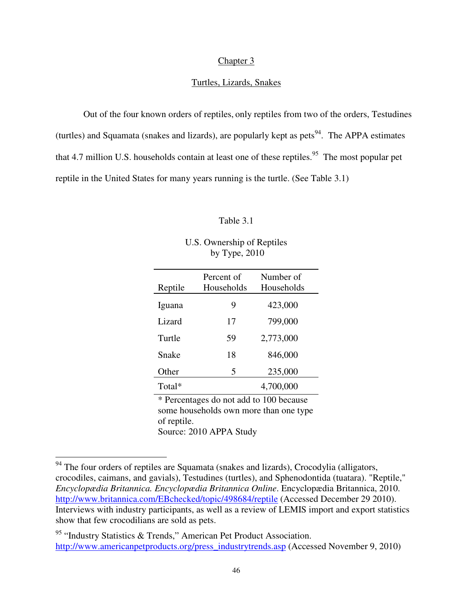## Chapter 3

#### Turtles, Lizards, Snakes

 Out of the four known orders of reptiles, only reptiles from two of the orders, Testudines (turtles) and Squamata (snakes and lizards), are popularly kept as pets<sup>94</sup>. The APPA estimates that 4.7 million U.S. households contain at least one of these reptiles.<sup>95</sup> The most popular pet reptile in the United States for many years running is the turtle. (See Table 3.1)

#### Table 3.1

| U.S. Ownership of Reptiles |
|----------------------------|
| by Type, $2010$            |

| Reptile                                 | Percent of<br>Households | Number of<br>Households |
|-----------------------------------------|--------------------------|-------------------------|
| Iguana                                  | 9                        | 423,000                 |
| Lizard                                  | 17                       | 799,000                 |
| Turtle                                  | 59                       | 2,773,000               |
| Snake                                   | 18                       | 846,000                 |
| Other                                   | 5                        | 235,000                 |
| Total*                                  |                          | 4,700,000               |
| * Percentages do not add to 100 because |                          |                         |

some households own more than one type of reptile. Source: 2010 APPA Study

-

<sup>&</sup>lt;sup>94</sup> The four orders of reptiles are Squamata (snakes and lizards), Crocodylia (alligators, crocodiles, caimans, and gavials), Testudines (turtles), and Sphenodontida (tuatara). "Reptile," *Encyclopædia Britannica. Encyclopædia Britannica Online*. Encyclopædia Britannica, 2010. http://www.britannica.com/EBchecked/topic/498684/reptile (Accessed December 29 2010). Interviews with industry participants, as well as a review of LEMIS import and export statistics show that few crocodilians are sold as pets.

<sup>95 &</sup>quot;Industry Statistics & Trends," American Pet Product Association. http://www.americanpetproducts.org/press\_industrytrends.asp (Accessed November 9, 2010)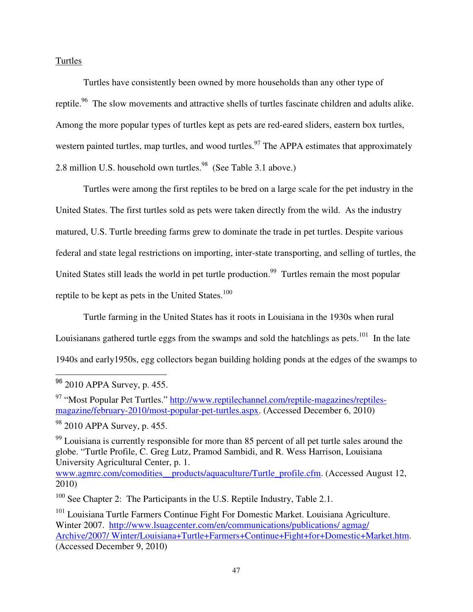## Turtles

 Turtles have consistently been owned by more households than any other type of reptile.<sup>96</sup> The slow movements and attractive shells of turtles fascinate children and adults alike. Among the more popular types of turtles kept as pets are red-eared sliders, eastern box turtles, western painted turtles, map turtles, and wood turtles.<sup>97</sup> The APPA estimates that approximately 2.8 million U.S. household own turtles.<sup>98</sup> (See Table 3.1 above.)

Turtles were among the first reptiles to be bred on a large scale for the pet industry in the United States. The first turtles sold as pets were taken directly from the wild. As the industry matured, U.S. Turtle breeding farms grew to dominate the trade in pet turtles. Despite various federal and state legal restrictions on importing, inter-state transporting, and selling of turtles, the United States still leads the world in pet turtle production.<sup>99</sup> Turtles remain the most popular reptile to be kept as pets in the United States. $100$ 

 Turtle farming in the United States has it roots in Louisiana in the 1930s when rural Louisianans gathered turtle eggs from the swamps and sold the hatchlings as pets.<sup>101</sup> In the late 1940s and early1950s, egg collectors began building holding ponds at the edges of the swamps to

 $\overline{\phantom{a}}$ 

www.agmrc.com/comodities\_\_products/aquaculture/Turtle\_profile.cfm. (Accessed August 12, 2010)

<sup>96 2010</sup> APPA Survey, p. 455.

<sup>97</sup> "Most Popular Pet Turtles." http://www.reptilechannel.com/reptile-magazines/reptilesmagazine/february-2010/most-popular-pet-turtles.aspx. (Accessed December 6, 2010)

<sup>&</sup>lt;sup>98</sup> 2010 APPA Survey, p. 455.

 $99$  Louisiana is currently responsible for more than 85 percent of all pet turtle sales around the globe. "Turtle Profile, C. Greg Lutz, Pramod Sambidi, and R. Wess Harrison, Louisiana University Agricultural Center, p. 1.

 $100$  See Chapter 2: The Participants in the U.S. Reptile Industry, Table 2.1.

<sup>&</sup>lt;sup>101</sup> Louisiana Turtle Farmers Continue Fight For Domestic Market. Louisiana Agriculture. Winter 2007. http://www.lsuagcenter.com/en/communications/publications/ agmag/ Archive/2007/ Winter/Louisiana+Turtle+Farmers+Continue+Fight+for+Domestic+Market.htm. (Accessed December 9, 2010)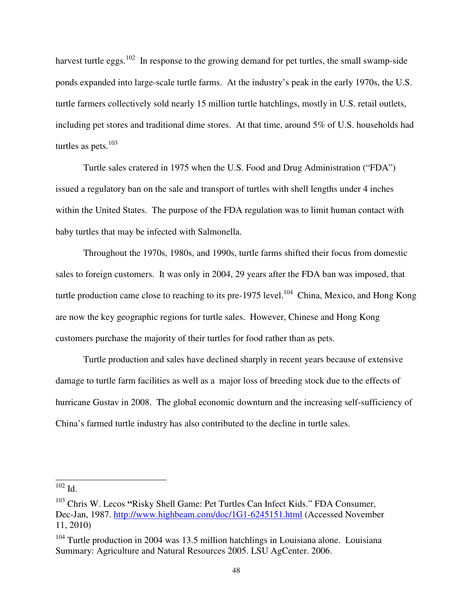harvest turtle eggs.<sup>102</sup> In response to the growing demand for pet turtles, the small swamp-side ponds expanded into large-scale turtle farms. At the industry's peak in the early 1970s, the U.S. turtle farmers collectively sold nearly 15 million turtle hatchlings, mostly in U.S. retail outlets, including pet stores and traditional dime stores. At that time, around 5% of U.S. households had turtles as pets. $103$ 

 Turtle sales cratered in 1975 when the U.S. Food and Drug Administration ("FDA") issued a regulatory ban on the sale and transport of turtles with shell lengths under 4 inches within the United States. The purpose of the FDA regulation was to limit human contact with baby turtles that may be infected with Salmonella.

 Throughout the 1970s, 1980s, and 1990s, turtle farms shifted their focus from domestic sales to foreign customers. It was only in 2004, 29 years after the FDA ban was imposed, that turtle production came close to reaching to its pre-1975 level.<sup>104</sup> China, Mexico, and Hong Kong are now the key geographic regions for turtle sales. However, Chinese and Hong Kong customers purchase the majority of their turtles for food rather than as pets.

 Turtle production and sales have declined sharply in recent years because of extensive damage to turtle farm facilities as well as a major loss of breeding stock due to the effects of hurricane Gustav in 2008. The global economic downturn and the increasing self-sufficiency of China's farmed turtle industry has also contributed to the decline in turtle sales.

 $\overline{\phantom{a}}$  $102$  Id.

<sup>103</sup> Chris W. Lecos **"**Risky Shell Game: Pet Turtles Can Infect Kids." FDA Consumer, Dec-Jan, 1987. http://www.highbeam.com/doc/1G1-6245151.html (Accessed November 11, 2010)

 $104$  Turtle production in 2004 was 13.5 million hatchlings in Louisiana alone. Louisiana Summary: Agriculture and Natural Resources 2005. LSU AgCenter. 2006.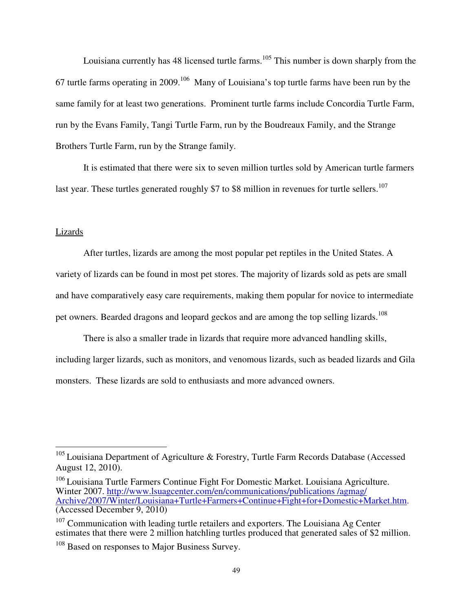Louisiana currently has 48 licensed turtle farms.<sup>105</sup> This number is down sharply from the 67 turtle farms operating in 2009.<sup>106</sup> Many of Louisiana's top turtle farms have been run by the same family for at least two generations. Prominent turtle farms include Concordia Turtle Farm, run by the Evans Family, Tangi Turtle Farm, run by the Boudreaux Family, and the Strange Brothers Turtle Farm, run by the Strange family.

 It is estimated that there were six to seven million turtles sold by American turtle farmers last year. These turtles generated roughly \$7 to \$8 million in revenues for turtle sellers.<sup>107</sup>

#### Lizards

 $\overline{a}$ 

After turtles, lizards are among the most popular pet reptiles in the United States. A variety of lizards can be found in most pet stores. The majority of lizards sold as pets are small and have comparatively easy care requirements, making them popular for novice to intermediate pet owners. Bearded dragons and leopard geckos and are among the top selling lizards.<sup>108</sup>

There is also a smaller trade in lizards that require more advanced handling skills, including larger lizards, such as monitors, and venomous lizards, such as beaded lizards and Gila monsters. These lizards are sold to enthusiasts and more advanced owners.

 $105$  Louisiana Department of Agriculture & Forestry, Turtle Farm Records Database (Accessed August 12, 2010).

<sup>&</sup>lt;sup>106</sup> Louisiana Turtle Farmers Continue Fight For Domestic Market. Louisiana Agriculture. Winter 2007. http://www.lsuagcenter.com/en/communications/publications /agmag/ Archive/2007/Winter/Louisiana+Turtle+Farmers+Continue+Fight+for+Domestic+Market.htm. (Accessed December 9, 2010)

 $107$  Communication with leading turtle retailers and exporters. The Louisiana Ag Center estimates that there were 2 million hatchling turtles produced that generated sales of \$2 million.

<sup>&</sup>lt;sup>108</sup> Based on responses to Major Business Survey.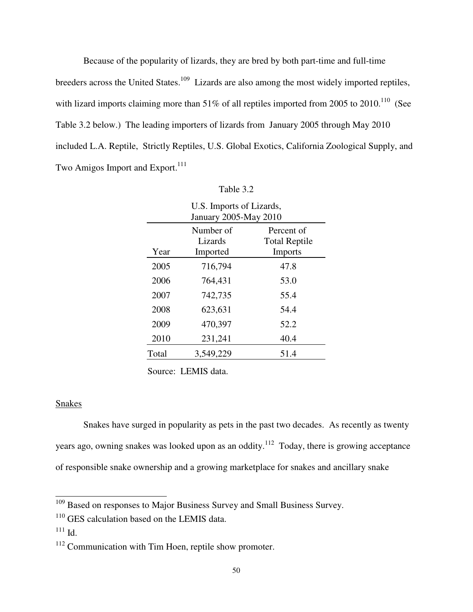Because of the popularity of lizards, they are bred by both part-time and full-time breeders across the United States.<sup>109</sup> Lizards are also among the most widely imported reptiles, with lizard imports claiming more than  $51\%$  of all reptiles imported from 2005 to 2010.<sup>110</sup> (See Table 3.2 below.) The leading importers of lizards from January 2005 through May 2010 included L.A. Reptile, Strictly Reptiles, U.S. Global Exotics, California Zoological Supply, and Two Amigos Import and Export.<sup>111</sup>

| U.S. Imports of Lizards,<br>January 2005-May 2010 |                                  |                                                      |
|---------------------------------------------------|----------------------------------|------------------------------------------------------|
| Year                                              | Number of<br>Lizards<br>Imported | Percent of<br><b>Total Reptile</b><br><b>Imports</b> |
| 2005                                              | 716,794                          | 47.8                                                 |
| 2006                                              | 764,431                          | 53.0                                                 |
| 2007                                              | 742,735                          | 55.4                                                 |
| 2008                                              | 623,631                          | 54.4                                                 |
| 2009                                              | 470,397                          | 52.2                                                 |
| 2010                                              | 231,241                          | 40.4                                                 |
| Total                                             | 3,549,229                        | 51.4                                                 |

| Fable 3 |  |
|---------|--|
|         |  |

### Snakes

Snakes have surged in popularity as pets in the past two decades. As recently as twenty years ago, owning snakes was looked upon as an oddity.<sup>112</sup> Today, there is growing acceptance of responsible snake ownership and a growing marketplace for snakes and ancillary snake

Source: LEMIS data.

 $109$  Based on responses to Major Business Survey and Small Business Survey.

<sup>&</sup>lt;sup>110</sup> GES calculation based on the LEMIS data.

 $111$  Id.

<sup>&</sup>lt;sup>112</sup> Communication with Tim Hoen, reptile show promoter.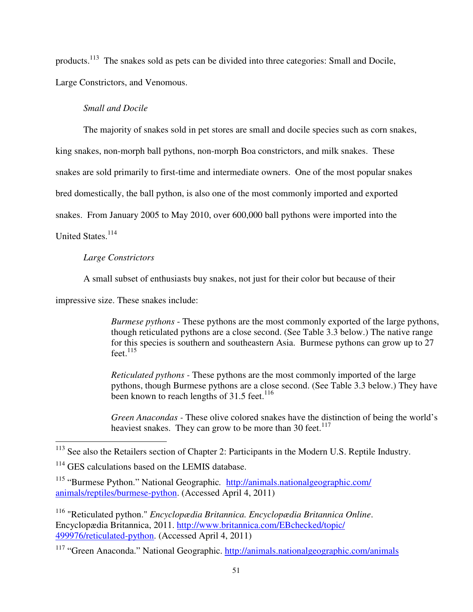products.<sup>113</sup> The snakes sold as pets can be divided into three categories: Small and Docile, Large Constrictors, and Venomous.

## *Small and Docile*

The majority of snakes sold in pet stores are small and docile species such as corn snakes,

king snakes, non-morph ball pythons, non-morph Boa constrictors, and milk snakes. These

snakes are sold primarily to first-time and intermediate owners. One of the most popular snakes

bred domestically, the ball python, is also one of the most commonly imported and exported

snakes. From January 2005 to May 2010, over 600,000 ball pythons were imported into the

United States.<sup>114</sup>

<u>.</u>

## *Large Constrictors*

A small subset of enthusiasts buy snakes, not just for their color but because of their

impressive size. These snakes include:

*Burmese pythons* - These pythons are the most commonly exported of the large pythons, though reticulated pythons are a close second. (See Table 3.3 below.) The native range for this species is southern and southeastern Asia. Burmese pythons can grow up to 27  $feet.<sup>115</sup>$ 

*Reticulated pythons -* These pythons are the most commonly imported of the large pythons, though Burmese pythons are a close second. (See Table 3.3 below.) They have been known to reach lengths of  $31.5$  feet.<sup>116</sup>

*Green Anacondas -* These olive colored snakes have the distinction of being the world's heaviest snakes. They can grow to be more than 30 feet.<sup>117</sup>

<sup>&</sup>lt;sup>113</sup> See also the Retailers section of Chapter 2: Participants in the Modern U.S. Reptile Industry.

<sup>&</sup>lt;sup>114</sup> GES calculations based on the LEMIS database.

<sup>115</sup> "Burmese Python." National Geographic*.* http://animals.nationalgeographic.com/ animals/reptiles/burmese-python. (Accessed April 4, 2011)

<sup>116</sup> "Reticulated python." *Encyclopædia Britannica. Encyclopædia Britannica Online*. Encyclopædia Britannica, 2011. http://www.britannica.com/EBchecked/topic/ 499976/reticulated-python. (Accessed April 4, 2011)

<sup>&</sup>lt;sup>117</sup> "Green Anaconda." National Geographic. http://animals.nationalgeographic.com/animals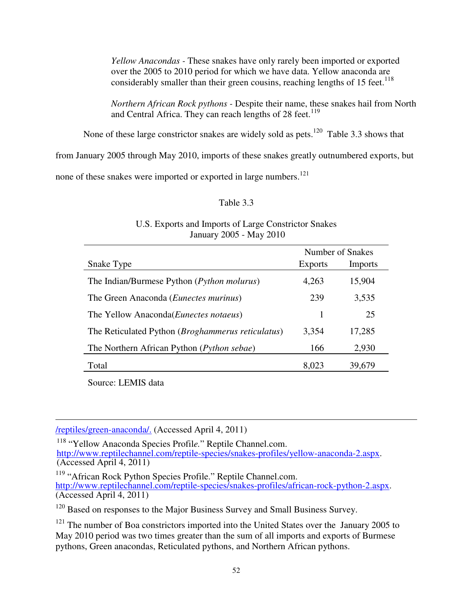*Yellow Anacondas -* These snakes have only rarely been imported or exported over the 2005 to 2010 period for which we have data. Yellow anaconda are considerably smaller than their green cousins, reaching lengths of  $15$  feet.<sup>118</sup>

*Northern African Rock pythons -* Despite their name, these snakes hail from North and Central Africa. They can reach lengths of 28 feet.<sup>119</sup>

None of these large constrictor snakes are widely sold as pets.<sup>120</sup> Table 3.3 shows that

from January 2005 through May 2010, imports of these snakes greatly outnumbered exports, but

none of these snakes were imported or exported in large numbers.<sup>121</sup>

## Table 3.3

# January 2005 - May 2010 Number of Snakes Snake Type Exports Imports The Indian/Burmese Python (*Python molurus*) 4,263 15,904 The Green Anaconda (*Eunectes murinus*) 239 3,535 The Yellow Anaconda(*Eunectes notaeus*) 1 25

The Reticulated Python (*Broghammerus reticulatus*) 3,354 17,285

The Northern African Python (*Python sebae*) 166 2,930

Total 8,023 39,679

| U.S. Exports and Imports of Large Constrictor Snakes |
|------------------------------------------------------|
| January 2005 - May 2010                              |

Source: LEMIS data

-/reptiles/green-anaconda/. (Accessed April 4, 2011)

<sup>118</sup> "Yellow Anaconda Species Profil*e.*" Reptile Channel.com. http://www.reptilechannel.com/reptile-species/snakes-profiles/yellow-anaconda-2.aspx. (Accessed April 4, 2011)

<sup>119</sup> "African Rock Python Species Profile." Reptile Channel.com. http://www.reptilechannel.com/reptile-species/snakes-profiles/african-rock-python-2.aspx. (Accessed April 4, 2011)

<sup>120</sup> Based on responses to the Major Business Survey and Small Business Survey.

 $121$  The number of Boa constrictors imported into the United States over the January 2005 to May 2010 period was two times greater than the sum of all imports and exports of Burmese pythons, Green anacondas, Reticulated pythons, and Northern African pythons.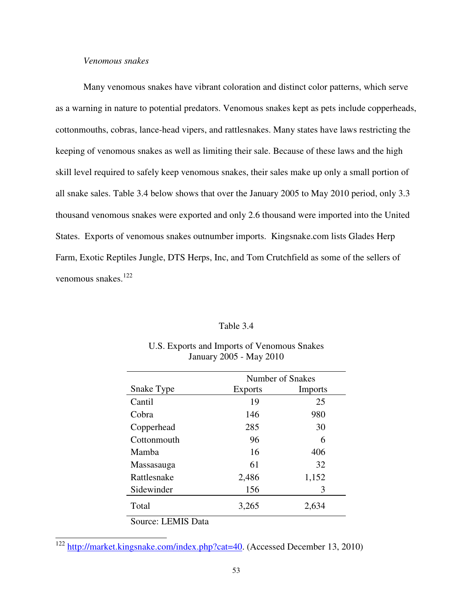## *Venomous snakes*

 Many venomous snakes have vibrant coloration and distinct color patterns, which serve as a warning in nature to potential predators. Venomous snakes kept as pets include copperheads, cottonmouths, cobras, lance-head vipers, and rattlesnakes. Many states have laws restricting the keeping of venomous snakes as well as limiting their sale. Because of these laws and the high skill level required to safely keep venomous snakes, their sales make up only a small portion of all snake sales. Table 3.4 below shows that over the January 2005 to May 2010 period, only 3.3 thousand venomous snakes were exported and only 2.6 thousand were imported into the United States. Exports of venomous snakes outnumber imports. Kingsnake.com lists Glades Herp Farm, Exotic Reptiles Jungle, DTS Herps, Inc, and Tom Crutchfield as some of the sellers of venomous snakes.<sup>122</sup>

#### Table 3.4

|                    |                | Number of Snakes |  |
|--------------------|----------------|------------------|--|
| Snake Type         | <b>Exports</b> | Imports          |  |
| Cantil             | 19             | 25               |  |
| Cobra              | 146            | 980              |  |
| Copperhead         | 285            | 30               |  |
| Cottonmouth        | 96             | 6                |  |
| Mamba              | 16             | 406              |  |
| Massasauga         | 61             | 32               |  |
| Rattlesnake        | 2,486          | 1,152            |  |
| Sidewinder         | 156            | 3                |  |
| Total              | 3,265          | 2,634            |  |
| Source: LEMIS Data |                |                  |  |

## U.S. Exports and Imports of Venomous Snakes January 2005 - May 2010

 <sup>122</sup> http://market.kingsnake.com/index.php?cat=40. (Accessed December 13, 2010)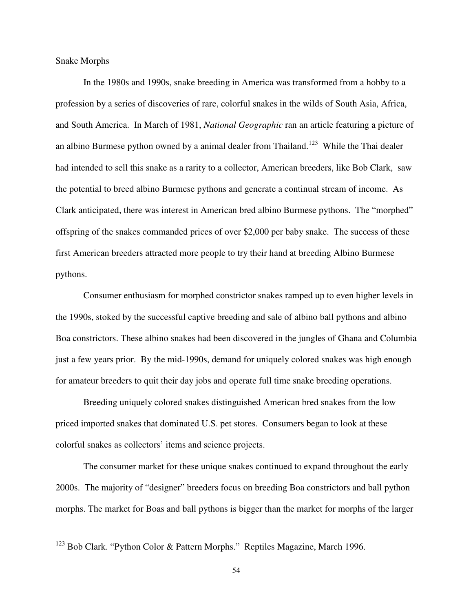#### Snake Morphs

 $\overline{\phantom{a}}$ 

In the 1980s and 1990s, snake breeding in America was transformed from a hobby to a profession by a series of discoveries of rare, colorful snakes in the wilds of South Asia, Africa, and South America. In March of 1981, *National Geographic* ran an article featuring a picture of an albino Burmese python owned by a animal dealer from Thailand.<sup>123</sup> While the Thai dealer had intended to sell this snake as a rarity to a collector, American breeders, like Bob Clark, saw the potential to breed albino Burmese pythons and generate a continual stream of income. As Clark anticipated, there was interest in American bred albino Burmese pythons. The "morphed" offspring of the snakes commanded prices of over \$2,000 per baby snake. The success of these first American breeders attracted more people to try their hand at breeding Albino Burmese pythons.

Consumer enthusiasm for morphed constrictor snakes ramped up to even higher levels in the 1990s, stoked by the successful captive breeding and sale of albino ball pythons and albino Boa constrictors. These albino snakes had been discovered in the jungles of Ghana and Columbia just a few years prior. By the mid-1990s, demand for uniquely colored snakes was high enough for amateur breeders to quit their day jobs and operate full time snake breeding operations.

Breeding uniquely colored snakes distinguished American bred snakes from the low priced imported snakes that dominated U.S. pet stores. Consumers began to look at these colorful snakes as collectors' items and science projects.

The consumer market for these unique snakes continued to expand throughout the early 2000s. The majority of "designer" breeders focus on breeding Boa constrictors and ball python morphs. The market for Boas and ball pythons is bigger than the market for morphs of the larger

 $123$  Bob Clark. "Python Color & Pattern Morphs." Reptiles Magazine, March 1996.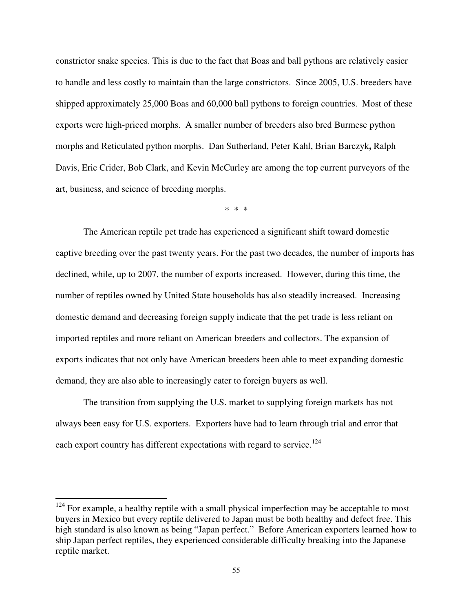constrictor snake species. This is due to the fact that Boas and ball pythons are relatively easier to handle and less costly to maintain than the large constrictors. Since 2005, U.S. breeders have shipped approximately 25,000 Boas and 60,000 ball pythons to foreign countries. Most of these exports were high-priced morphs. A smaller number of breeders also bred Burmese python morphs and Reticulated python morphs. Dan Sutherland, Peter Kahl, Brian Barczyk**,** Ralph Davis, Eric Crider, Bob Clark, and Kevin McCurley are among the top current purveyors of the art, business, and science of breeding morphs.

\* \* \*

The American reptile pet trade has experienced a significant shift toward domestic captive breeding over the past twenty years. For the past two decades, the number of imports has declined, while, up to 2007, the number of exports increased. However, during this time, the number of reptiles owned by United State households has also steadily increased. Increasing domestic demand and decreasing foreign supply indicate that the pet trade is less reliant on imported reptiles and more reliant on American breeders and collectors. The expansion of exports indicates that not only have American breeders been able to meet expanding domestic demand, they are also able to increasingly cater to foreign buyers as well.

The transition from supplying the U.S. market to supplying foreign markets has not always been easy for U.S. exporters. Exporters have had to learn through trial and error that each export country has different expectations with regard to service.<sup>124</sup>

 $\overline{a}$ 

 $124$  For example, a healthy reptile with a small physical imperfection may be acceptable to most buyers in Mexico but every reptile delivered to Japan must be both healthy and defect free. This high standard is also known as being "Japan perfect." Before American exporters learned how to ship Japan perfect reptiles, they experienced considerable difficulty breaking into the Japanese reptile market.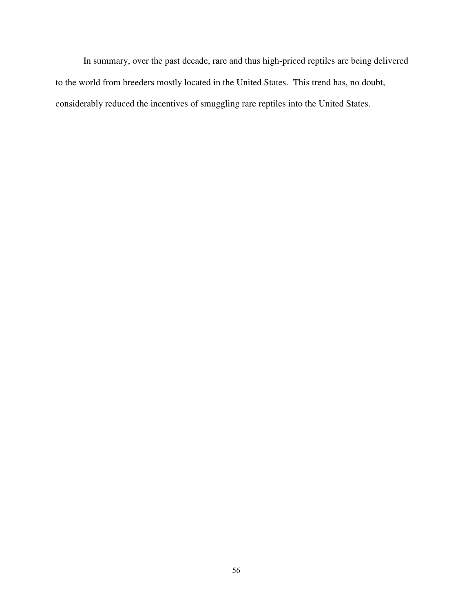In summary, over the past decade, rare and thus high-priced reptiles are being delivered to the world from breeders mostly located in the United States. This trend has, no doubt, considerably reduced the incentives of smuggling rare reptiles into the United States.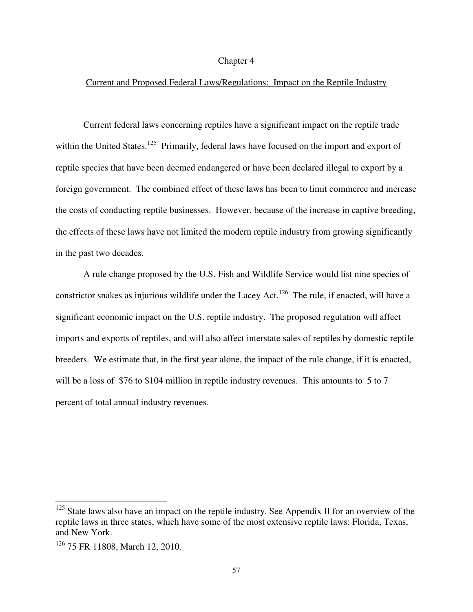#### Chapter 4

## Current and Proposed Federal Laws/Regulations: Impact on the Reptile Industry

 Current federal laws concerning reptiles have a significant impact on the reptile trade within the United States.<sup>125</sup> Primarily, federal laws have focused on the import and export of reptile species that have been deemed endangered or have been declared illegal to export by a foreign government. The combined effect of these laws has been to limit commerce and increase the costs of conducting reptile businesses. However, because of the increase in captive breeding, the effects of these laws have not limited the modern reptile industry from growing significantly in the past two decades.

 A rule change proposed by the U.S. Fish and Wildlife Service would list nine species of constrictor snakes as injurious wildlife under the Lacey Act.<sup>126</sup> The rule, if enacted, will have a significant economic impact on the U.S. reptile industry. The proposed regulation will affect imports and exports of reptiles, and will also affect interstate sales of reptiles by domestic reptile breeders. We estimate that, in the first year alone, the impact of the rule change, if it is enacted, will be a loss of \$76 to \$104 million in reptile industry revenues. This amounts to 5 to 7 percent of total annual industry revenues.

 $\overline{a}$ 

<sup>&</sup>lt;sup>125</sup> State laws also have an impact on the reptile industry. See Appendix II for an overview of the reptile laws in three states, which have some of the most extensive reptile laws: Florida, Texas, and New York.

<sup>126</sup> 75 FR 11808, March 12, 2010.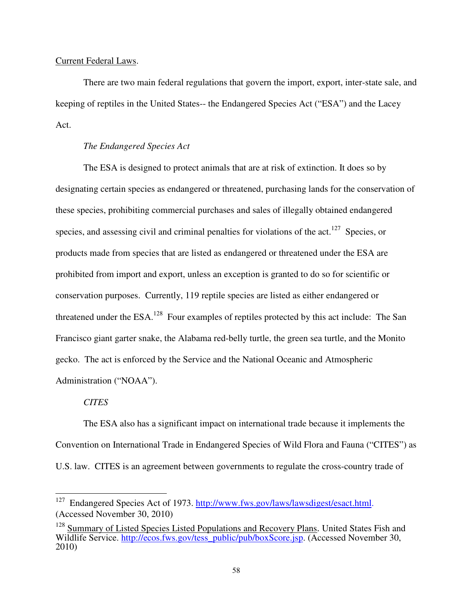## Current Federal Laws.

 There are two main federal regulations that govern the import, export, inter-state sale, and keeping of reptiles in the United States-- the Endangered Species Act ("ESA") and the Lacey Act.

## *The Endangered Species Act*

The ESA is designed to protect animals that are at risk of extinction. It does so by designating certain species as endangered or threatened, purchasing lands for the conservation of these species, prohibiting commercial purchases and sales of illegally obtained endangered species, and assessing civil and criminal penalties for violations of the act.<sup>127</sup> Species, or products made from species that are listed as endangered or threatened under the ESA are prohibited from import and export, unless an exception is granted to do so for scientific or conservation purposes. Currently, 119 reptile species are listed as either endangered or threatened under the  $ESA$ <sup>128</sup>. Four examples of reptiles protected by this act include: The San Francisco giant garter snake, the Alabama red-belly turtle, the green sea turtle, and the Monito gecko. The act is enforced by the Service and the National Oceanic and Atmospheric Administration ("NOAA").

#### *CITES*

<u>.</u>

 The ESA also has a significant impact on international trade because it implements the Convention on International Trade in Endangered Species of Wild Flora and Fauna ("CITES") as U.S. law. CITES is an agreement between governments to regulate the cross-country trade of

Endangered Species Act of 1973. http://www.fws.gov/laws/lawsdigest/esact.html. (Accessed November 30, 2010)

<sup>&</sup>lt;sup>128</sup> Summary of Listed Species Listed Populations and Recovery Plans. United States Fish and Wildlife Service. http://ecos.fws.gov/tess\_public/pub/boxScore.jsp. (Accessed November 30, 2010)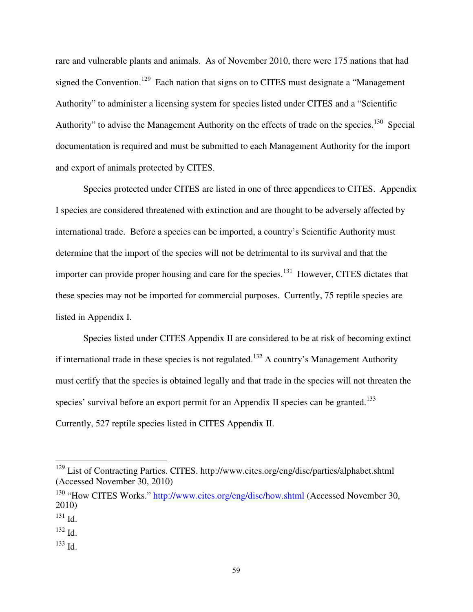rare and vulnerable plants and animals. As of November 2010, there were 175 nations that had signed the Convention.<sup>129</sup> Each nation that signs on to CITES must designate a "Management" Authority" to administer a licensing system for species listed under CITES and a "Scientific Authority" to advise the Management Authority on the effects of trade on the species.<sup>130</sup> Special documentation is required and must be submitted to each Management Authority for the import and export of animals protected by CITES.

 Species protected under CITES are listed in one of three appendices to CITES. Appendix I species are considered threatened with extinction and are thought to be adversely affected by international trade. Before a species can be imported, a country's Scientific Authority must determine that the import of the species will not be detrimental to its survival and that the importer can provide proper housing and care for the species.<sup>131</sup> However, CITES dictates that these species may not be imported for commercial purposes. Currently, 75 reptile species are listed in Appendix I.

 Species listed under CITES Appendix II are considered to be at risk of becoming extinct if international trade in these species is not regulated.<sup>132</sup> A country's Management Authority must certify that the species is obtained legally and that trade in the species will not threaten the species' survival before an export permit for an Appendix II species can be granted.<sup>133</sup> Currently, 527 reptile species listed in CITES Appendix II.

<u>.</u>

<sup>133</sup> Id.

<sup>&</sup>lt;sup>129</sup> List of Contracting Parties. CITES. http://www.cites.org/eng/disc/parties/alphabet.shtml (Accessed November 30, 2010)

<sup>&</sup>lt;sup>130</sup> "How CITES Works." http://www.cites.org/eng/disc/how.shtml (Accessed November 30, 2010)

 $131$  Id.

 $132$  Id.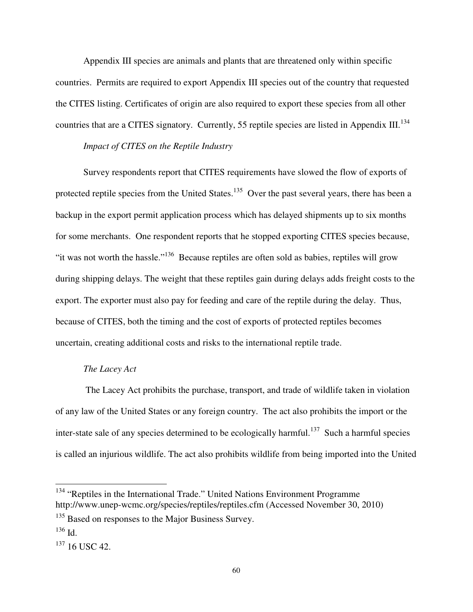Appendix III species are animals and plants that are threatened only within specific countries. Permits are required to export Appendix III species out of the country that requested the CITES listing. Certificates of origin are also required to export these species from all other countries that are a CITES signatory. Currently, 55 reptile species are listed in Appendix III.<sup>134</sup>

## *Impact of CITES on the Reptile Industry*

 Survey respondents report that CITES requirements have slowed the flow of exports of protected reptile species from the United States.<sup>135</sup> Over the past several years, there has been a backup in the export permit application process which has delayed shipments up to six months for some merchants. One respondent reports that he stopped exporting CITES species because, "it was not worth the hassle."<sup>136</sup> Because reptiles are often sold as babies, reptiles will grow during shipping delays. The weight that these reptiles gain during delays adds freight costs to the export. The exporter must also pay for feeding and care of the reptile during the delay. Thus, because of CITES, both the timing and the cost of exports of protected reptiles becomes uncertain, creating additional costs and risks to the international reptile trade.

## *The Lacey Act*

 The Lacey Act prohibits the purchase, transport, and trade of wildlife taken in violation of any law of the United States or any foreign country. The act also prohibits the import or the inter-state sale of any species determined to be ecologically harmful.<sup>137</sup> Such a harmful species is called an injurious wildlife. The act also prohibits wildlife from being imported into the United

<u>.</u>

<sup>&</sup>lt;sup>134</sup> "Reptiles in the International Trade." United Nations Environment Programme http://www.unep-wcmc.org/species/reptiles/reptiles.cfm (Accessed November 30, 2010)

<sup>&</sup>lt;sup>135</sup> Based on responses to the Major Business Survey.

<sup>136</sup> Id.

<sup>&</sup>lt;sup>137</sup> 16 USC 42.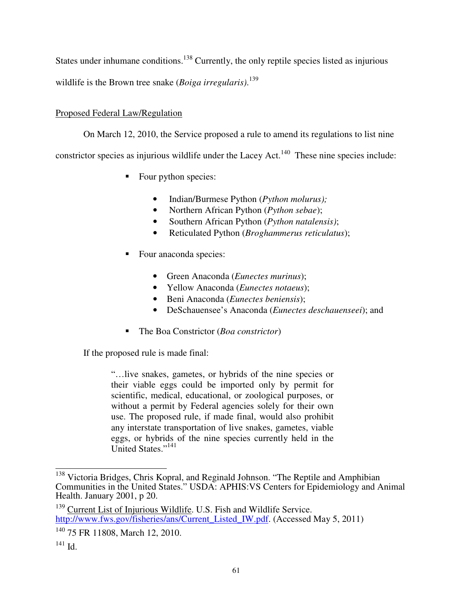States under inhumane conditions.<sup>138</sup> Currently, the only reptile species listed as injurious wildlife is the Brown tree snake (*Boiga irregularis)*. 139

# Proposed Federal Law/Regulation

On March 12, 2010, the Service proposed a rule to amend its regulations to list nine constrictor species as injurious wildlife under the Lacey Act.<sup>140</sup> These nine species include:

- Four python species:
	- Indian/Burmese Python (*Python molurus);*
	- Northern African Python (*Python sebae*);
	- Southern African Python (*Python natalensis)*;
	- Reticulated Python (*Broghammerus reticulatus*);
- Four anaconda species:
	- Green Anaconda (*Eunectes murinus*);
	- Yellow Anaconda (*Eunectes notaeus*);
	- Beni Anaconda (*Eunectes beniensis*);
	- DeSchauensee's Anaconda (*Eunectes deschauenseei*); and
- The Boa Constrictor (*Boa constrictor*)

If the proposed rule is made final:

"…live snakes, gametes, or hybrids of the nine species or their viable eggs could be imported only by permit for scientific, medical, educational, or zoological purposes, or without a permit by Federal agencies solely for their own use. The proposed rule, if made final, would also prohibit any interstate transportation of live snakes, gametes, viable eggs, or hybrids of the nine species currently held in the United States."<sup>141</sup>

 $\overline{\phantom{a}}$ 

<sup>&</sup>lt;sup>138</sup> Victoria Bridges, Chris Kopral, and Reginald Johnson. "The Reptile and Amphibian Communities in the United States." USDA: APHIS:VS Centers for Epidemiology and Animal Health. January 2001, p 20.

<sup>&</sup>lt;sup>139</sup> Current List of Injurious Wildlife. U.S. Fish and Wildlife Service. http://www.fws.gov/fisheries/ans/Current\_Listed\_IW.pdf. (Accessed May 5, 2011)

<sup>140</sup> 75 FR 11808, March 12, 2010.

<sup>141</sup> Id.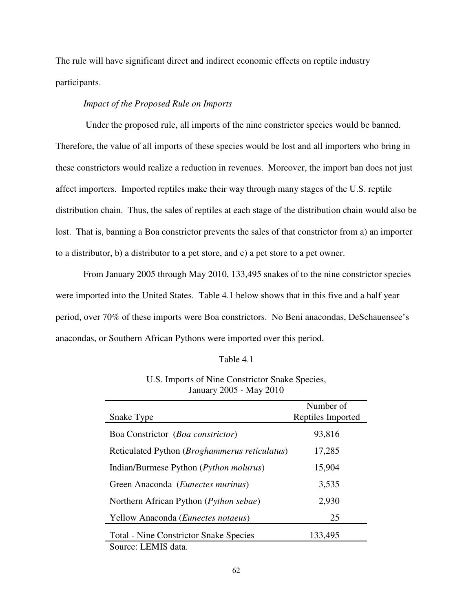The rule will have significant direct and indirect economic effects on reptile industry participants.

## *Impact of the Proposed Rule on Imports*

Under the proposed rule, all imports of the nine constrictor species would be banned. Therefore, the value of all imports of these species would be lost and all importers who bring in these constrictors would realize a reduction in revenues. Moreover, the import ban does not just affect importers. Imported reptiles make their way through many stages of the U.S. reptile distribution chain. Thus, the sales of reptiles at each stage of the distribution chain would also be lost. That is, banning a Boa constrictor prevents the sales of that constrictor from a) an importer to a distributor, b) a distributor to a pet store, and c) a pet store to a pet owner.

 From January 2005 through May 2010, 133,495 snakes of to the nine constrictor species were imported into the United States. Table 4.1 below shows that in this five and a half year period, over 70% of these imports were Boa constrictors. No Beni anacondas, DeSchauensee's anacondas, or Southern African Pythons were imported over this period.

#### Table 4.1

| U.S. Imports of Nine Constrictor Snake Species, |
|-------------------------------------------------|
| January 2005 - May 2010                         |

|                                                 | Number of         |
|-------------------------------------------------|-------------------|
| Snake Type                                      | Reptiles Imported |
| Boa Constrictor (Boa constrictor)               | 93,816            |
| Reticulated Python (Broghammerus reticulatus)   | 17,285            |
| Indian/Burmese Python (Python molurus)          | 15,904            |
| Green Anaconda ( <i>Eunectes murinus</i> )      | 3,535             |
| Northern African Python ( <i>Python sebae</i> ) | 2,930             |
| Yellow Anaconda ( <i>Eunectes notaeus</i> )     | 25                |
| <b>Total - Nine Constrictor Snake Species</b>   | 133,495           |
| Source: LEMIS data.                             |                   |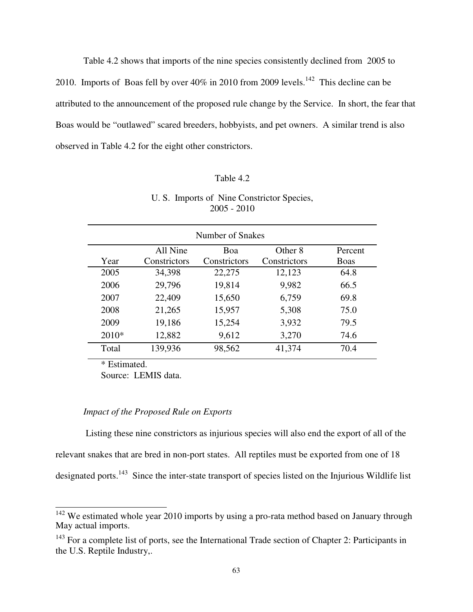Table 4.2 shows that imports of the nine species consistently declined from 2005 to 2010. Imports of Boas fell by over  $40\%$  in 2010 from 2009 levels.<sup>142</sup> This decline can be attributed to the announcement of the proposed rule change by the Service. In short, the fear that Boas would be "outlawed" scared breeders, hobbyists, and pet owners. A similar trend is also observed in Table 4.2 for the eight other constrictors.

## Table 4.2

## U. S. Imports of Nine Constrictor Species, 2005 - 2010

| Number of Snakes                       |              |              |              |             |  |
|----------------------------------------|--------------|--------------|--------------|-------------|--|
|                                        | All Nine     | Boa          | Other 8      | Percent     |  |
| Year                                   | Constrictors | Constrictors | Constrictors | <b>Boas</b> |  |
| 2005                                   | 34,398       | 22,275       | 12,123       | 64.8        |  |
| 2006                                   | 29,796       | 19,814       | 9,982        | 66.5        |  |
| 2007                                   | 22,409       | 15,650       | 6,759        | 69.8        |  |
| 2008                                   | 21,265       | 15,957       | 5,308        | 75.0        |  |
| 2009                                   | 19,186       | 15,254       | 3,932        | 79.5        |  |
| $2010*$                                | 12,882       | 9,612        | 3,270        | 74.6        |  |
| Total                                  | 139,936      | 98,562       | 41,374       | 70.4        |  |
| $\mathbf{a}$ and $\mathbf{a}$<br>. . 1 |              |              |              |             |  |

\* Estimated.

 $\overline{\phantom{a}}$ 

Source: LEMIS data.

## *Impact of the Proposed Rule on Exports*

Listing these nine constrictors as injurious species will also end the export of all of the relevant snakes that are bred in non-port states. All reptiles must be exported from one of 18 designated ports.<sup>143</sup> Since the inter-state transport of species listed on the Injurious Wildlife list

 $142$  We estimated whole year 2010 imports by using a pro-rata method based on January through May actual imports.

 $143$  For a complete list of ports, see the International Trade section of Chapter 2: Participants in the U.S. Reptile Industry,.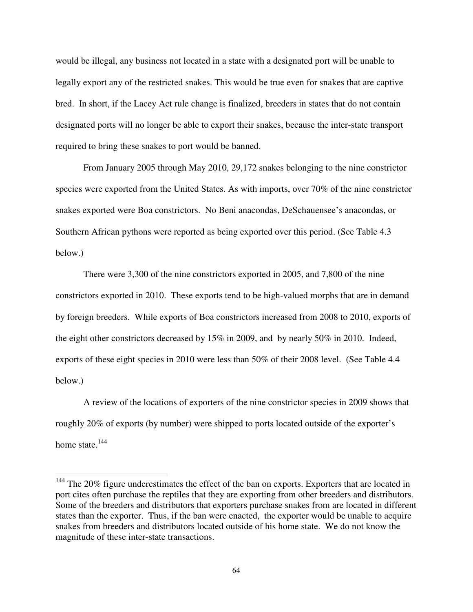would be illegal, any business not located in a state with a designated port will be unable to legally export any of the restricted snakes. This would be true even for snakes that are captive bred. In short, if the Lacey Act rule change is finalized, breeders in states that do not contain designated ports will no longer be able to export their snakes, because the inter-state transport required to bring these snakes to port would be banned.

 From January 2005 through May 2010, 29,172 snakes belonging to the nine constrictor species were exported from the United States. As with imports, over 70% of the nine constrictor snakes exported were Boa constrictors. No Beni anacondas, DeSchauensee's anacondas, or Southern African pythons were reported as being exported over this period. (See Table 4.3 below.)

 There were 3,300 of the nine constrictors exported in 2005, and 7,800 of the nine constrictors exported in 2010. These exports tend to be high-valued morphs that are in demand by foreign breeders. While exports of Boa constrictors increased from 2008 to 2010, exports of the eight other constrictors decreased by 15% in 2009, and by nearly 50% in 2010. Indeed, exports of these eight species in 2010 were less than 50% of their 2008 level. (See Table 4.4 below.)

 A review of the locations of exporters of the nine constrictor species in 2009 shows that roughly 20% of exports (by number) were shipped to ports located outside of the exporter's home state. $144$ 

<u>.</u>

<sup>&</sup>lt;sup>144</sup> The 20% figure underestimates the effect of the ban on exports. Exporters that are located in port cites often purchase the reptiles that they are exporting from other breeders and distributors. Some of the breeders and distributors that exporters purchase snakes from are located in different states than the exporter. Thus, if the ban were enacted, the exporter would be unable to acquire snakes from breeders and distributors located outside of his home state. We do not know the magnitude of these inter-state transactions.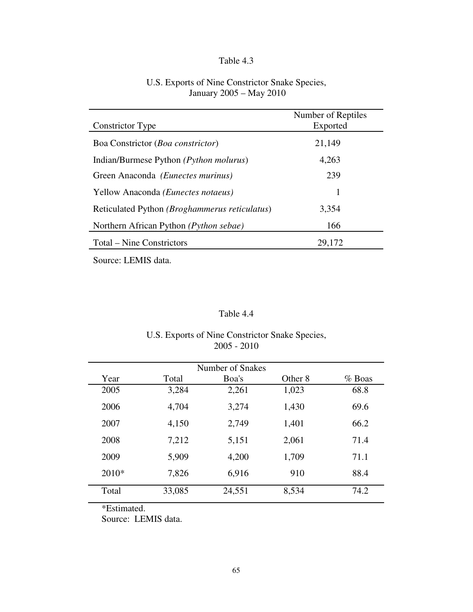## Table 4.3

| U.S. Exports of Nine Constrictor Snake Species, |
|-------------------------------------------------|
| January 2005 – May 2010                         |

| Constrictor Type                                       | Number of Reptiles<br>Exported |
|--------------------------------------------------------|--------------------------------|
| Boa Constrictor ( <i>Boa constrictor</i> )             | 21,149                         |
| Indian/Burmese Python ( <i>Python molurus</i> )        | 4,263                          |
| Green Anaconda (Eunectes murinus)                      | 239                            |
| Yellow Anaconda (Eunectes notaeus)                     | 1                              |
| Reticulated Python ( <i>Broghammerus reticulatus</i> ) | 3,354                          |
| Northern African Python (Python sebae)                 | 166                            |
| Total – Nine Constrictors                              | 29,172                         |

Source: LEMIS data.

# Table 4.4

## U.S. Exports of Nine Constrictor Snake Species, 2005 - 2010

| Number of Snakes |        |        |         |          |  |
|------------------|--------|--------|---------|----------|--|
| Year             | Total  | Boa's  | Other 8 | $%$ Boas |  |
| 2005             | 3,284  | 2,261  | 1,023   | 68.8     |  |
| 2006             | 4,704  | 3,274  | 1,430   | 69.6     |  |
| 2007             | 4,150  | 2,749  | 1,401   | 66.2     |  |
| 2008             | 7,212  | 5,151  | 2,061   | 71.4     |  |
| 2009             | 5,909  | 4,200  | 1,709   | 71.1     |  |
| $2010*$          | 7,826  | 6,916  | 910     | 88.4     |  |
| Total            | 33,085 | 24,551 | 8,534   | 74.2     |  |

\*Estimated.

Source: LEMIS data.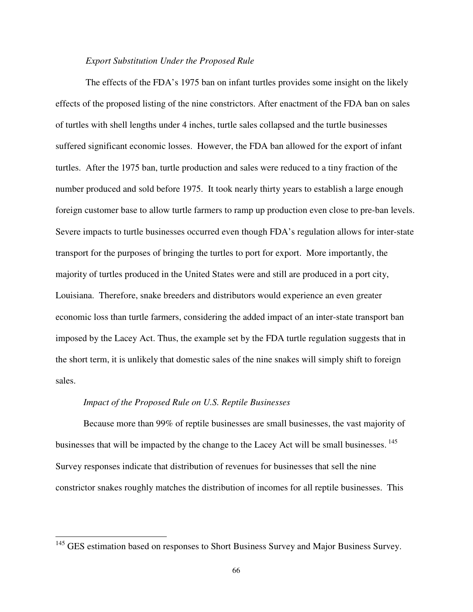## *Export Substitution Under the Proposed Rule*

 The effects of the FDA's 1975 ban on infant turtles provides some insight on the likely effects of the proposed listing of the nine constrictors. After enactment of the FDA ban on sales of turtles with shell lengths under 4 inches, turtle sales collapsed and the turtle businesses suffered significant economic losses. However, the FDA ban allowed for the export of infant turtles. After the 1975 ban, turtle production and sales were reduced to a tiny fraction of the number produced and sold before 1975. It took nearly thirty years to establish a large enough foreign customer base to allow turtle farmers to ramp up production even close to pre-ban levels. Severe impacts to turtle businesses occurred even though FDA's regulation allows for inter-state transport for the purposes of bringing the turtles to port for export. More importantly, the majority of turtles produced in the United States were and still are produced in a port city, Louisiana. Therefore, snake breeders and distributors would experience an even greater economic loss than turtle farmers, considering the added impact of an inter-state transport ban imposed by the Lacey Act. Thus, the example set by the FDA turtle regulation suggests that in the short term, it is unlikely that domestic sales of the nine snakes will simply shift to foreign sales.

#### *Impact of the Proposed Rule on U.S. Reptile Businesses*

<u>.</u>

Because more than 99% of reptile businesses are small businesses, the vast majority of businesses that will be impacted by the change to the Lacey Act will be small businesses.  $145$ Survey responses indicate that distribution of revenues for businesses that sell the nine constrictor snakes roughly matches the distribution of incomes for all reptile businesses. This

<sup>&</sup>lt;sup>145</sup> GES estimation based on responses to Short Business Survey and Major Business Survey.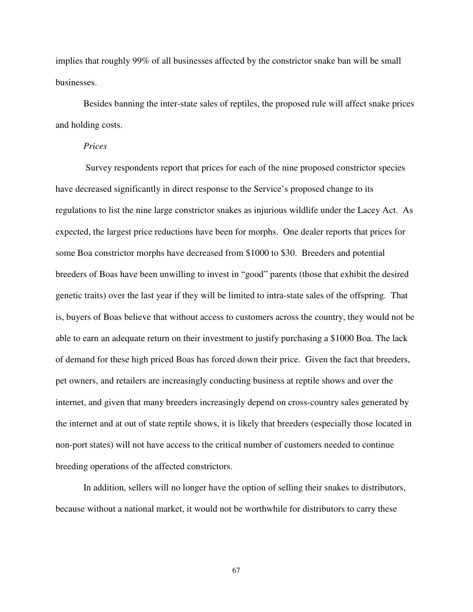implies that roughly 99% of all businesses affected by the constrictor snake ban will be small businesses.

 Besides banning the inter-state sales of reptiles, the proposed rule will affect snake prices and holding costs.

## *Prices*

Survey respondents report that prices for each of the nine proposed constrictor species have decreased significantly in direct response to the Service's proposed change to its regulations to list the nine large constrictor snakes as injurious wildlife under the Lacey Act. As expected, the largest price reductions have been for morphs. One dealer reports that prices for some Boa constrictor morphs have decreased from \$1000 to \$30. Breeders and potential breeders of Boas have been unwilling to invest in "good" parents (those that exhibit the desired genetic traits) over the last year if they will be limited to intra-state sales of the offspring. That is, buyers of Boas believe that without access to customers across the country, they would not be able to earn an adequate return on their investment to justify purchasing a \$1000 Boa. The lack of demand for these high priced Boas has forced down their price. Given the fact that breeders, pet owners, and retailers are increasingly conducting business at reptile shows and over the internet, and given that many breeders increasingly depend on cross-country sales generated by the internet and at out of state reptile shows, it is likely that breeders (especially those located in non-port states) will not have access to the critical number of customers needed to continue breeding operations of the affected constrictors.

 In addition, sellers will no longer have the option of selling their snakes to distributors, because without a national market, it would not be worthwhile for distributors to carry these

67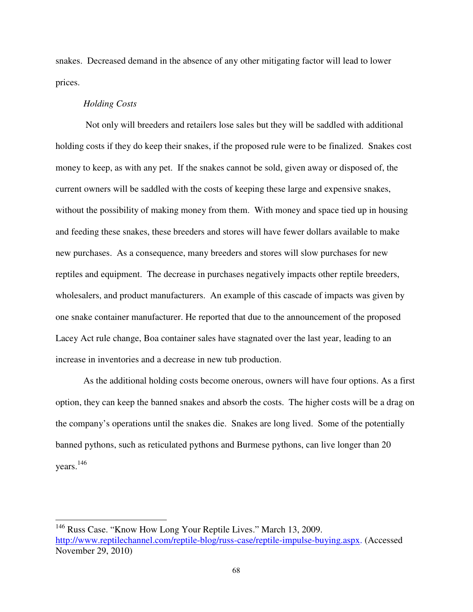snakes. Decreased demand in the absence of any other mitigating factor will lead to lower prices.

#### *Holding Costs*

-

Not only will breeders and retailers lose sales but they will be saddled with additional holding costs if they do keep their snakes, if the proposed rule were to be finalized. Snakes cost money to keep, as with any pet. If the snakes cannot be sold, given away or disposed of, the current owners will be saddled with the costs of keeping these large and expensive snakes, without the possibility of making money from them. With money and space tied up in housing and feeding these snakes, these breeders and stores will have fewer dollars available to make new purchases. As a consequence, many breeders and stores will slow purchases for new reptiles and equipment. The decrease in purchases negatively impacts other reptile breeders, wholesalers, and product manufacturers. An example of this cascade of impacts was given by one snake container manufacturer. He reported that due to the announcement of the proposed Lacey Act rule change, Boa container sales have stagnated over the last year, leading to an increase in inventories and a decrease in new tub production.

 As the additional holding costs become onerous, owners will have four options. As a first option, they can keep the banned snakes and absorb the costs. The higher costs will be a drag on the company's operations until the snakes die. Snakes are long lived. Some of the potentially banned pythons, such as reticulated pythons and Burmese pythons, can live longer than 20 years. 146

<sup>&</sup>lt;sup>146</sup> Russ Case. "Know How Long Your Reptile Lives." March 13, 2009. http://www.reptilechannel.com/reptile-blog/russ-case/reptile-impulse-buying.aspx. (Accessed November 29, 2010)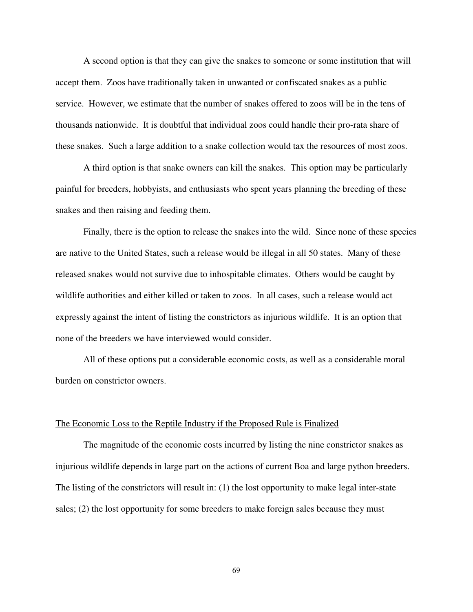A second option is that they can give the snakes to someone or some institution that will accept them. Zoos have traditionally taken in unwanted or confiscated snakes as a public service. However, we estimate that the number of snakes offered to zoos will be in the tens of thousands nationwide. It is doubtful that individual zoos could handle their pro-rata share of these snakes. Such a large addition to a snake collection would tax the resources of most zoos.

 A third option is that snake owners can kill the snakes. This option may be particularly painful for breeders, hobbyists, and enthusiasts who spent years planning the breeding of these snakes and then raising and feeding them.

 Finally, there is the option to release the snakes into the wild. Since none of these species are native to the United States, such a release would be illegal in all 50 states. Many of these released snakes would not survive due to inhospitable climates. Others would be caught by wildlife authorities and either killed or taken to zoos. In all cases, such a release would act expressly against the intent of listing the constrictors as injurious wildlife. It is an option that none of the breeders we have interviewed would consider.

 All of these options put a considerable economic costs, as well as a considerable moral burden on constrictor owners.

#### The Economic Loss to the Reptile Industry if the Proposed Rule is Finalized

 The magnitude of the economic costs incurred by listing the nine constrictor snakes as injurious wildlife depends in large part on the actions of current Boa and large python breeders. The listing of the constrictors will result in: (1) the lost opportunity to make legal inter-state sales; (2) the lost opportunity for some breeders to make foreign sales because they must

69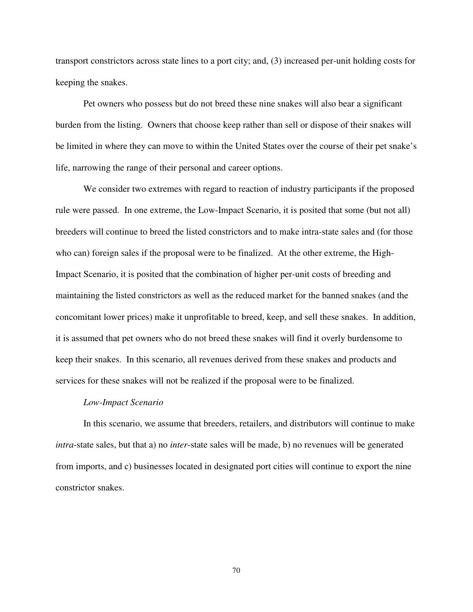transport constrictors across state lines to a port city; and, (3) increased per-unit holding costs for keeping the snakes.

 Pet owners who possess but do not breed these nine snakes will also bear a significant burden from the listing. Owners that choose keep rather than sell or dispose of their snakes will be limited in where they can move to within the United States over the course of their pet snake's life, narrowing the range of their personal and career options.

We consider two extremes with regard to reaction of industry participants if the proposed rule were passed. In one extreme, the Low-Impact Scenario, it is posited that some (but not all) breeders will continue to breed the listed constrictors and to make intra-state sales and (for those who can) foreign sales if the proposal were to be finalized. At the other extreme, the High-Impact Scenario, it is posited that the combination of higher per-unit costs of breeding and maintaining the listed constrictors as well as the reduced market for the banned snakes (and the concomitant lower prices) make it unprofitable to breed, keep, and sell these snakes. In addition, it is assumed that pet owners who do not breed these snakes will find it overly burdensome to keep their snakes. In this scenario, all revenues derived from these snakes and products and services for these snakes will not be realized if the proposal were to be finalized.

#### *Low-Impact Scenario*

 In this scenario, we assume that breeders, retailers, and distributors will continue to make *intra*-state sales, but that a) no *inter*-state sales will be made, b) no revenues will be generated from imports, and c) businesses located in designated port cities will continue to export the nine constrictor snakes.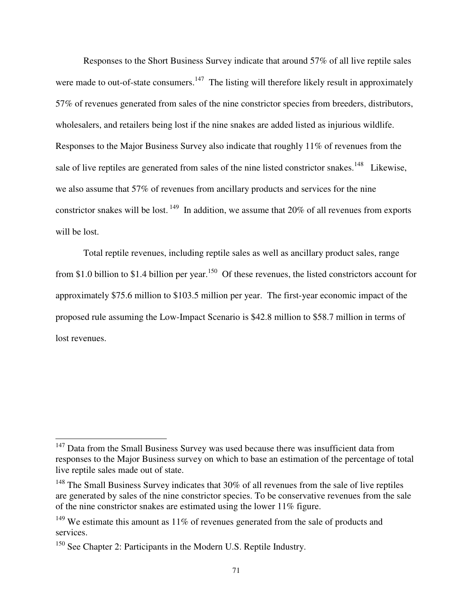Responses to the Short Business Survey indicate that around 57% of all live reptile sales were made to out-of-state consumers.<sup>147</sup> The listing will therefore likely result in approximately 57% of revenues generated from sales of the nine constrictor species from breeders, distributors, wholesalers, and retailers being lost if the nine snakes are added listed as injurious wildlife. Responses to the Major Business Survey also indicate that roughly 11% of revenues from the sale of live reptiles are generated from sales of the nine listed constrictor snakes.<sup>148</sup> Likewise, we also assume that 57% of revenues from ancillary products and services for the nine constrictor snakes will be lost.<sup>149</sup> In addition, we assume that 20% of all revenues from exports will be lost.

Total reptile revenues, including reptile sales as well as ancillary product sales, range from \$1.0 billion to \$1.4 billion per year.<sup>150</sup> Of these revenues, the listed constrictors account for approximately \$75.6 million to \$103.5 million per year. The first-year economic impact of the proposed rule assuming the Low-Impact Scenario is \$42.8 million to \$58.7 million in terms of lost revenues.

-

 $147$  Data from the Small Business Survey was used because there was insufficient data from responses to the Major Business survey on which to base an estimation of the percentage of total live reptile sales made out of state.

<sup>&</sup>lt;sup>148</sup> The Small Business Survey indicates that 30% of all revenues from the sale of live reptiles are generated by sales of the nine constrictor species. To be conservative revenues from the sale of the nine constrictor snakes are estimated using the lower 11% figure.

 $149$  We estimate this amount as 11% of revenues generated from the sale of products and services.

<sup>&</sup>lt;sup>150</sup> See Chapter 2: Participants in the Modern U.S. Reptile Industry.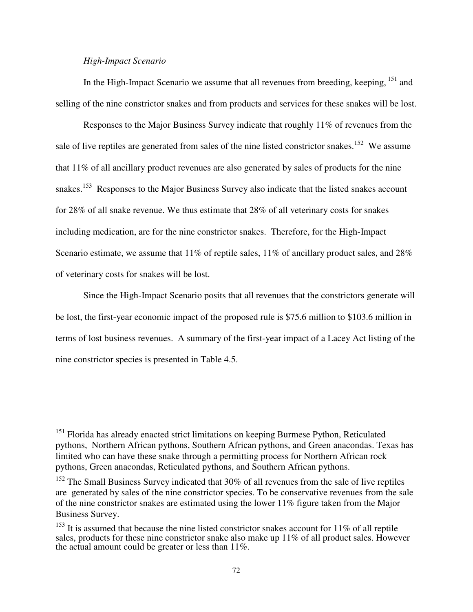# *High-Impact Scenario*

-

In the High-Impact Scenario we assume that all revenues from breeding, keeping,  $^{151}$  and selling of the nine constrictor snakes and from products and services for these snakes will be lost.

Responses to the Major Business Survey indicate that roughly 11% of revenues from the sale of live reptiles are generated from sales of the nine listed constrictor snakes.<sup>152</sup> We assume that 11% of all ancillary product revenues are also generated by sales of products for the nine snakes.<sup>153</sup> Responses to the Major Business Survey also indicate that the listed snakes account for 28% of all snake revenue. We thus estimate that 28% of all veterinary costs for snakes including medication, are for the nine constrictor snakes. Therefore, for the High-Impact Scenario estimate, we assume that  $11\%$  of reptile sales,  $11\%$  of ancillary product sales, and  $28\%$ of veterinary costs for snakes will be lost.

Since the High-Impact Scenario posits that all revenues that the constrictors generate will be lost, the first-year economic impact of the proposed rule is \$75.6 million to \$103.6 million in terms of lost business revenues. A summary of the first-year impact of a Lacey Act listing of the nine constrictor species is presented in Table 4.5.

<sup>&</sup>lt;sup>151</sup> Florida has already enacted strict limitations on keeping Burmese Python, Reticulated pythons, Northern African pythons, Southern African pythons, and Green anacondas. Texas has limited who can have these snake through a permitting process for Northern African rock pythons, Green anacondas, Reticulated pythons, and Southern African pythons.

<sup>&</sup>lt;sup>152</sup> The Small Business Survey indicated that 30% of all revenues from the sale of live reptiles are generated by sales of the nine constrictor species. To be conservative revenues from the sale of the nine constrictor snakes are estimated using the lower 11% figure taken from the Major Business Survey.

 $153$  It is assumed that because the nine listed constrictor snakes account for 11% of all reptile sales, products for these nine constrictor snake also make up 11% of all product sales. However the actual amount could be greater or less than 11%.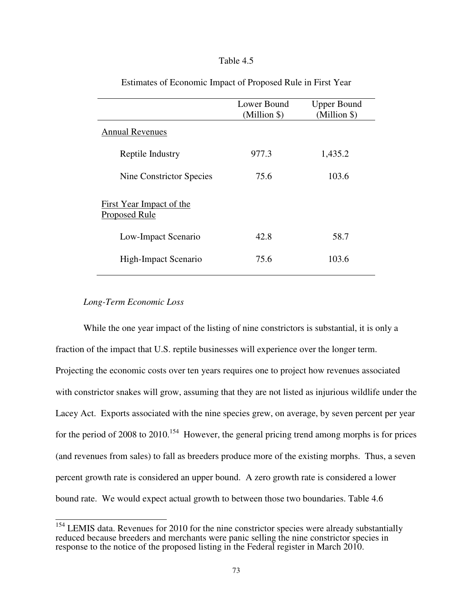# Table 4.5

|                                                         | Lower Bound<br>(Million \$) | <b>Upper Bound</b><br>(Million \$) |
|---------------------------------------------------------|-----------------------------|------------------------------------|
| <b>Annual Revenues</b>                                  |                             |                                    |
| Reptile Industry                                        | 977.3                       | 1,435.2                            |
| Nine Constrictor Species                                | 75.6                        | 103.6                              |
| <b>First Year Impact of the</b><br><b>Proposed Rule</b> |                             |                                    |
| Low-Impact Scenario                                     | 42.8                        | 58.7                               |
| High-Impact Scenario                                    | 75.6                        | 103.6                              |

## Estimates of Economic Impact of Proposed Rule in First Year

# *Long-Term Economic Loss*

 While the one year impact of the listing of nine constrictors is substantial, it is only a fraction of the impact that U.S. reptile businesses will experience over the longer term. Projecting the economic costs over ten years requires one to project how revenues associated with constrictor snakes will grow, assuming that they are not listed as injurious wildlife under the Lacey Act. Exports associated with the nine species grew, on average, by seven percent per year for the period of 2008 to  $2010^{154}$  However, the general pricing trend among morphs is for prices (and revenues from sales) to fall as breeders produce more of the existing morphs. Thus, a seven percent growth rate is considered an upper bound. A zero growth rate is considered a lower bound rate. We would expect actual growth to between those two boundaries. Table 4.6

 $154$  LEMIS data. Revenues for 2010 for the nine constrictor species were already substantially reduced because breeders and merchants were panic selling the nine constrictor species in response to the notice of the proposed listing in the Federal register in March 2010.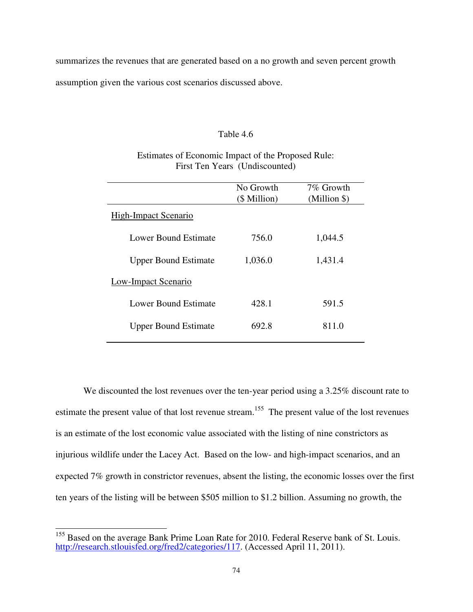summarizes the revenues that are generated based on a no growth and seven percent growth assumption given the various cost scenarios discussed above.

## Table 4.6

# Estimates of Economic Impact of the Proposed Rule: First Ten Years (Undiscounted)

|                             | No Growth<br>(\$ Million) | 7% Growth<br>(Million \$) |
|-----------------------------|---------------------------|---------------------------|
| <b>High-Impact Scenario</b> |                           |                           |
| Lower Bound Estimate        | 756.0                     | 1,044.5                   |
| <b>Upper Bound Estimate</b> | 1,036.0                   | 1,431.4                   |
| Low-Impact Scenario         |                           |                           |
| Lower Bound Estimate        | 428.1                     | 591.5                     |
| <b>Upper Bound Estimate</b> | 692.8                     | 811.0                     |
|                             |                           |                           |

We discounted the lost revenues over the ten-year period using a 3.25% discount rate to estimate the present value of that lost revenue stream.<sup>155</sup> The present value of the lost revenues is an estimate of the lost economic value associated with the listing of nine constrictors as injurious wildlife under the Lacey Act. Based on the low- and high-impact scenarios, and an expected 7% growth in constrictor revenues, absent the listing, the economic losses over the first ten years of the listing will be between \$505 million to \$1.2 billion. Assuming no growth, the

 $\overline{\phantom{a}}$ 

<sup>&</sup>lt;sup>155</sup> Based on the average Bank Prime Loan Rate for 2010. Federal Reserve bank of St. Louis. http://research.stlouisfed.org/fred2/categories/117. (Accessed April 11, 2011).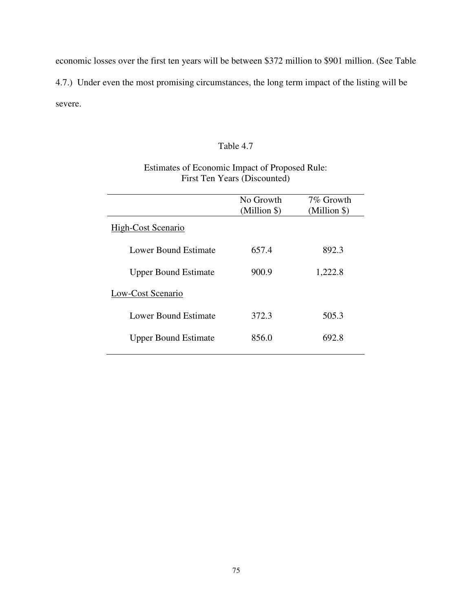economic losses over the first ten years will be between \$372 million to \$901 million. (See Table 4.7.) Under even the most promising circumstances, the long term impact of the listing will be severe.

# Table 4.7

# Estimates of Economic Impact of Proposed Rule: First Ten Years (Discounted)

|                             | No Growth<br>(Million \$) | 7% Growth<br>(Million \$) |
|-----------------------------|---------------------------|---------------------------|
| <b>High-Cost Scenario</b>   |                           |                           |
| Lower Bound Estimate        | 657.4                     | 892.3                     |
| <b>Upper Bound Estimate</b> | 900.9                     | 1,222.8                   |
| Low-Cost Scenario           |                           |                           |
| Lower Bound Estimate        | 372.3                     | 505.3                     |
| <b>Upper Bound Estimate</b> | 856.0                     | 692.8                     |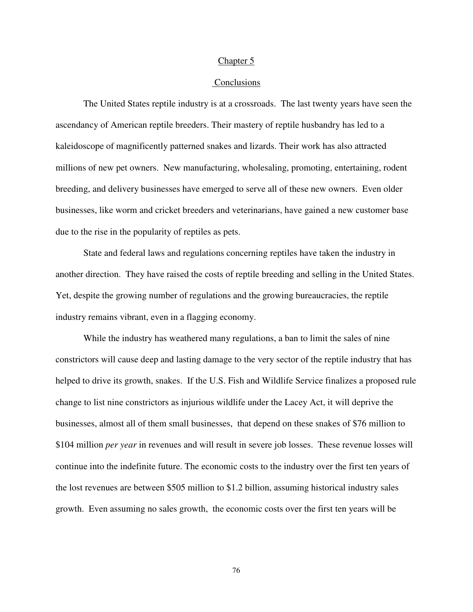#### Chapter 5

#### Conclusions

The United States reptile industry is at a crossroads. The last twenty years have seen the ascendancy of American reptile breeders. Their mastery of reptile husbandry has led to a kaleidoscope of magnificently patterned snakes and lizards. Their work has also attracted millions of new pet owners. New manufacturing, wholesaling, promoting, entertaining, rodent breeding, and delivery businesses have emerged to serve all of these new owners. Even older businesses, like worm and cricket breeders and veterinarians, have gained a new customer base due to the rise in the popularity of reptiles as pets.

 State and federal laws and regulations concerning reptiles have taken the industry in another direction. They have raised the costs of reptile breeding and selling in the United States. Yet, despite the growing number of regulations and the growing bureaucracies, the reptile industry remains vibrant, even in a flagging economy.

 While the industry has weathered many regulations, a ban to limit the sales of nine constrictors will cause deep and lasting damage to the very sector of the reptile industry that has helped to drive its growth, snakes. If the U.S. Fish and Wildlife Service finalizes a proposed rule change to list nine constrictors as injurious wildlife under the Lacey Act, it will deprive the businesses, almost all of them small businesses, that depend on these snakes of \$76 million to \$104 million *per year* in revenues and will result in severe job losses. These revenue losses will continue into the indefinite future. The economic costs to the industry over the first ten years of the lost revenues are between \$505 million to \$1.2 billion, assuming historical industry sales growth. Even assuming no sales growth, the economic costs over the first ten years will be

76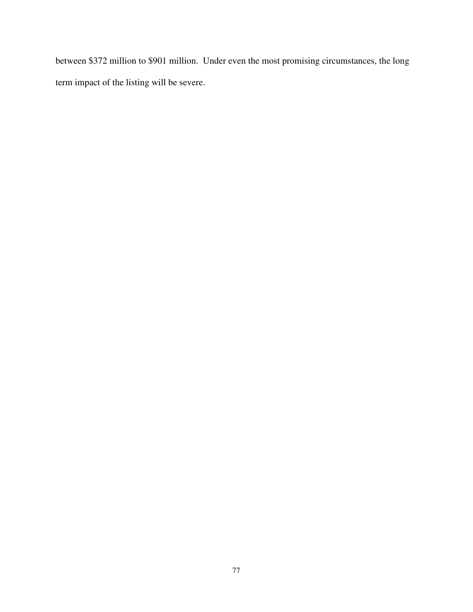between \$372 million to \$901 million. Under even the most promising circumstances, the long term impact of the listing will be severe.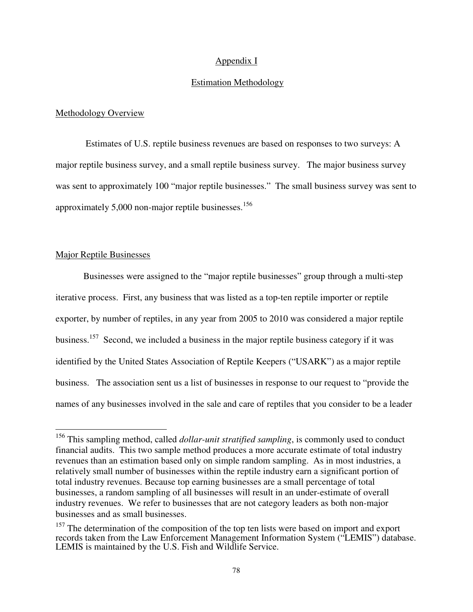## Appendix I

#### Estimation Methodology

#### Methodology Overview

 Estimates of U.S. reptile business revenues are based on responses to two surveys: A major reptile business survey, and a small reptile business survey. The major business survey was sent to approximately 100 "major reptile businesses." The small business survey was sent to approximately  $5,000$  non-major reptile businesses.<sup>156</sup>

## Major Reptile Businesses

-

Businesses were assigned to the "major reptile businesses" group through a multi-step iterative process. First, any business that was listed as a top-ten reptile importer or reptile exporter, by number of reptiles, in any year from 2005 to 2010 was considered a major reptile business.<sup>157</sup> Second, we included a business in the major reptile business category if it was identified by the United States Association of Reptile Keepers ("USARK") as a major reptile business. The association sent us a list of businesses in response to our request to "provide the names of any businesses involved in the sale and care of reptiles that you consider to be a leader

<sup>156</sup> This sampling method, called *dollar-unit stratified sampling*, is commonly used to conduct financial audits. This two sample method produces a more accurate estimate of total industry revenues than an estimation based only on simple random sampling. As in most industries, a relatively small number of businesses within the reptile industry earn a significant portion of total industry revenues. Because top earning businesses are a small percentage of total businesses, a random sampling of all businesses will result in an under-estimate of overall industry revenues. We refer to businesses that are not category leaders as both non-major businesses and as small businesses.

<sup>&</sup>lt;sup>157</sup> The determination of the composition of the top ten lists were based on import and export records taken from the Law Enforcement Management Information System ("LEMIS") database. LEMIS is maintained by the U.S. Fish and Wildlife Service.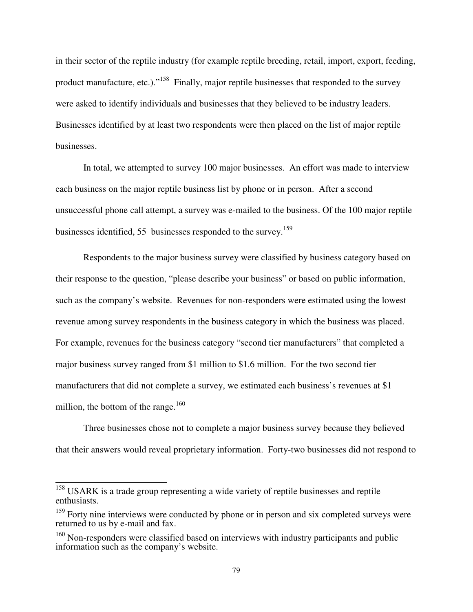in their sector of the reptile industry (for example reptile breeding, retail, import, export, feeding, product manufacture, etc.)."<sup>158</sup> Finally, major reptile businesses that responded to the survey were asked to identify individuals and businesses that they believed to be industry leaders. Businesses identified by at least two respondents were then placed on the list of major reptile businesses.

 In total, we attempted to survey 100 major businesses. An effort was made to interview each business on the major reptile business list by phone or in person. After a second unsuccessful phone call attempt, a survey was e-mailed to the business. Of the 100 major reptile businesses identified, 55 businesses responded to the survey.<sup>159</sup>

 Respondents to the major business survey were classified by business category based on their response to the question, "please describe your business" or based on public information, such as the company's website.Revenues for non-responders were estimated using the lowest revenue among survey respondents in the business category in which the business was placed. For example, revenues for the business category "second tier manufacturers" that completed a major business survey ranged from \$1 million to \$1.6 million. For the two second tier manufacturers that did not complete a survey, we estimated each business's revenues at \$1 million, the bottom of the range. $160$ 

 Three businesses chose not to complete a major business survey because they believed that their answers would reveal proprietary information. Forty-two businesses did not respond to

 $\overline{\phantom{a}}$ 

<sup>&</sup>lt;sup>158</sup> USARK is a trade group representing a wide variety of reptile businesses and reptile enthusiasts.

<sup>&</sup>lt;sup>159</sup> Forty nine interviews were conducted by phone or in person and six completed surveys were returned to us by e-mail and fax.

 $160$  Non-responders were classified based on interviews with industry participants and public information such as the company's website.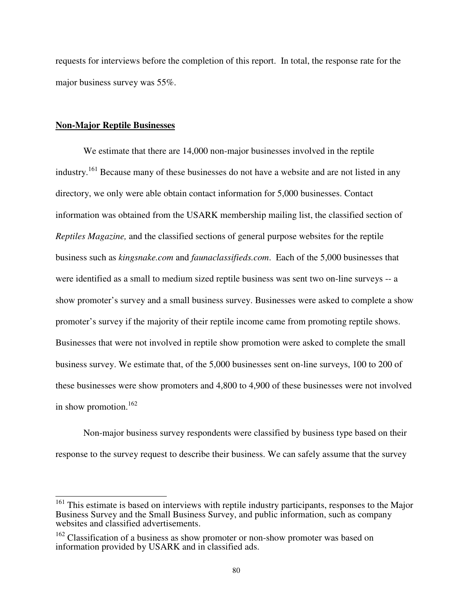requests for interviews before the completion of this report. In total, the response rate for the major business survey was 55%.

#### **Non-Major Reptile Businesses**

We estimate that there are 14,000 non-major businesses involved in the reptile industry.<sup>161</sup> Because many of these businesses do not have a website and are not listed in any directory, we only were able obtain contact information for 5,000 businesses. Contact information was obtained from the USARK membership mailing list, the classified section of *Reptiles Magazine,* and the classified sections of general purpose websites for the reptile business such as *kingsnake.com* and *faunaclassifieds.com*. Each of the 5,000 businesses that were identified as a small to medium sized reptile business was sent two on-line surveys -- a show promoter's survey and a small business survey. Businesses were asked to complete a show promoter's survey if the majority of their reptile income came from promoting reptile shows. Businesses that were not involved in reptile show promotion were asked to complete the small business survey. We estimate that, of the 5,000 businesses sent on-line surveys, 100 to 200 of these businesses were show promoters and 4,800 to 4,900 of these businesses were not involved in show promotion.<sup>162</sup>

Non-major business survey respondents were classified by business type based on their response to the survey request to describe their business. We can safely assume that the survey

<sup>&</sup>lt;sup>161</sup> This estimate is based on interviews with reptile industry participants, responses to the Major Business Survey and the Small Business Survey, and public information, such as company websites and classified advertisements.

<sup>&</sup>lt;sup>162</sup> Classification of a business as show promoter or non-show promoter was based on information provided by USARK and in classified ads.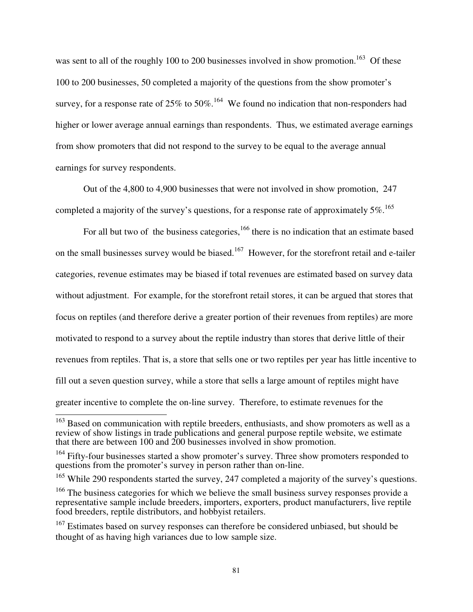was sent to all of the roughly 100 to 200 businesses involved in show promotion.<sup>163</sup> Of these 100 to 200 businesses, 50 completed a majority of the questions from the show promoter's survey, for a response rate of  $25\%$  to  $50\%$ .<sup>164</sup> We found no indication that non-responders had higher or lower average annual earnings than respondents. Thus, we estimated average earnings from show promoters that did not respond to the survey to be equal to the average annual earnings for survey respondents.

Out of the 4,800 to 4,900 businesses that were not involved in show promotion, 247 completed a majority of the survey's questions, for a response rate of approximately  $5\%$ .<sup>165</sup>

For all but two of the business categories,  $166$  there is no indication that an estimate based on the small businesses survey would be biased.<sup>167</sup> However, for the storefront retail and e-tailer categories, revenue estimates may be biased if total revenues are estimated based on survey data without adjustment. For example, for the storefront retail stores, it can be argued that stores that focus on reptiles (and therefore derive a greater portion of their revenues from reptiles) are more motivated to respond to a survey about the reptile industry than stores that derive little of their revenues from reptiles. That is, a store that sells one or two reptiles per year has little incentive to fill out a seven question survey, while a store that sells a large amount of reptiles might have greater incentive to complete the on-line survey. Therefore, to estimate revenues for the

 $\overline{\phantom{a}}$ 

<sup>&</sup>lt;sup>163</sup> Based on communication with reptile breeders, enthusiasts, and show promoters as well as a review of show listings in trade publications and general purpose reptile website, we estimate that there are between 100 and 200 businesses involved in show promotion.

 $164$  Fifty-four businesses started a show promoter's survey. Three show promoters responded to questions from the promoter's survey in person rather than on-line.

<sup>&</sup>lt;sup>165</sup> While 290 respondents started the survey, 247 completed a majority of the survey's questions.

 $166$  The business categories for which we believe the small business survey responses provide a representative sample include breeders, importers, exporters, product manufacturers, live reptile food breeders, reptile distributors, and hobbyist retailers.

<sup>&</sup>lt;sup>167</sup> Estimates based on survey responses can therefore be considered unbiased, but should be thought of as having high variances due to low sample size.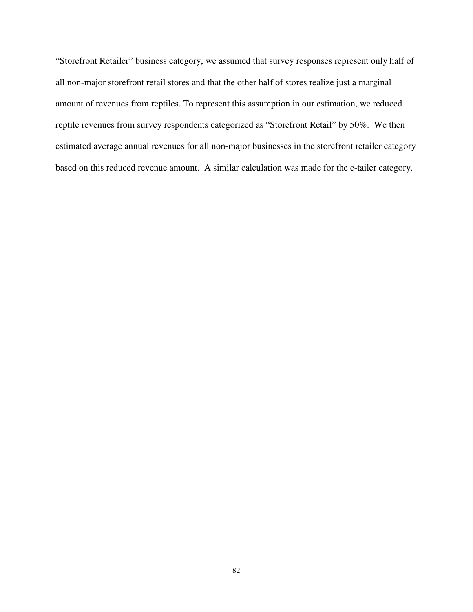"Storefront Retailer" business category, we assumed that survey responses represent only half of all non-major storefront retail stores and that the other half of stores realize just a marginal amount of revenues from reptiles. To represent this assumption in our estimation, we reduced reptile revenues from survey respondents categorized as "Storefront Retail" by 50%. We then estimated average annual revenues for all non-major businesses in the storefront retailer category based on this reduced revenue amount. A similar calculation was made for the e-tailer category.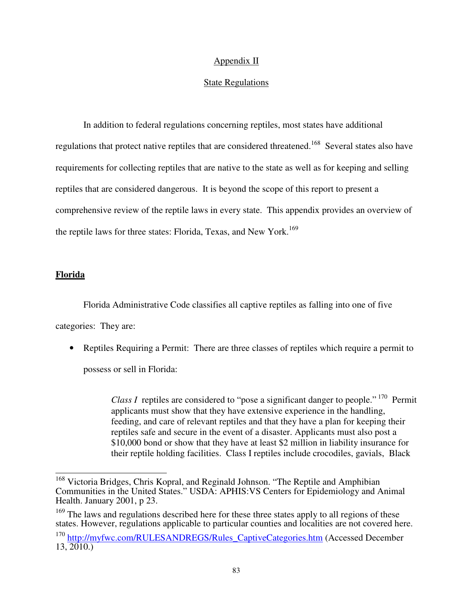# Appendix II

## State Regulations

 In addition to federal regulations concerning reptiles, most states have additional regulations that protect native reptiles that are considered threatened.<sup>168</sup> Several states also have requirements for collecting reptiles that are native to the state as well as for keeping and selling reptiles that are considered dangerous. It is beyond the scope of this report to present a comprehensive review of the reptile laws in every state. This appendix provides an overview of the reptile laws for three states: Florida, Texas, and New York.<sup>169</sup>

## **Florida**

Florida Administrative Code classifies all captive reptiles as falling into one of five

categories: They are:

• Reptiles Requiring a Permit: There are three classes of reptiles which require a permit to possess or sell in Florida:

> *Class I* reptiles are considered to "pose a significant danger to people."<sup>170</sup> Permit applicants must show that they have extensive experience in the handling, feeding, and care of relevant reptiles and that they have a plan for keeping their reptiles safe and secure in the event of a disaster. Applicants must also post a \$10,000 bond or show that they have at least \$2 million in liability insurance for their reptile holding facilities. Class I reptiles include crocodiles, gavials, Black

 $\overline{\phantom{a}}$ <sup>168</sup> Victoria Bridges, Chris Kopral, and Reginald Johnson. "The Reptile and Amphibian Communities in the United States." USDA: APHIS:VS Centers for Epidemiology and Animal Health. January 2001, p 23.

<sup>&</sup>lt;sup>169</sup> The laws and regulations described here for these three states apply to all regions of these states. However, regulations applicable to particular counties and localities are not covered here.

<sup>&</sup>lt;sup>170</sup> http://myfwc.com/RULESANDREGS/Rules\_CaptiveCategories.htm (Accessed December 13, 2010.)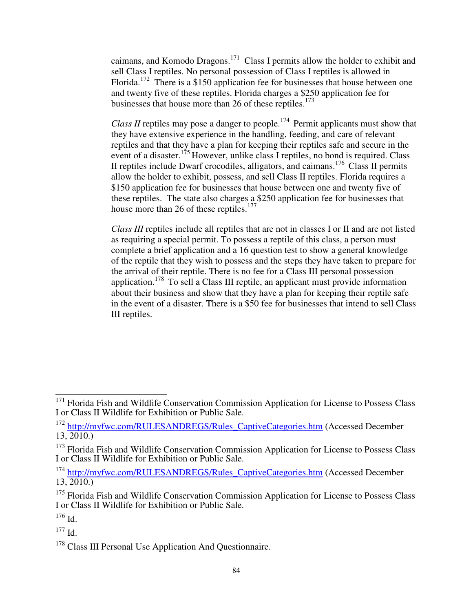caimans, and Komodo Dragons.<sup>171</sup> Class I permits allow the holder to exhibit and sell Class I reptiles. No personal possession of Class I reptiles is allowed in Florida.<sup>172</sup> There is a \$150 application fee for businesses that house between one and twenty five of these reptiles. Florida charges a \$250 application fee for businesses that house more than 26 of these reptiles.<sup>173</sup>

*Class II* reptiles may pose a danger to people.<sup>174</sup> Permit applicants must show that they have extensive experience in the handling, feeding, and care of relevant reptiles and that they have a plan for keeping their reptiles safe and secure in the event of a disaster.<sup>175</sup> However, unlike class I reptiles, no bond is required. Class II reptiles include Dwarf crocodiles, alligators, and caimans.<sup>176</sup> Class II permits allow the holder to exhibit, possess, and sell Class II reptiles. Florida requires a \$150 application fee for businesses that house between one and twenty five of these reptiles. The state also charges a \$250 application fee for businesses that house more than 26 of these reptiles.<sup>177</sup>

*Class III* reptiles include all reptiles that are not in classes I or II and are not listed as requiring a special permit. To possess a reptile of this class, a person must complete a brief application and a 16 question test to show a general knowledge of the reptile that they wish to possess and the steps they have taken to prepare for the arrival of their reptile. There is no fee for a Class III personal possession application.<sup>178</sup> To sell a Class III reptile, an applicant must provide information about their business and show that they have a plan for keeping their reptile safe in the event of a disaster. There is a \$50 fee for businesses that intend to sell Class III reptiles.

 <sup>171</sup> Florida Fish and Wildlife Conservation Commission Application for License to Possess Class I or Class II Wildlife for Exhibition or Public Sale.

<sup>&</sup>lt;sup>172</sup> http://myfwc.com/RULESANDREGS/Rules\_CaptiveCategories.htm (Accessed December  $13, 2010.$ 

<sup>&</sup>lt;sup>173</sup> Florida Fish and Wildlife Conservation Commission Application for License to Possess Class I or Class II Wildlife for Exhibition or Public Sale.

<sup>&</sup>lt;sup>174</sup> http://myfwc.com/RULESANDREGS/Rules\_CaptiveCategories.htm (Accessed December 13, 2010.)

<sup>&</sup>lt;sup>175</sup> Florida Fish and Wildlife Conservation Commission Application for License to Possess Class I or Class II Wildlife for Exhibition or Public Sale.

<sup>176</sup> Id.

<sup>177</sup> Id.

<sup>&</sup>lt;sup>178</sup> Class III Personal Use Application And Questionnaire.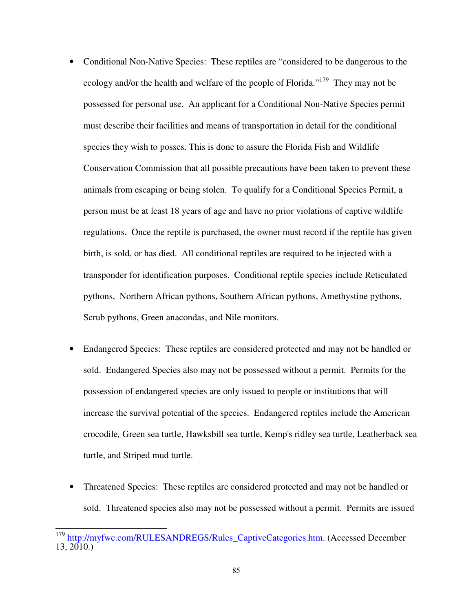- Conditional Non-Native Species: These reptiles are "considered to be dangerous to the ecology and/or the health and welfare of the people of Florida."<sup>179</sup> They may not be possessed for personal use. An applicant for a Conditional Non-Native Species permit must describe their facilities and means of transportation in detail for the conditional species they wish to posses. This is done to assure the Florida Fish and Wildlife Conservation Commission that all possible precautions have been taken to prevent these animals from escaping or being stolen. To qualify for a Conditional Species Permit, a person must be at least 18 years of age and have no prior violations of captive wildlife regulations. Once the reptile is purchased, the owner must record if the reptile has given birth, is sold, or has died. All conditional reptiles are required to be injected with a transponder for identification purposes. Conditional reptile species include Reticulated pythons, Northern African pythons, Southern African pythons, Amethystine pythons, Scrub pythons, Green anacondas, and Nile monitors.
- Endangered Species: These reptiles are considered protected and may not be handled or sold. Endangered Species also may not be possessed without a permit. Permits for the possession of endangered species are only issued to people or institutions that will increase the survival potential of the species. Endangered reptiles include the American crocodile*,* Green sea turtle, Hawksbill sea turtle, Kemp's ridley sea turtle, Leatherback sea turtle, and Striped mud turtle.
- Threatened Species: These reptiles are considered protected and may not be handled or sold. Threatened species also may not be possessed without a permit. Permits are issued

 $\overline{\phantom{a}}$ <sup>179</sup> http://myfwc.com/RULESANDREGS/Rules\_CaptiveCategories.htm. (Accessed December  $13, 2010.$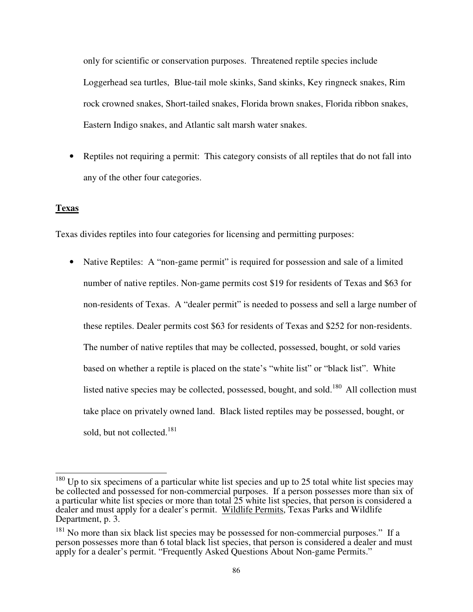only for scientific or conservation purposes. Threatened reptile species include Loggerhead sea turtles, Blue-tail mole skinks, Sand skinks, Key ringneck snakes, Rim rock crowned snakes, Short-tailed snakes, Florida brown snakes, Florida ribbon snakes, Eastern Indigo snakes, and Atlantic salt marsh water snakes.

• Reptiles not requiring a permit: This category consists of all reptiles that do not fall into any of the other four categories.

# **Texas**

Texas divides reptiles into four categories for licensing and permitting purposes:

• Native Reptiles: A "non-game permit" is required for possession and sale of a limited number of native reptiles. Non-game permits cost \$19 for residents of Texas and \$63 for non-residents of Texas. A "dealer permit" is needed to possess and sell a large number of these reptiles. Dealer permits cost \$63 for residents of Texas and \$252 for non-residents. The number of native reptiles that may be collected, possessed, bought, or sold varies based on whether a reptile is placed on the state's "white list" or "black list". White listed native species may be collected, possessed, bought, and sold.<sup>180</sup> All collection must take place on privately owned land. Black listed reptiles may be possessed, bought, or sold, but not collected.<sup>181</sup>

  $180$  Up to six specimens of a particular white list species and up to 25 total white list species may be collected and possessed for non-commercial purposes. If a person possesses more than six of a particular white list species or more than total 25 white list species, that person is considered a dealer and must apply for a dealer's permit. Wildlife Permits, Texas Parks and Wildlife Department, p. 3.

<sup>&</sup>lt;sup>181</sup> No more than six black list species may be possessed for non-commercial purposes." If a person possesses more than 6 total black list species, that person is considered a dealer and must apply for a dealer's permit. "Frequently Asked Questions About Non-game Permits."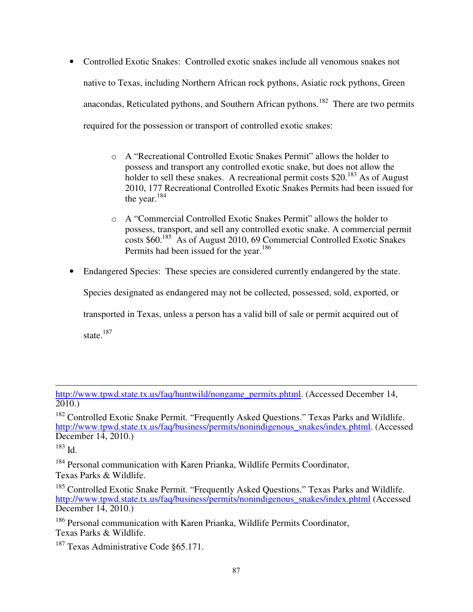- Controlled Exotic Snakes: Controlled exotic snakes include all venomous snakes not native to Texas, including Northern African rock pythons, Asiatic rock pythons, Green anacondas, Reticulated pythons, and Southern African pythons.<sup>182</sup> There are two permits required for the possession or transport of controlled exotic snakes:
	- o A "Recreational Controlled Exotic Snakes Permit" allows the holder to possess and transport any controlled exotic snake, but does not allow the holder to sell these snakes. A recreational permit costs \$20.<sup>183</sup> As of August 2010, 177 Recreational Controlled Exotic Snakes Permits had been issued for the year. $184$
	- o A "Commercial Controlled Exotic Snakes Permit" allows the holder to possess, transport, and sell any controlled exotic snake. A commercial permit costs \$60.<sup>185</sup> As of August 2010, 69 Commercial Controlled Exotic Snakes Permits had been issued for the year.<sup>186</sup>
- Endangered Species: These species are considered currently endangered by the state.

Species designated as endangered may not be collected, possessed, sold, exported, or

transported in Texas, unless a person has a valid bill of sale or permit acquired out of

state.<sup>187</sup>

<sup>182</sup> Controlled Exotic Snake Permit. "Frequently Asked Questions." Texas Parks and Wildlife. http://www.tpwd.state.tx.us/faq/business/permits/nonindigenous\_snakes/index.phtml. (Accessed December 14, 2010.)

<sup>184</sup> Personal communication with Karen Prianka, Wildlife Permits Coordinator, Texas Parks & Wildlife.

<sup>185</sup> Controlled Exotic Snake Permit. "Frequently Asked Questions." Texas Parks and Wildlife. http://www.tpwd.state.tx.us/faq/business/permits/nonindigenous\_snakes/index.phtml (Accessed December 14, 2010.)

http://www.tpwd.state.tx.us/faq/huntwild/nongame\_permits.phtml. (Accessed December 14, 2010.)

<sup>183</sup> Id.

<sup>&</sup>lt;sup>186</sup> Personal communication with Karen Prianka, Wildlife Permits Coordinator, Texas Parks & Wildlife.

<sup>&</sup>lt;sup>187</sup> Texas Administrative Code §65.171.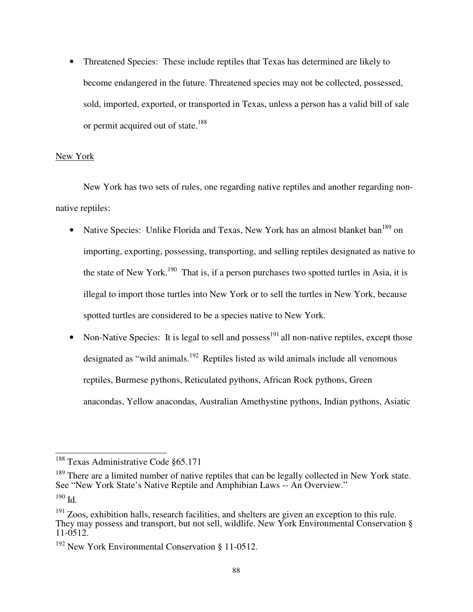• Threatened Species: These include reptiles that Texas has determined are likely to become endangered in the future. Threatened species may not be collected, possessed, sold, imported, exported, or transported in Texas, unless a person has a valid bill of sale or permit acquired out of state.<sup>188</sup>

# New York

New York has two sets of rules, one regarding native reptiles and another regarding nonnative reptiles:

- Native Species: Unlike Florida and Texas, New York has an almost blanket ban<sup>189</sup> on importing, exporting, possessing, transporting, and selling reptiles designated as native to the state of New York.<sup>190</sup> That is, if a person purchases two spotted turtles in Asia, it is illegal to import those turtles into New York or to sell the turtles in New York, because spotted turtles are considered to be a species native to New York.
- Non-Native Species: It is legal to sell and possess<sup>191</sup> all non-native reptiles, except those designated as "wild animals.<sup>192</sup> Reptiles listed as wild animals include all venomous reptiles, Burmese pythons, Reticulated pythons, African Rock pythons, Green anacondas, Yellow anacondas, Australian Amethystine pythons, Indian pythons, Asiatic

 $\overline{\phantom{a}}$ <sup>188</sup> Texas Administrative Code §65.171

<sup>&</sup>lt;sup>189</sup> There are a limited number of native reptiles that can be legally collected in New York state. See "New York State's Native Reptile and Amphibian Laws -- An Overview."

<sup>190</sup> Id.

 $191$  Zoos, exhibition halls, research facilities, and shelters are given an exception to this rule. They may possess and transport, but not sell, wildlife. New York Environmental Conservation  $\S$ 11-0512.

<sup>&</sup>lt;sup>192</sup> New York Environmental Conservation § 11-0512.